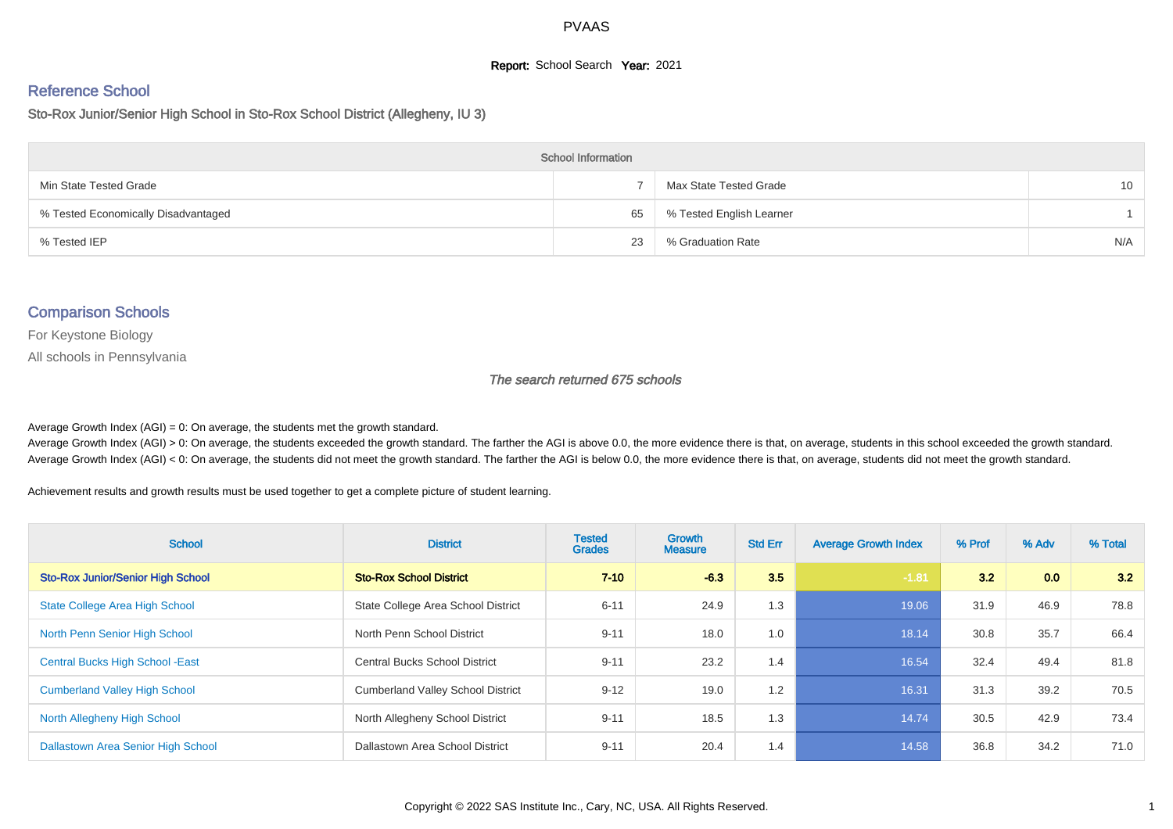## **Report:** School Search **Year:** 2021

# Reference School

Sto-Rox Junior/Senior High School in Sto-Rox School District (Allegheny, IU 3)

| <b>School Information</b>           |    |                          |                 |  |  |  |  |  |
|-------------------------------------|----|--------------------------|-----------------|--|--|--|--|--|
| Min State Tested Grade              |    | Max State Tested Grade   | 10 <sup>1</sup> |  |  |  |  |  |
| % Tested Economically Disadvantaged | 65 | % Tested English Learner |                 |  |  |  |  |  |
| % Tested IEP                        | 23 | % Graduation Rate        | N/A             |  |  |  |  |  |

#### Comparison Schools

For Keystone Biology

All schools in Pennsylvania

#### The search returned 675 schools

Average Growth Index  $(AGI) = 0$ : On average, the students met the growth standard.

Average Growth Index (AGI) > 0: On average, the students exceeded the growth standard. The farther the AGI is above 0.0, the more evidence there is that, on average, students in this school exceeded the growth standard. Average Growth Index (AGI) < 0: On average, the students did not meet the growth standard. The farther the AGI is below 0.0, the more evidence there is that, on average, students did not meet the growth standard.

Achievement results and growth results must be used together to get a complete picture of student learning.

| <b>School</b>                            | <b>District</b>                          | <b>Tested</b><br><b>Grades</b> | <b>Growth</b><br><b>Measure</b> | <b>Std Err</b> | <b>Average Growth Index</b> | % Prof | % Adv | % Total |
|------------------------------------------|------------------------------------------|--------------------------------|---------------------------------|----------------|-----------------------------|--------|-------|---------|
| <b>Sto-Rox Junior/Senior High School</b> | <b>Sto-Rox School District</b>           | $7 - 10$                       | $-6.3$                          | 3.5            | $-1.81$                     | 3.2    | 0.0   | 3.2     |
| <b>State College Area High School</b>    | State College Area School District       | $6 - 11$                       | 24.9                            | 1.3            | 19.06                       | 31.9   | 46.9  | 78.8    |
| North Penn Senior High School            | North Penn School District               | $9 - 11$                       | 18.0                            | 1.0            | 18.14                       | 30.8   | 35.7  | 66.4    |
| <b>Central Bucks High School - East</b>  | <b>Central Bucks School District</b>     | $9 - 11$                       | 23.2                            | 1.4            | 16.54                       | 32.4   | 49.4  | 81.8    |
| <b>Cumberland Valley High School</b>     | <b>Cumberland Valley School District</b> | $9 - 12$                       | 19.0                            | 1.2            | 16.31                       | 31.3   | 39.2  | 70.5    |
| North Allegheny High School              | North Allegheny School District          | $9 - 11$                       | 18.5                            | 1.3            | 14.74                       | 30.5   | 42.9  | 73.4    |
| Dallastown Area Senior High School       | Dallastown Area School District          | $9 - 11$                       | 20.4                            | 1.4            | 14.58                       | 36.8   | 34.2  | 71.0    |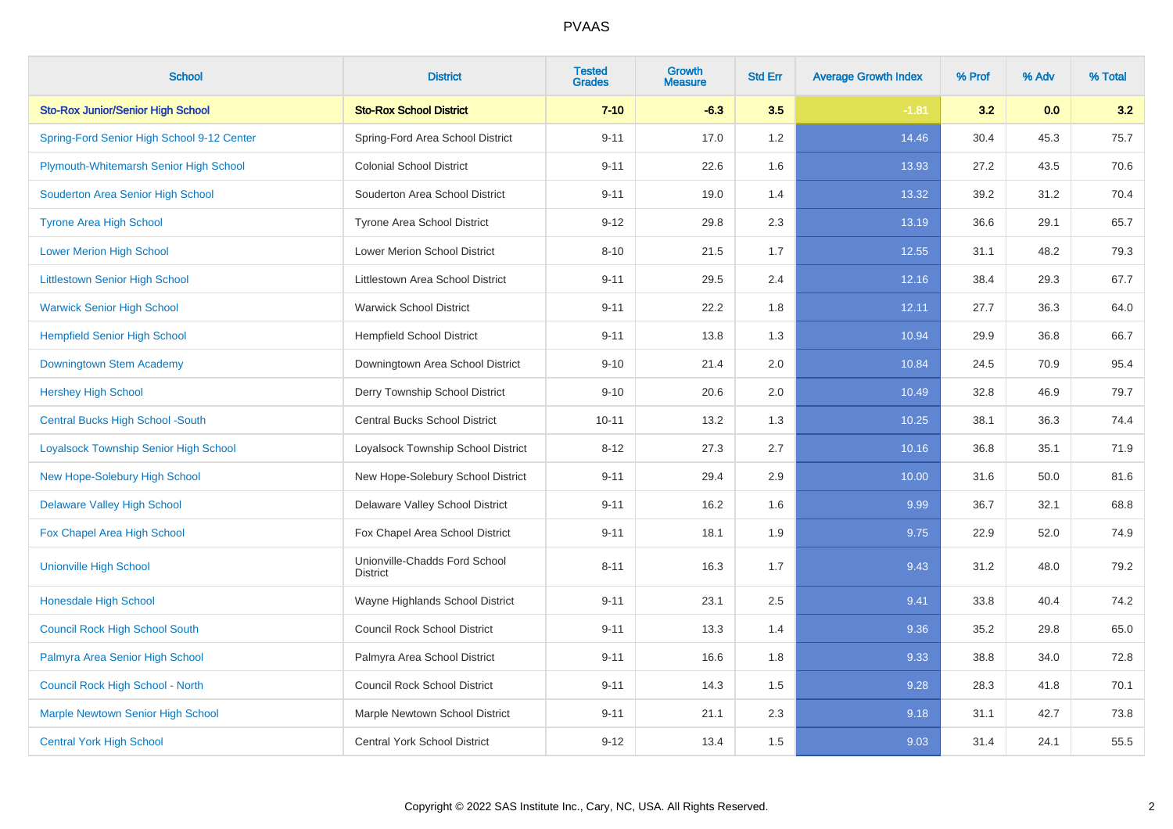| <b>School</b>                                | <b>District</b>                                  | <b>Tested</b><br><b>Grades</b> | <b>Growth</b><br><b>Measure</b> | <b>Std Err</b> | <b>Average Growth Index</b> | % Prof | % Adv | % Total |
|----------------------------------------------|--------------------------------------------------|--------------------------------|---------------------------------|----------------|-----------------------------|--------|-------|---------|
| <b>Sto-Rox Junior/Senior High School</b>     | <b>Sto-Rox School District</b>                   | $7 - 10$                       | $-6.3$                          | 3.5            | $-1.81$                     | 3.2    | 0.0   | 3.2     |
| Spring-Ford Senior High School 9-12 Center   | Spring-Ford Area School District                 | $9 - 11$                       | 17.0                            | 1.2            | 14.46                       | 30.4   | 45.3  | 75.7    |
| Plymouth-Whitemarsh Senior High School       | <b>Colonial School District</b>                  | $9 - 11$                       | 22.6                            | 1.6            | 13.93                       | 27.2   | 43.5  | 70.6    |
| Souderton Area Senior High School            | Souderton Area School District                   | $9 - 11$                       | 19.0                            | 1.4            | 13.32                       | 39.2   | 31.2  | 70.4    |
| <b>Tyrone Area High School</b>               | Tyrone Area School District                      | $9 - 12$                       | 29.8                            | 2.3            | 13.19                       | 36.6   | 29.1  | 65.7    |
| <b>Lower Merion High School</b>              | Lower Merion School District                     | $8 - 10$                       | 21.5                            | 1.7            | 12.55                       | 31.1   | 48.2  | 79.3    |
| <b>Littlestown Senior High School</b>        | Littlestown Area School District                 | $9 - 11$                       | 29.5                            | 2.4            | 12.16                       | 38.4   | 29.3  | 67.7    |
| <b>Warwick Senior High School</b>            | <b>Warwick School District</b>                   | $9 - 11$                       | 22.2                            | 1.8            | 12.11                       | 27.7   | 36.3  | 64.0    |
| <b>Hempfield Senior High School</b>          | <b>Hempfield School District</b>                 | $9 - 11$                       | 13.8                            | 1.3            | 10.94                       | 29.9   | 36.8  | 66.7    |
| Downingtown Stem Academy                     | Downingtown Area School District                 | $9 - 10$                       | 21.4                            | 2.0            | 10.84                       | 24.5   | 70.9  | 95.4    |
| <b>Hershey High School</b>                   | Derry Township School District                   | $9 - 10$                       | 20.6                            | 2.0            | 10.49                       | 32.8   | 46.9  | 79.7    |
| <b>Central Bucks High School -South</b>      | <b>Central Bucks School District</b>             | $10 - 11$                      | 13.2                            | 1.3            | 10.25                       | 38.1   | 36.3  | 74.4    |
| <b>Loyalsock Township Senior High School</b> | Loyalsock Township School District               | $8 - 12$                       | 27.3                            | 2.7            | 10.16                       | 36.8   | 35.1  | 71.9    |
| New Hope-Solebury High School                | New Hope-Solebury School District                | $9 - 11$                       | 29.4                            | 2.9            | 10.00                       | 31.6   | 50.0  | 81.6    |
| <b>Delaware Valley High School</b>           | Delaware Valley School District                  | $9 - 11$                       | 16.2                            | 1.6            | 9.99                        | 36.7   | 32.1  | 68.8    |
| Fox Chapel Area High School                  | Fox Chapel Area School District                  | $9 - 11$                       | 18.1                            | 1.9            | 9.75                        | 22.9   | 52.0  | 74.9    |
| <b>Unionville High School</b>                | Unionville-Chadds Ford School<br><b>District</b> | $8 - 11$                       | 16.3                            | 1.7            | 9.43                        | 31.2   | 48.0  | 79.2    |
| <b>Honesdale High School</b>                 | Wayne Highlands School District                  | $9 - 11$                       | 23.1                            | 2.5            | 9.41                        | 33.8   | 40.4  | 74.2    |
| <b>Council Rock High School South</b>        | <b>Council Rock School District</b>              | $9 - 11$                       | 13.3                            | 1.4            | 9.36                        | 35.2   | 29.8  | 65.0    |
| Palmyra Area Senior High School              | Palmyra Area School District                     | $9 - 11$                       | 16.6                            | 1.8            | 9.33                        | 38.8   | 34.0  | 72.8    |
| Council Rock High School - North             | <b>Council Rock School District</b>              | $9 - 11$                       | 14.3                            | 1.5            | 9.28                        | 28.3   | 41.8  | 70.1    |
| <b>Marple Newtown Senior High School</b>     | Marple Newtown School District                   | $9 - 11$                       | 21.1                            | 2.3            | 9.18                        | 31.1   | 42.7  | 73.8    |
| <b>Central York High School</b>              | Central York School District                     | $9 - 12$                       | 13.4                            | 1.5            | 9.03                        | 31.4   | 24.1  | 55.5    |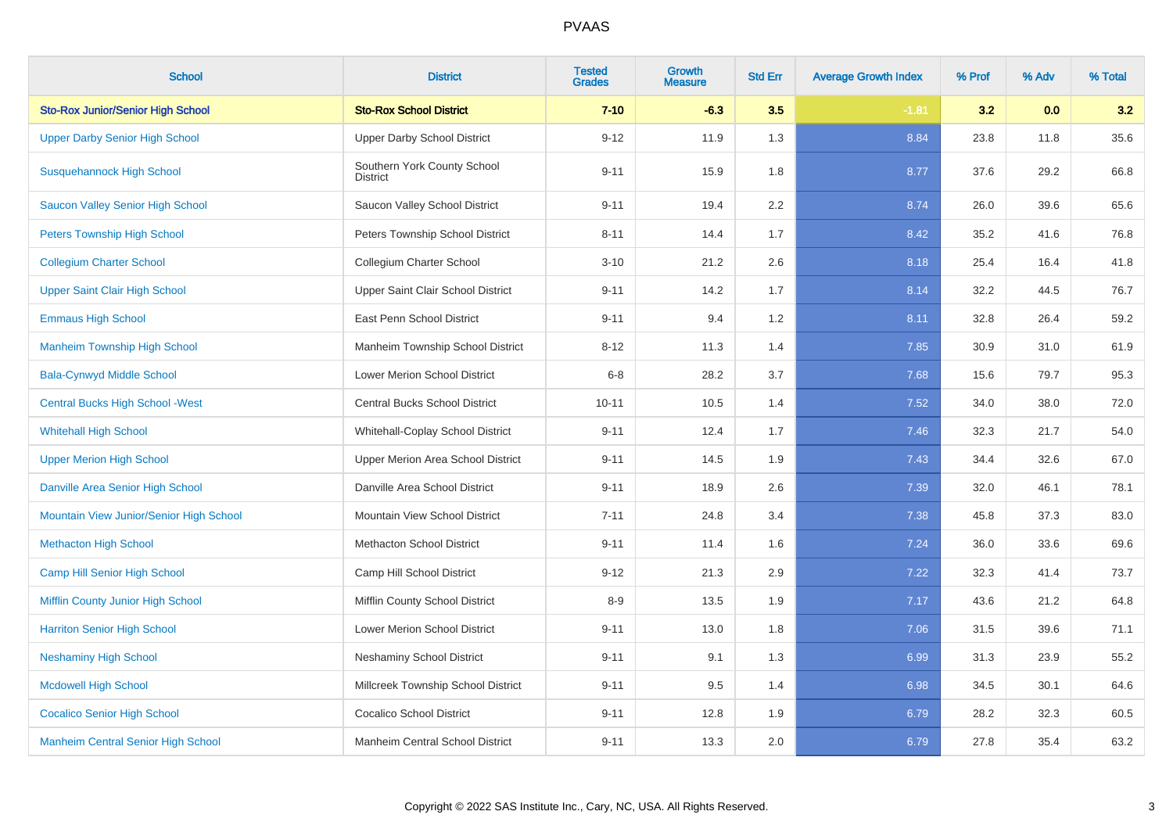| <b>School</b>                             | <b>District</b>                         | <b>Tested</b><br><b>Grades</b> | <b>Growth</b><br><b>Measure</b> | <b>Std Err</b> | <b>Average Growth Index</b> | % Prof | % Adv | % Total |
|-------------------------------------------|-----------------------------------------|--------------------------------|---------------------------------|----------------|-----------------------------|--------|-------|---------|
| <b>Sto-Rox Junior/Senior High School</b>  | <b>Sto-Rox School District</b>          | $7 - 10$                       | $-6.3$                          | 3.5            | $-1.81$                     | 3.2    | 0.0   | 3.2     |
| <b>Upper Darby Senior High School</b>     | <b>Upper Darby School District</b>      | $9 - 12$                       | 11.9                            | 1.3            | 8.84                        | 23.8   | 11.8  | 35.6    |
| <b>Susquehannock High School</b>          | Southern York County School<br>District | $9 - 11$                       | 15.9                            | 1.8            | 8.77                        | 37.6   | 29.2  | 66.8    |
| Saucon Valley Senior High School          | Saucon Valley School District           | $9 - 11$                       | 19.4                            | 2.2            | 8.74                        | 26.0   | 39.6  | 65.6    |
| <b>Peters Township High School</b>        | Peters Township School District         | $8 - 11$                       | 14.4                            | 1.7            | 8.42                        | 35.2   | 41.6  | 76.8    |
| <b>Collegium Charter School</b>           | Collegium Charter School                | $3 - 10$                       | 21.2                            | 2.6            | 8.18                        | 25.4   | 16.4  | 41.8    |
| <b>Upper Saint Clair High School</b>      | Upper Saint Clair School District       | $9 - 11$                       | 14.2                            | 1.7            | 8.14                        | 32.2   | 44.5  | 76.7    |
| <b>Emmaus High School</b>                 | East Penn School District               | $9 - 11$                       | 9.4                             | 1.2            | 8.11                        | 32.8   | 26.4  | 59.2    |
| <b>Manheim Township High School</b>       | Manheim Township School District        | $8 - 12$                       | 11.3                            | 1.4            | 7.85                        | 30.9   | 31.0  | 61.9    |
| <b>Bala-Cynwyd Middle School</b>          | Lower Merion School District            | $6 - 8$                        | 28.2                            | 3.7            | 7.68                        | 15.6   | 79.7  | 95.3    |
| <b>Central Bucks High School - West</b>   | Central Bucks School District           | $10 - 11$                      | 10.5                            | 1.4            | 7.52                        | 34.0   | 38.0  | 72.0    |
| <b>Whitehall High School</b>              | Whitehall-Coplay School District        | $9 - 11$                       | 12.4                            | 1.7            | 7.46                        | 32.3   | 21.7  | 54.0    |
| <b>Upper Merion High School</b>           | Upper Merion Area School District       | $9 - 11$                       | 14.5                            | 1.9            | 7.43                        | 34.4   | 32.6  | 67.0    |
| Danville Area Senior High School          | Danville Area School District           | $9 - 11$                       | 18.9                            | 2.6            | 7.39                        | 32.0   | 46.1  | 78.1    |
| Mountain View Junior/Senior High School   | Mountain View School District           | $7 - 11$                       | 24.8                            | 3.4            | 7.38                        | 45.8   | 37.3  | 83.0    |
| <b>Methacton High School</b>              | <b>Methacton School District</b>        | $9 - 11$                       | 11.4                            | 1.6            | 7.24                        | 36.0   | 33.6  | 69.6    |
| Camp Hill Senior High School              | Camp Hill School District               | $9 - 12$                       | 21.3                            | 2.9            | 7.22                        | 32.3   | 41.4  | 73.7    |
| Mifflin County Junior High School         | Mifflin County School District          | $8 - 9$                        | 13.5                            | 1.9            | 7.17                        | 43.6   | 21.2  | 64.8    |
| <b>Harriton Senior High School</b>        | Lower Merion School District            | $9 - 11$                       | 13.0                            | 1.8            | 7.06                        | 31.5   | 39.6  | 71.1    |
| <b>Neshaminy High School</b>              | <b>Neshaminy School District</b>        | $9 - 11$                       | 9.1                             | 1.3            | 6.99                        | 31.3   | 23.9  | 55.2    |
| <b>Mcdowell High School</b>               | Millcreek Township School District      | $9 - 11$                       | 9.5                             | 1.4            | 6.98                        | 34.5   | 30.1  | 64.6    |
| <b>Cocalico Senior High School</b>        | <b>Cocalico School District</b>         | $9 - 11$                       | 12.8                            | 1.9            | 6.79                        | 28.2   | 32.3  | 60.5    |
| <b>Manheim Central Senior High School</b> | Manheim Central School District         | $9 - 11$                       | 13.3                            | 2.0            | 6.79                        | 27.8   | 35.4  | 63.2    |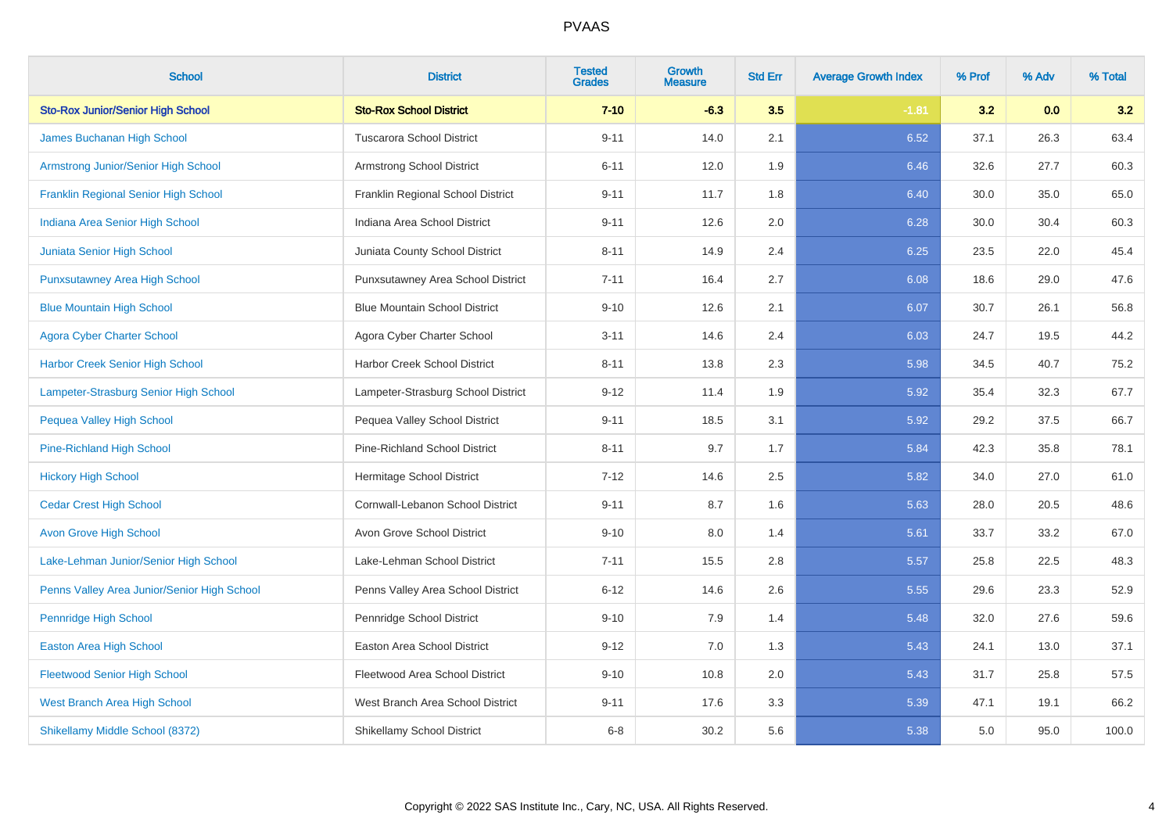| <b>School</b>                               | <b>District</b>                      | <b>Tested</b><br><b>Grades</b> | <b>Growth</b><br><b>Measure</b> | <b>Std Err</b> | <b>Average Growth Index</b> | % Prof | % Adv | % Total |
|---------------------------------------------|--------------------------------------|--------------------------------|---------------------------------|----------------|-----------------------------|--------|-------|---------|
| <b>Sto-Rox Junior/Senior High School</b>    | <b>Sto-Rox School District</b>       | $7 - 10$                       | $-6.3$                          | 3.5            | $-1.81$                     | 3.2    | 0.0   | 3.2     |
| James Buchanan High School                  | <b>Tuscarora School District</b>     | $9 - 11$                       | 14.0                            | 2.1            | 6.52                        | 37.1   | 26.3  | 63.4    |
| <b>Armstrong Junior/Senior High School</b>  | Armstrong School District            | $6 - 11$                       | 12.0                            | 1.9            | 6.46                        | 32.6   | 27.7  | 60.3    |
| Franklin Regional Senior High School        | Franklin Regional School District    | $9 - 11$                       | 11.7                            | 1.8            | 6.40                        | 30.0   | 35.0  | 65.0    |
| Indiana Area Senior High School             | Indiana Area School District         | $9 - 11$                       | 12.6                            | 2.0            | 6.28                        | 30.0   | 30.4  | 60.3    |
| Juniata Senior High School                  | Juniata County School District       | $8 - 11$                       | 14.9                            | 2.4            | 6.25                        | 23.5   | 22.0  | 45.4    |
| <b>Punxsutawney Area High School</b>        | Punxsutawney Area School District    | $7 - 11$                       | 16.4                            | 2.7            | 6.08                        | 18.6   | 29.0  | 47.6    |
| <b>Blue Mountain High School</b>            | <b>Blue Mountain School District</b> | $9 - 10$                       | 12.6                            | 2.1            | 6.07                        | 30.7   | 26.1  | 56.8    |
| <b>Agora Cyber Charter School</b>           | Agora Cyber Charter School           | $3 - 11$                       | 14.6                            | 2.4            | 6.03                        | 24.7   | 19.5  | 44.2    |
| Harbor Creek Senior High School             | Harbor Creek School District         | $8 - 11$                       | 13.8                            | $2.3\,$        | 5.98                        | 34.5   | 40.7  | 75.2    |
| Lampeter-Strasburg Senior High School       | Lampeter-Strasburg School District   | $9 - 12$                       | 11.4                            | 1.9            | 5.92                        | 35.4   | 32.3  | 67.7    |
| <b>Pequea Valley High School</b>            | Pequea Valley School District        | $9 - 11$                       | 18.5                            | 3.1            | 5.92                        | 29.2   | 37.5  | 66.7    |
| Pine-Richland High School                   | <b>Pine-Richland School District</b> | $8 - 11$                       | 9.7                             | 1.7            | 5.84                        | 42.3   | 35.8  | 78.1    |
| <b>Hickory High School</b>                  | Hermitage School District            | $7 - 12$                       | 14.6                            | 2.5            | 5.82                        | 34.0   | 27.0  | 61.0    |
| <b>Cedar Crest High School</b>              | Cornwall-Lebanon School District     | $9 - 11$                       | 8.7                             | 1.6            | 5.63                        | 28.0   | 20.5  | 48.6    |
| <b>Avon Grove High School</b>               | Avon Grove School District           | $9 - 10$                       | 8.0                             | 1.4            | 5.61                        | 33.7   | 33.2  | 67.0    |
| Lake-Lehman Junior/Senior High School       | Lake-Lehman School District          | $7 - 11$                       | 15.5                            | 2.8            | 5.57                        | 25.8   | 22.5  | 48.3    |
| Penns Valley Area Junior/Senior High School | Penns Valley Area School District    | $6 - 12$                       | 14.6                            | 2.6            | 5.55                        | 29.6   | 23.3  | 52.9    |
| <b>Pennridge High School</b>                | Pennridge School District            | $9 - 10$                       | 7.9                             | 1.4            | 5.48                        | 32.0   | 27.6  | 59.6    |
| <b>Easton Area High School</b>              | Easton Area School District          | $9 - 12$                       | 7.0                             | 1.3            | 5.43                        | 24.1   | 13.0  | 37.1    |
| <b>Fleetwood Senior High School</b>         | Fleetwood Area School District       | $9 - 10$                       | 10.8                            | 2.0            | 5.43                        | 31.7   | 25.8  | 57.5    |
| <b>West Branch Area High School</b>         | West Branch Area School District     | $9 - 11$                       | 17.6                            | 3.3            | 5.39                        | 47.1   | 19.1  | 66.2    |
| Shikellamy Middle School (8372)             | Shikellamy School District           | $6 - 8$                        | 30.2                            | 5.6            | 5.38                        | 5.0    | 95.0  | 100.0   |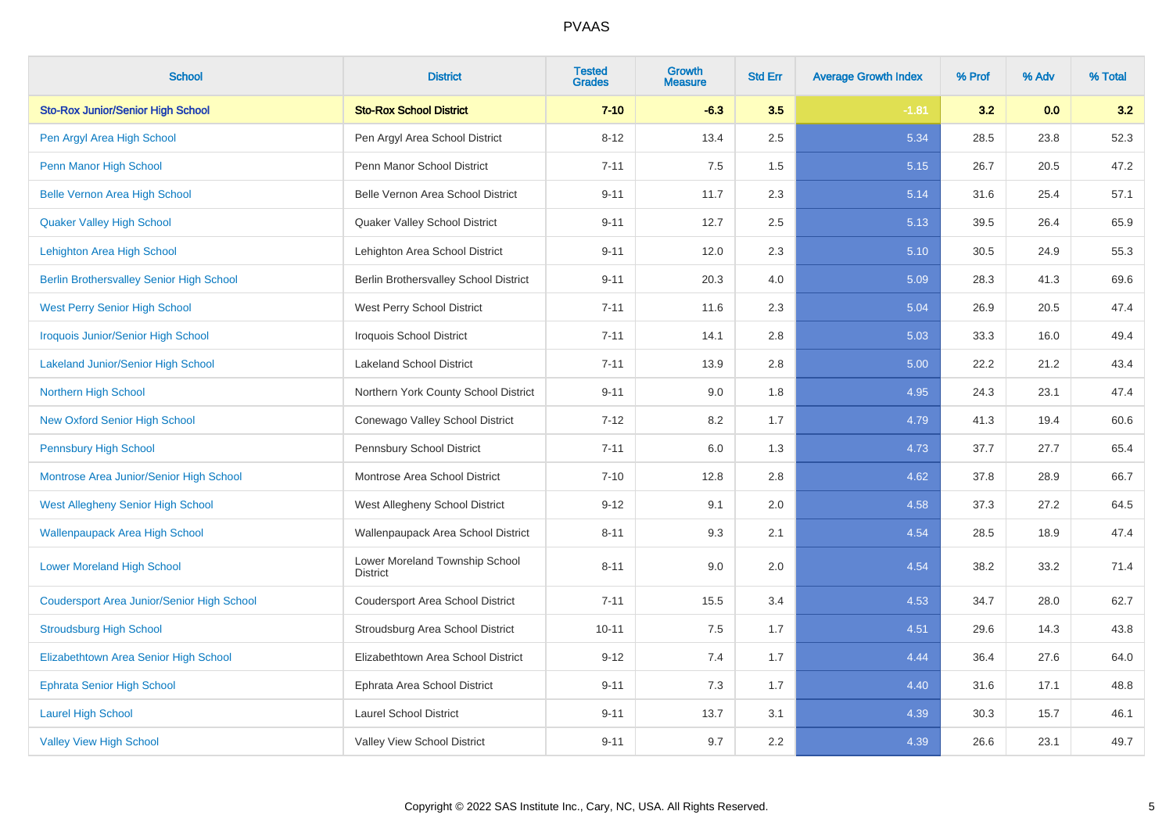| <b>School</b>                                     | <b>District</b>                                   | <b>Tested</b><br><b>Grades</b> | <b>Growth</b><br><b>Measure</b> | <b>Std Err</b> | <b>Average Growth Index</b> | % Prof | % Adv | % Total |
|---------------------------------------------------|---------------------------------------------------|--------------------------------|---------------------------------|----------------|-----------------------------|--------|-------|---------|
| <b>Sto-Rox Junior/Senior High School</b>          | <b>Sto-Rox School District</b>                    | $7 - 10$                       | $-6.3$                          | 3.5            | $-1.81$                     | 3.2    | 0.0   | 3.2     |
| Pen Argyl Area High School                        | Pen Argyl Area School District                    | $8 - 12$                       | 13.4                            | 2.5            | 5.34                        | 28.5   | 23.8  | 52.3    |
| Penn Manor High School                            | Penn Manor School District                        | $7 - 11$                       | 7.5                             | 1.5            | 5.15                        | 26.7   | 20.5  | 47.2    |
| <b>Belle Vernon Area High School</b>              | Belle Vernon Area School District                 | $9 - 11$                       | 11.7                            | 2.3            | 5.14                        | 31.6   | 25.4  | 57.1    |
| <b>Quaker Valley High School</b>                  | Quaker Valley School District                     | $9 - 11$                       | 12.7                            | 2.5            | 5.13                        | 39.5   | 26.4  | 65.9    |
| Lehighton Area High School                        | Lehighton Area School District                    | $9 - 11$                       | 12.0                            | 2.3            | 5.10                        | 30.5   | 24.9  | 55.3    |
| <b>Berlin Brothersvalley Senior High School</b>   | Berlin Brothersvalley School District             | $9 - 11$                       | 20.3                            | 4.0            | 5.09                        | 28.3   | 41.3  | 69.6    |
| <b>West Perry Senior High School</b>              | West Perry School District                        | $7 - 11$                       | 11.6                            | 2.3            | 5.04                        | 26.9   | 20.5  | 47.4    |
| <b>Iroquois Junior/Senior High School</b>         | <b>Iroquois School District</b>                   | $7 - 11$                       | 14.1                            | 2.8            | 5.03                        | 33.3   | 16.0  | 49.4    |
| <b>Lakeland Junior/Senior High School</b>         | <b>Lakeland School District</b>                   | $7 - 11$                       | 13.9                            | 2.8            | 5.00                        | 22.2   | 21.2  | 43.4    |
| Northern High School                              | Northern York County School District              | $9 - 11$                       | 9.0                             | 1.8            | 4.95                        | 24.3   | 23.1  | 47.4    |
| <b>New Oxford Senior High School</b>              | Conewago Valley School District                   | $7 - 12$                       | 8.2                             | 1.7            | 4.79                        | 41.3   | 19.4  | 60.6    |
| <b>Pennsbury High School</b>                      | Pennsbury School District                         | $7 - 11$                       | 6.0                             | 1.3            | 4.73                        | 37.7   | 27.7  | 65.4    |
| Montrose Area Junior/Senior High School           | Montrose Area School District                     | $7 - 10$                       | 12.8                            | 2.8            | 4.62                        | 37.8   | 28.9  | 66.7    |
| <b>West Allegheny Senior High School</b>          | West Allegheny School District                    | $9 - 12$                       | 9.1                             | 2.0            | 4.58                        | 37.3   | 27.2  | 64.5    |
| <b>Wallenpaupack Area High School</b>             | Wallenpaupack Area School District                | $8 - 11$                       | 9.3                             | 2.1            | 4.54                        | 28.5   | 18.9  | 47.4    |
| <b>Lower Moreland High School</b>                 | Lower Moreland Township School<br><b>District</b> | $8 - 11$                       | 9.0                             | 2.0            | 4.54                        | 38.2   | 33.2  | 71.4    |
| <b>Coudersport Area Junior/Senior High School</b> | Coudersport Area School District                  | $7 - 11$                       | 15.5                            | 3.4            | 4.53                        | 34.7   | 28.0  | 62.7    |
| <b>Stroudsburg High School</b>                    | Stroudsburg Area School District                  | $10 - 11$                      | 7.5                             | 1.7            | 4.51                        | 29.6   | 14.3  | 43.8    |
| Elizabethtown Area Senior High School             | Elizabethtown Area School District                | $9 - 12$                       | 7.4                             | 1.7            | 4.44                        | 36.4   | 27.6  | 64.0    |
| <b>Ephrata Senior High School</b>                 | Ephrata Area School District                      | $9 - 11$                       | 7.3                             | 1.7            | 4.40                        | 31.6   | 17.1  | 48.8    |
| <b>Laurel High School</b>                         | <b>Laurel School District</b>                     | $9 - 11$                       | 13.7                            | 3.1            | 4.39                        | 30.3   | 15.7  | 46.1    |
| <b>Valley View High School</b>                    | Valley View School District                       | $9 - 11$                       | 9.7                             | 2.2            | 4.39                        | 26.6   | 23.1  | 49.7    |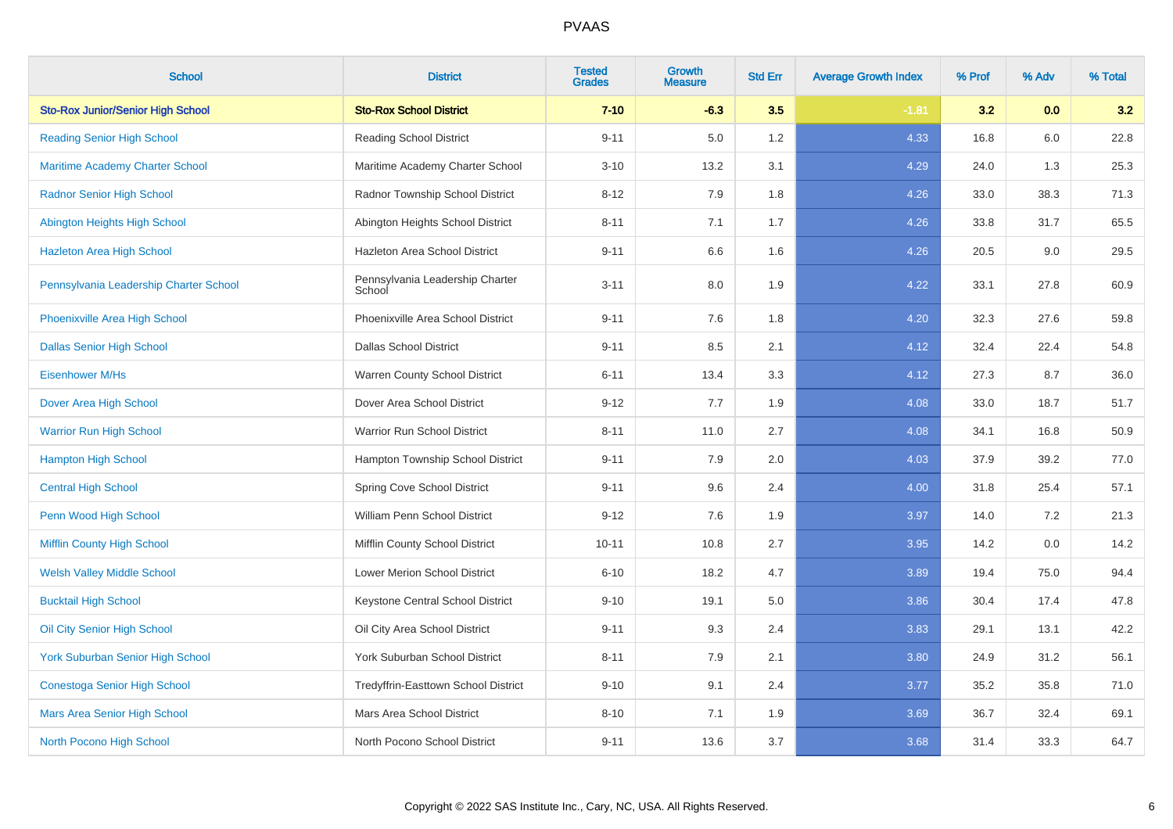| <b>School</b>                            | <b>District</b>                           | <b>Tested</b><br><b>Grades</b> | <b>Growth</b><br><b>Measure</b> | <b>Std Err</b> | <b>Average Growth Index</b> | % Prof | % Adv | % Total |
|------------------------------------------|-------------------------------------------|--------------------------------|---------------------------------|----------------|-----------------------------|--------|-------|---------|
| <b>Sto-Rox Junior/Senior High School</b> | <b>Sto-Rox School District</b>            | $7 - 10$                       | $-6.3$                          | 3.5            | $-1.81$                     | 3.2    | 0.0   | 3.2     |
| <b>Reading Senior High School</b>        | <b>Reading School District</b>            | $9 - 11$                       | 5.0                             | 1.2            | 4.33                        | 16.8   | 6.0   | 22.8    |
| <b>Maritime Academy Charter School</b>   | Maritime Academy Charter School           | $3 - 10$                       | 13.2                            | 3.1            | 4.29                        | 24.0   | 1.3   | 25.3    |
| <b>Radnor Senior High School</b>         | Radnor Township School District           | $8 - 12$                       | 7.9                             | 1.8            | 4.26                        | 33.0   | 38.3  | 71.3    |
| Abington Heights High School             | Abington Heights School District          | $8 - 11$                       | 7.1                             | 1.7            | 4.26                        | 33.8   | 31.7  | 65.5    |
| <b>Hazleton Area High School</b>         | Hazleton Area School District             | $9 - 11$                       | 6.6                             | 1.6            | 4.26                        | 20.5   | 9.0   | 29.5    |
| Pennsylvania Leadership Charter School   | Pennsylvania Leadership Charter<br>School | $3 - 11$                       | 8.0                             | 1.9            | 4.22                        | 33.1   | 27.8  | 60.9    |
| Phoenixville Area High School            | Phoenixville Area School District         | $9 - 11$                       | 7.6                             | 1.8            | 4.20                        | 32.3   | 27.6  | 59.8    |
| <b>Dallas Senior High School</b>         | <b>Dallas School District</b>             | $9 - 11$                       | 8.5                             | 2.1            | 4.12                        | 32.4   | 22.4  | 54.8    |
| Eisenhower M/Hs                          | Warren County School District             | $6 - 11$                       | 13.4                            | 3.3            | 4.12                        | 27.3   | 8.7   | 36.0    |
| Dover Area High School                   | Dover Area School District                | $9 - 12$                       | 7.7                             | 1.9            | 4.08                        | 33.0   | 18.7  | 51.7    |
| <b>Warrior Run High School</b>           | Warrior Run School District               | $8 - 11$                       | 11.0                            | 2.7            | 4.08                        | 34.1   | 16.8  | 50.9    |
| <b>Hampton High School</b>               | Hampton Township School District          | $9 - 11$                       | 7.9                             | 2.0            | 4.03                        | 37.9   | 39.2  | 77.0    |
| <b>Central High School</b>               | Spring Cove School District               | $9 - 11$                       | 9.6                             | 2.4            | 4.00                        | 31.8   | 25.4  | 57.1    |
| Penn Wood High School                    | William Penn School District              | $9 - 12$                       | 7.6                             | 1.9            | 3.97                        | 14.0   | 7.2   | 21.3    |
| Mifflin County High School               | Mifflin County School District            | $10 - 11$                      | 10.8                            | 2.7            | 3.95                        | 14.2   | 0.0   | 14.2    |
| <b>Welsh Valley Middle School</b>        | Lower Merion School District              | $6 - 10$                       | 18.2                            | 4.7            | 3.89                        | 19.4   | 75.0  | 94.4    |
| <b>Bucktail High School</b>              | Keystone Central School District          | $9 - 10$                       | 19.1                            | 5.0            | 3.86                        | 30.4   | 17.4  | 47.8    |
| Oil City Senior High School              | Oil City Area School District             | $9 - 11$                       | 9.3                             | 2.4            | 3.83                        | 29.1   | 13.1  | 42.2    |
| <b>York Suburban Senior High School</b>  | York Suburban School District             | $8 - 11$                       | 7.9                             | 2.1            | 3.80                        | 24.9   | 31.2  | 56.1    |
| <b>Conestoga Senior High School</b>      | Tredyffrin-Easttown School District       | $9 - 10$                       | 9.1                             | 2.4            | 3.77                        | 35.2   | 35.8  | 71.0    |
| Mars Area Senior High School             | Mars Area School District                 | $8 - 10$                       | 7.1                             | 1.9            | 3.69                        | 36.7   | 32.4  | 69.1    |
| North Pocono High School                 | North Pocono School District              | $9 - 11$                       | 13.6                            | 3.7            | 3.68                        | 31.4   | 33.3  | 64.7    |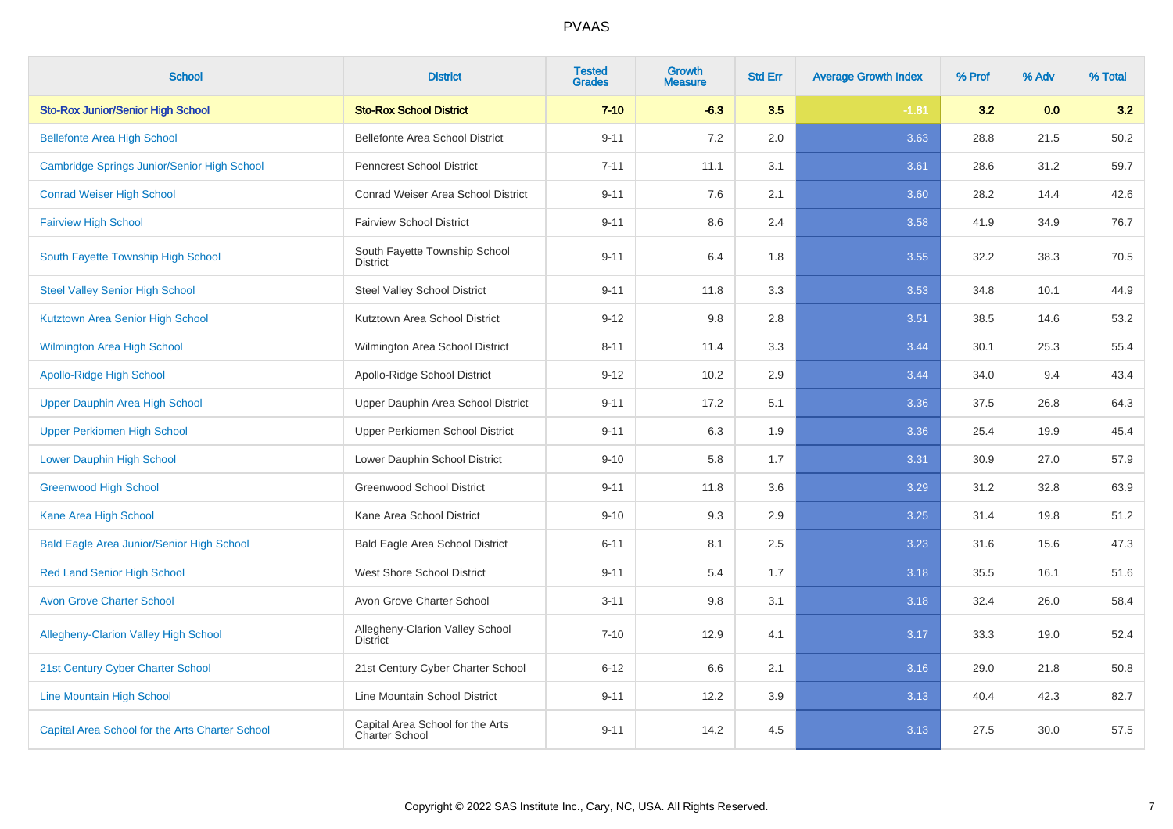| <b>School</b>                                    | <b>District</b>                                    | <b>Tested</b><br><b>Grades</b> | Growth<br><b>Measure</b> | <b>Std Err</b> | <b>Average Growth Index</b> | % Prof | % Adv | % Total |
|--------------------------------------------------|----------------------------------------------------|--------------------------------|--------------------------|----------------|-----------------------------|--------|-------|---------|
| <b>Sto-Rox Junior/Senior High School</b>         | <b>Sto-Rox School District</b>                     | $7 - 10$                       | $-6.3$                   | 3.5            | $-1.81$                     | 3.2    | 0.0   | 3.2     |
| <b>Bellefonte Area High School</b>               | Bellefonte Area School District                    | $9 - 11$                       | 7.2                      | 2.0            | 3.63                        | 28.8   | 21.5  | 50.2    |
| Cambridge Springs Junior/Senior High School      | <b>Penncrest School District</b>                   | $7 - 11$                       | 11.1                     | 3.1            | 3.61                        | 28.6   | 31.2  | 59.7    |
| <b>Conrad Weiser High School</b>                 | Conrad Weiser Area School District                 | $9 - 11$                       | 7.6                      | 2.1            | 3.60                        | 28.2   | 14.4  | 42.6    |
| <b>Fairview High School</b>                      | <b>Fairview School District</b>                    | $9 - 11$                       | 8.6                      | 2.4            | 3.58                        | 41.9   | 34.9  | 76.7    |
| South Fayette Township High School               | South Fayette Township School<br><b>District</b>   | $9 - 11$                       | 6.4                      | 1.8            | 3.55                        | 32.2   | 38.3  | 70.5    |
| <b>Steel Valley Senior High School</b>           | <b>Steel Valley School District</b>                | $9 - 11$                       | 11.8                     | 3.3            | 3.53                        | 34.8   | 10.1  | 44.9    |
| Kutztown Area Senior High School                 | Kutztown Area School District                      | $9 - 12$                       | 9.8                      | 2.8            | 3.51                        | 38.5   | 14.6  | 53.2    |
| <b>Wilmington Area High School</b>               | Wilmington Area School District                    | $8 - 11$                       | 11.4                     | 3.3            | 3.44                        | 30.1   | 25.3  | 55.4    |
| Apollo-Ridge High School                         | Apollo-Ridge School District                       | $9 - 12$                       | 10.2                     | 2.9            | 3.44                        | 34.0   | 9.4   | 43.4    |
| Upper Dauphin Area High School                   | Upper Dauphin Area School District                 | $9 - 11$                       | 17.2                     | 5.1            | 3.36                        | 37.5   | 26.8  | 64.3    |
| <b>Upper Perkiomen High School</b>               | Upper Perkiomen School District                    | $9 - 11$                       | 6.3                      | 1.9            | 3.36                        | 25.4   | 19.9  | 45.4    |
| <b>Lower Dauphin High School</b>                 | Lower Dauphin School District                      | $9 - 10$                       | 5.8                      | 1.7            | 3.31                        | 30.9   | 27.0  | 57.9    |
| <b>Greenwood High School</b>                     | <b>Greenwood School District</b>                   | $9 - 11$                       | 11.8                     | 3.6            | 3.29                        | 31.2   | 32.8  | 63.9    |
| Kane Area High School                            | Kane Area School District                          | $9 - 10$                       | 9.3                      | 2.9            | 3.25                        | 31.4   | 19.8  | 51.2    |
| <b>Bald Eagle Area Junior/Senior High School</b> | <b>Bald Eagle Area School District</b>             | $6 - 11$                       | 8.1                      | 2.5            | 3.23                        | 31.6   | 15.6  | 47.3    |
| <b>Red Land Senior High School</b>               | West Shore School District                         | $9 - 11$                       | 5.4                      | 1.7            | 3.18                        | 35.5   | 16.1  | 51.6    |
| <b>Avon Grove Charter School</b>                 | Avon Grove Charter School                          | $3 - 11$                       | 9.8                      | 3.1            | 3.18                        | 32.4   | 26.0  | 58.4    |
| <b>Allegheny-Clarion Valley High School</b>      | Allegheny-Clarion Valley School<br>District        | $7 - 10$                       | 12.9                     | 4.1            | 3.17                        | 33.3   | 19.0  | 52.4    |
| 21st Century Cyber Charter School                | 21st Century Cyber Charter School                  | $6 - 12$                       | 6.6                      | 2.1            | 3.16                        | 29.0   | 21.8  | 50.8    |
| <b>Line Mountain High School</b>                 | Line Mountain School District                      | $9 - 11$                       | 12.2                     | 3.9            | 3.13                        | 40.4   | 42.3  | 82.7    |
| Capital Area School for the Arts Charter School  | Capital Area School for the Arts<br>Charter School | $9 - 11$                       | 14.2                     | 4.5            | 3.13                        | 27.5   | 30.0  | 57.5    |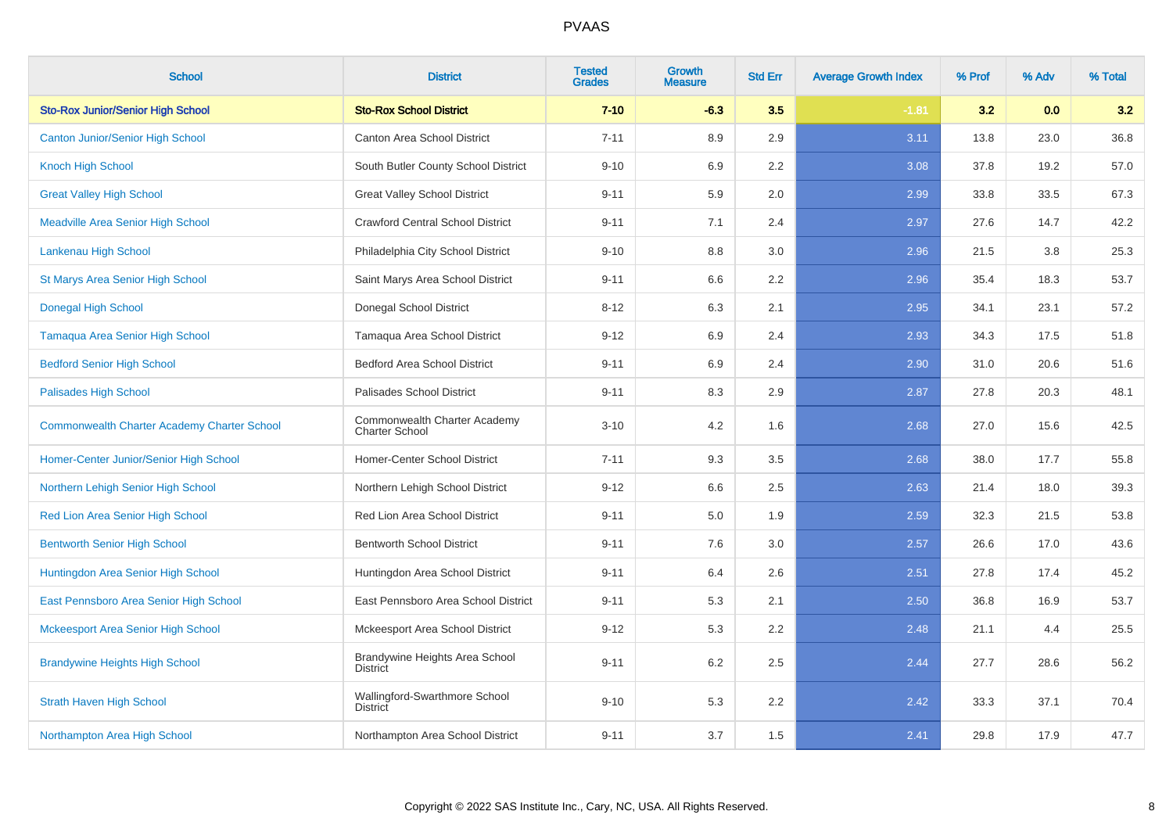| <b>School</b>                                      | <b>District</b>                                       | <b>Tested</b><br><b>Grades</b> | <b>Growth</b><br><b>Measure</b> | <b>Std Err</b> | <b>Average Growth Index</b> | % Prof | % Adv | % Total |
|----------------------------------------------------|-------------------------------------------------------|--------------------------------|---------------------------------|----------------|-----------------------------|--------|-------|---------|
| <b>Sto-Rox Junior/Senior High School</b>           | <b>Sto-Rox School District</b>                        | $7 - 10$                       | $-6.3$                          | 3.5            | $-1.81$                     | 3.2    | 0.0   | 3.2     |
| <b>Canton Junior/Senior High School</b>            | Canton Area School District                           | $7 - 11$                       | 8.9                             | 2.9            | 3.11                        | 13.8   | 23.0  | 36.8    |
| <b>Knoch High School</b>                           | South Butler County School District                   | $9 - 10$                       | 6.9                             | 2.2            | 3.08                        | 37.8   | 19.2  | 57.0    |
| <b>Great Valley High School</b>                    | <b>Great Valley School District</b>                   | $9 - 11$                       | 5.9                             | 2.0            | 2.99                        | 33.8   | 33.5  | 67.3    |
| <b>Meadville Area Senior High School</b>           | <b>Crawford Central School District</b>               | $9 - 11$                       | 7.1                             | 2.4            | 2.97                        | 27.6   | 14.7  | 42.2    |
| Lankenau High School                               | Philadelphia City School District                     | $9 - 10$                       | 8.8                             | 3.0            | 2.96                        | 21.5   | 3.8   | 25.3    |
| St Marys Area Senior High School                   | Saint Marys Area School District                      | $9 - 11$                       | 6.6                             | 2.2            | 2.96                        | 35.4   | 18.3  | 53.7    |
| <b>Donegal High School</b>                         | Donegal School District                               | $8 - 12$                       | 6.3                             | 2.1            | 2.95                        | 34.1   | 23.1  | 57.2    |
| Tamaqua Area Senior High School                    | Tamaqua Area School District                          | $9 - 12$                       | 6.9                             | 2.4            | 2.93                        | 34.3   | 17.5  | 51.8    |
| <b>Bedford Senior High School</b>                  | <b>Bedford Area School District</b>                   | $9 - 11$                       | 6.9                             | 2.4            | 2.90                        | 31.0   | 20.6  | 51.6    |
| <b>Palisades High School</b>                       | Palisades School District                             | $9 - 11$                       | 8.3                             | 2.9            | 2.87                        | 27.8   | 20.3  | 48.1    |
| <b>Commonwealth Charter Academy Charter School</b> | Commonwealth Charter Academy<br><b>Charter School</b> | $3 - 10$                       | 4.2                             | 1.6            | 2.68                        | 27.0   | 15.6  | 42.5    |
| Homer-Center Junior/Senior High School             | Homer-Center School District                          | $7 - 11$                       | 9.3                             | 3.5            | 2.68                        | 38.0   | 17.7  | 55.8    |
| Northern Lehigh Senior High School                 | Northern Lehigh School District                       | $9 - 12$                       | 6.6                             | 2.5            | 2.63                        | 21.4   | 18.0  | 39.3    |
| Red Lion Area Senior High School                   | Red Lion Area School District                         | $9 - 11$                       | 5.0                             | 1.9            | 2.59                        | 32.3   | 21.5  | 53.8    |
| <b>Bentworth Senior High School</b>                | <b>Bentworth School District</b>                      | $9 - 11$                       | 7.6                             | 3.0            | 2.57                        | 26.6   | 17.0  | 43.6    |
| Huntingdon Area Senior High School                 | Huntingdon Area School District                       | $9 - 11$                       | 6.4                             | 2.6            | 2.51                        | 27.8   | 17.4  | 45.2    |
| East Pennsboro Area Senior High School             | East Pennsboro Area School District                   | $9 - 11$                       | 5.3                             | 2.1            | 2.50                        | 36.8   | 16.9  | 53.7    |
| <b>Mckeesport Area Senior High School</b>          | Mckeesport Area School District                       | $9 - 12$                       | 5.3                             | 2.2            | 2.48                        | 21.1   | 4.4   | 25.5    |
| <b>Brandywine Heights High School</b>              | Brandywine Heights Area School<br><b>District</b>     | $9 - 11$                       | 6.2                             | 2.5            | 2.44                        | 27.7   | 28.6  | 56.2    |
| <b>Strath Haven High School</b>                    | Wallingford-Swarthmore School<br><b>District</b>      | $9 - 10$                       | 5.3                             | 2.2            | 2.42                        | 33.3   | 37.1  | 70.4    |
| Northampton Area High School                       | Northampton Area School District                      | $9 - 11$                       | 3.7                             | 1.5            | 2.41                        | 29.8   | 17.9  | 47.7    |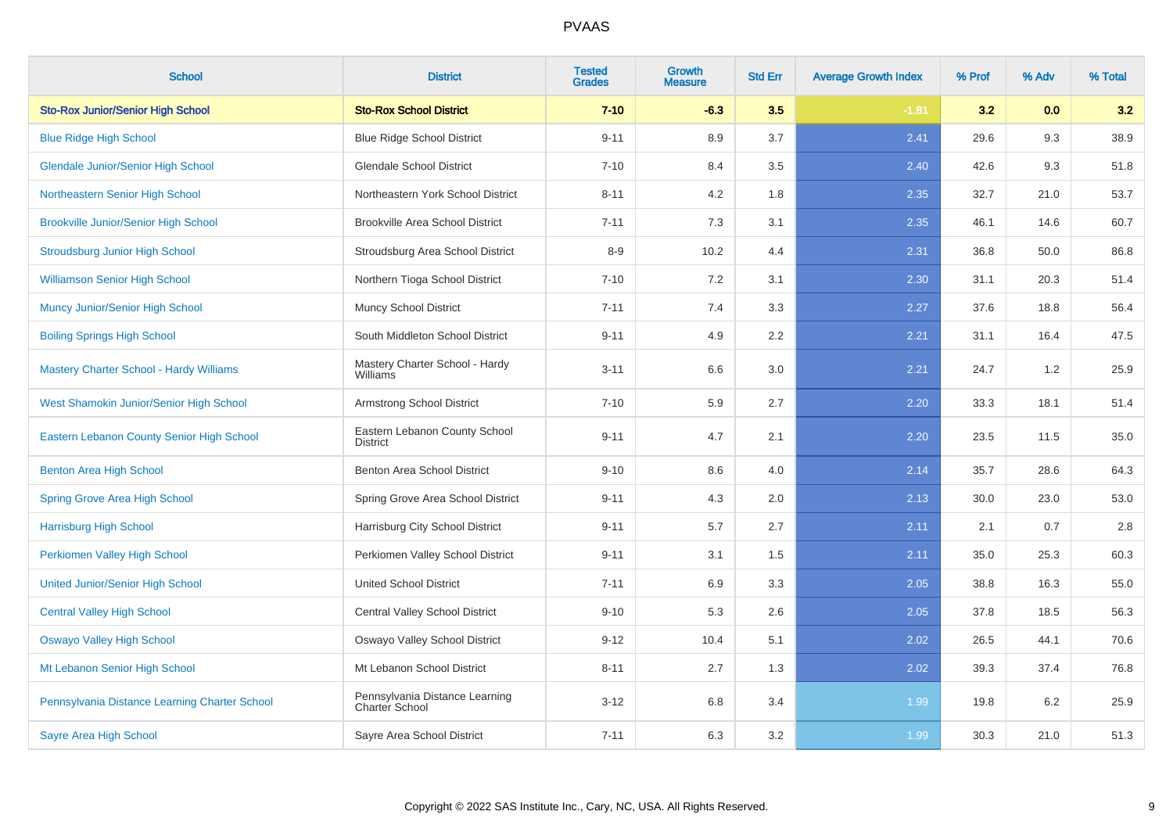| <b>School</b>                                  | <b>District</b>                                  | <b>Tested</b><br><b>Grades</b> | <b>Growth</b><br><b>Measure</b> | <b>Std Err</b> | <b>Average Growth Index</b> | % Prof | % Adv | % Total |
|------------------------------------------------|--------------------------------------------------|--------------------------------|---------------------------------|----------------|-----------------------------|--------|-------|---------|
| <b>Sto-Rox Junior/Senior High School</b>       | <b>Sto-Rox School District</b>                   | $7 - 10$                       | $-6.3$                          | 3.5            | $-1.81$                     | 3.2    | 0.0   | 3.2     |
| <b>Blue Ridge High School</b>                  | <b>Blue Ridge School District</b>                | $9 - 11$                       | 8.9                             | 3.7            | 2.41                        | 29.6   | 9.3   | 38.9    |
| <b>Glendale Junior/Senior High School</b>      | <b>Glendale School District</b>                  | $7 - 10$                       | 8.4                             | 3.5            | 2.40                        | 42.6   | 9.3   | 51.8    |
| Northeastern Senior High School                | Northeastern York School District                | $8 - 11$                       | 4.2                             | 1.8            | 2.35                        | 32.7   | 21.0  | 53.7    |
| <b>Brookville Junior/Senior High School</b>    | <b>Brookville Area School District</b>           | $7 - 11$                       | 7.3                             | 3.1            | 2.35                        | 46.1   | 14.6  | 60.7    |
| <b>Stroudsburg Junior High School</b>          | Stroudsburg Area School District                 | $8 - 9$                        | 10.2                            | 4.4            | 2.31                        | 36.8   | 50.0  | 86.8    |
| <b>Williamson Senior High School</b>           | Northern Tioga School District                   | $7 - 10$                       | 7.2                             | 3.1            | 2.30                        | 31.1   | 20.3  | 51.4    |
| Muncy Junior/Senior High School                | <b>Muncy School District</b>                     | $7 - 11$                       | 7.4                             | 3.3            | 2.27                        | 37.6   | 18.8  | 56.4    |
| <b>Boiling Springs High School</b>             | South Middleton School District                  | $9 - 11$                       | 4.9                             | 2.2            | 2.21                        | 31.1   | 16.4  | 47.5    |
| <b>Mastery Charter School - Hardy Williams</b> | Mastery Charter School - Hardy<br>Williams       | $3 - 11$                       | 6.6                             | 3.0            | 2.21                        | 24.7   | 1.2   | 25.9    |
| West Shamokin Junior/Senior High School        | Armstrong School District                        | $7 - 10$                       | 5.9                             | 2.7            | 2.20                        | 33.3   | 18.1  | 51.4    |
| Eastern Lebanon County Senior High School      | Eastern Lebanon County School<br>District        | $9 - 11$                       | 4.7                             | 2.1            | 2.20                        | 23.5   | 11.5  | 35.0    |
| <b>Benton Area High School</b>                 | Benton Area School District                      | $9 - 10$                       | 8.6                             | 4.0            | 2.14                        | 35.7   | 28.6  | 64.3    |
| <b>Spring Grove Area High School</b>           | Spring Grove Area School District                | $9 - 11$                       | 4.3                             | 2.0            | 2.13                        | 30.0   | 23.0  | 53.0    |
| <b>Harrisburg High School</b>                  | Harrisburg City School District                  | $9 - 11$                       | 5.7                             | 2.7            | 2.11                        | 2.1    | 0.7   | $2.8\,$ |
| Perkiomen Valley High School                   | Perkiomen Valley School District                 | $9 - 11$                       | 3.1                             | 1.5            | 2.11                        | 35.0   | 25.3  | 60.3    |
| <b>United Junior/Senior High School</b>        | United School District                           | $7 - 11$                       | 6.9                             | 3.3            | 2.05                        | 38.8   | 16.3  | 55.0    |
| <b>Central Valley High School</b>              | Central Valley School District                   | $9 - 10$                       | 5.3                             | 2.6            | 2.05                        | 37.8   | 18.5  | 56.3    |
| <b>Oswayo Valley High School</b>               | Oswayo Valley School District                    | $9 - 12$                       | 10.4                            | 5.1            | 2.02                        | 26.5   | 44.1  | 70.6    |
| Mt Lebanon Senior High School                  | Mt Lebanon School District                       | $8 - 11$                       | 2.7                             | 1.3            | 2.02                        | 39.3   | 37.4  | 76.8    |
| Pennsylvania Distance Learning Charter School  | Pennsylvania Distance Learning<br>Charter School | $3 - 12$                       | 6.8                             | 3.4            | 1.99                        | 19.8   | 6.2   | 25.9    |
| <b>Sayre Area High School</b>                  | Sayre Area School District                       | $7 - 11$                       | 6.3                             | 3.2            | 1.99                        | 30.3   | 21.0  | 51.3    |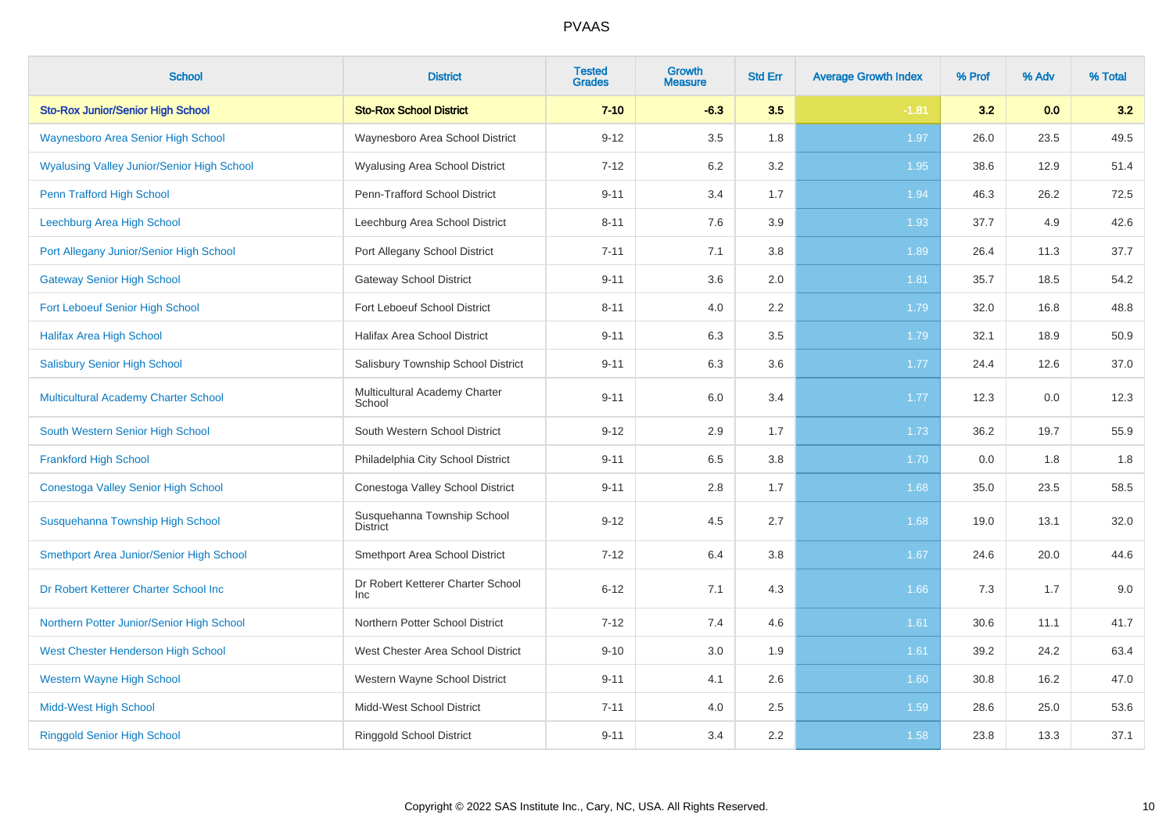| <b>School</b>                                     | <b>District</b>                                 | <b>Tested</b><br><b>Grades</b> | <b>Growth</b><br><b>Measure</b> | <b>Std Err</b> | <b>Average Growth Index</b> | % Prof | % Adv | % Total |
|---------------------------------------------------|-------------------------------------------------|--------------------------------|---------------------------------|----------------|-----------------------------|--------|-------|---------|
| <b>Sto-Rox Junior/Senior High School</b>          | <b>Sto-Rox School District</b>                  | $7 - 10$                       | $-6.3$                          | 3.5            | $-1.81$                     | 3.2    | 0.0   | 3.2     |
| <b>Waynesboro Area Senior High School</b>         | Waynesboro Area School District                 | $9 - 12$                       | 3.5                             | 1.8            | 1.97                        | 26.0   | 23.5  | 49.5    |
| <b>Wyalusing Valley Junior/Senior High School</b> | <b>Wyalusing Area School District</b>           | $7 - 12$                       | 6.2                             | 3.2            | 1.95                        | 38.6   | 12.9  | 51.4    |
| Penn Trafford High School                         | Penn-Trafford School District                   | $9 - 11$                       | 3.4                             | 1.7            | 1.94                        | 46.3   | 26.2  | 72.5    |
| Leechburg Area High School                        | Leechburg Area School District                  | $8 - 11$                       | 7.6                             | 3.9            | 1.93                        | 37.7   | 4.9   | 42.6    |
| Port Allegany Junior/Senior High School           | Port Allegany School District                   | $7 - 11$                       | 7.1                             | 3.8            | 1.89                        | 26.4   | 11.3  | 37.7    |
| <b>Gateway Senior High School</b>                 | <b>Gateway School District</b>                  | $9 - 11$                       | 3.6                             | 2.0            | 1.81                        | 35.7   | 18.5  | 54.2    |
| Fort Leboeuf Senior High School                   | Fort Leboeuf School District                    | $8 - 11$                       | 4.0                             | 2.2            | 1.79                        | 32.0   | 16.8  | 48.8    |
| <b>Halifax Area High School</b>                   | Halifax Area School District                    | $9 - 11$                       | 6.3                             | 3.5            | 1.79                        | 32.1   | 18.9  | 50.9    |
| <b>Salisbury Senior High School</b>               | Salisbury Township School District              | $9 - 11$                       | 6.3                             | 3.6            | 1.77                        | 24.4   | 12.6  | 37.0    |
| Multicultural Academy Charter School              | Multicultural Academy Charter<br>School         | $9 - 11$                       | 6.0                             | 3.4            | 1.77                        | 12.3   | 0.0   | 12.3    |
| South Western Senior High School                  | South Western School District                   | $9 - 12$                       | 2.9                             | 1.7            | 1.73                        | 36.2   | 19.7  | 55.9    |
| <b>Frankford High School</b>                      | Philadelphia City School District               | $9 - 11$                       | 6.5                             | 3.8            | 1.70                        | 0.0    | 1.8   | 1.8     |
| Conestoga Valley Senior High School               | Conestoga Valley School District                | $9 - 11$                       | 2.8                             | 1.7            | 1.68                        | 35.0   | 23.5  | 58.5    |
| Susquehanna Township High School                  | Susquehanna Township School<br><b>District</b>  | $9 - 12$                       | 4.5                             | 2.7            | 1.68                        | 19.0   | 13.1  | 32.0    |
| Smethport Area Junior/Senior High School          | Smethport Area School District                  | $7 - 12$                       | 6.4                             | 3.8            | 1.67                        | 24.6   | 20.0  | 44.6    |
| Dr Robert Ketterer Charter School Inc             | Dr Robert Ketterer Charter School<br><b>Inc</b> | $6 - 12$                       | 7.1                             | 4.3            | 1.66                        | 7.3    | 1.7   | 9.0     |
| Northern Potter Junior/Senior High School         | Northern Potter School District                 | $7 - 12$                       | 7.4                             | 4.6            | 1.61                        | 30.6   | 11.1  | 41.7    |
| West Chester Henderson High School                | West Chester Area School District               | $9 - 10$                       | 3.0                             | 1.9            | 1.61                        | 39.2   | 24.2  | 63.4    |
| <b>Western Wayne High School</b>                  | Western Wayne School District                   | $9 - 11$                       | 4.1                             | 2.6            | 1.60                        | 30.8   | 16.2  | 47.0    |
| <b>Midd-West High School</b>                      | Midd-West School District                       | $7 - 11$                       | 4.0                             | 2.5            | 1.59                        | 28.6   | 25.0  | 53.6    |
| <b>Ringgold Senior High School</b>                | <b>Ringgold School District</b>                 | $9 - 11$                       | 3.4                             | 2.2            | 1.58                        | 23.8   | 13.3  | 37.1    |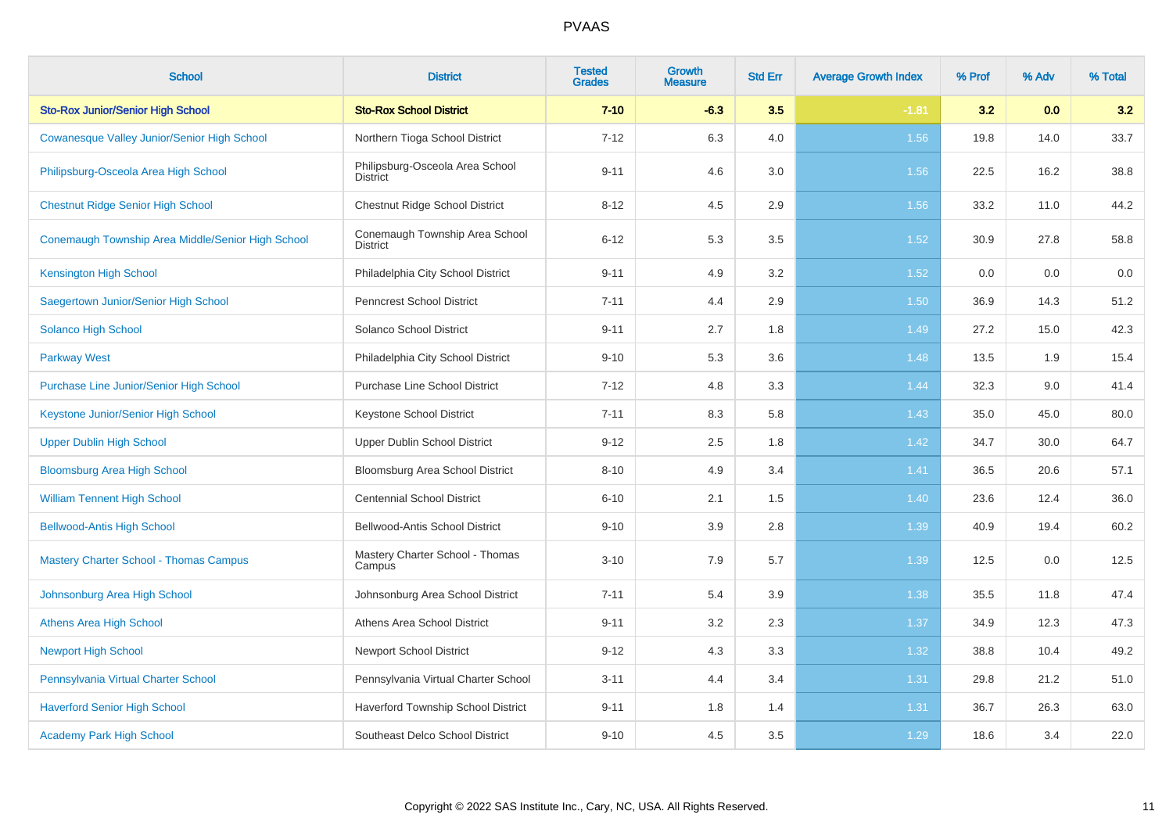| <b>School</b>                                     | <b>District</b>                                    | <b>Tested</b><br><b>Grades</b> | <b>Growth</b><br><b>Measure</b> | <b>Std Err</b> | <b>Average Growth Index</b> | % Prof | % Adv | % Total |
|---------------------------------------------------|----------------------------------------------------|--------------------------------|---------------------------------|----------------|-----------------------------|--------|-------|---------|
| <b>Sto-Rox Junior/Senior High School</b>          | <b>Sto-Rox School District</b>                     | $7 - 10$                       | $-6.3$                          | 3.5            | $-1.81$                     | 3.2    | 0.0   | 3.2     |
| Cowanesque Valley Junior/Senior High School       | Northern Tioga School District                     | $7 - 12$                       | 6.3                             | 4.0            | 1.56                        | 19.8   | 14.0  | 33.7    |
| Philipsburg-Osceola Area High School              | Philipsburg-Osceola Area School<br><b>District</b> | $9 - 11$                       | 4.6                             | 3.0            | 1.56                        | 22.5   | 16.2  | 38.8    |
| <b>Chestnut Ridge Senior High School</b>          | Chestnut Ridge School District                     | $8 - 12$                       | 4.5                             | 2.9            | 1.56                        | 33.2   | 11.0  | 44.2    |
| Conemaugh Township Area Middle/Senior High School | Conemaugh Township Area School<br><b>District</b>  | $6 - 12$                       | 5.3                             | 3.5            | 1.52                        | 30.9   | 27.8  | 58.8    |
| <b>Kensington High School</b>                     | Philadelphia City School District                  | $9 - 11$                       | 4.9                             | 3.2            | $1.52$                      | 0.0    | 0.0   | 0.0     |
| Saegertown Junior/Senior High School              | <b>Penncrest School District</b>                   | $7 - 11$                       | 4.4                             | 2.9            | 1.50                        | 36.9   | 14.3  | 51.2    |
| Solanco High School                               | Solanco School District                            | $9 - 11$                       | 2.7                             | 1.8            | 1.49                        | 27.2   | 15.0  | 42.3    |
| <b>Parkway West</b>                               | Philadelphia City School District                  | $9 - 10$                       | 5.3                             | 3.6            | 1.48                        | 13.5   | 1.9   | 15.4    |
| <b>Purchase Line Junior/Senior High School</b>    | <b>Purchase Line School District</b>               | $7 - 12$                       | 4.8                             | 3.3            | 1.44                        | 32.3   | 9.0   | 41.4    |
| Keystone Junior/Senior High School                | Keystone School District                           | $7 - 11$                       | 8.3                             | 5.8            | 1.43                        | 35.0   | 45.0  | 80.0    |
| <b>Upper Dublin High School</b>                   | Upper Dublin School District                       | $9 - 12$                       | 2.5                             | 1.8            | 1.42                        | 34.7   | 30.0  | 64.7    |
| <b>Bloomsburg Area High School</b>                | Bloomsburg Area School District                    | $8 - 10$                       | 4.9                             | 3.4            | 1.41                        | 36.5   | 20.6  | 57.1    |
| <b>William Tennent High School</b>                | <b>Centennial School District</b>                  | $6 - 10$                       | 2.1                             | 1.5            | 1.40                        | 23.6   | 12.4  | 36.0    |
| <b>Bellwood-Antis High School</b>                 | Bellwood-Antis School District                     | $9 - 10$                       | 3.9                             | 2.8            | 1.39                        | 40.9   | 19.4  | 60.2    |
| <b>Mastery Charter School - Thomas Campus</b>     | Mastery Charter School - Thomas<br>Campus          | $3 - 10$                       | 7.9                             | 5.7            | 1.39                        | 12.5   | 0.0   | 12.5    |
| Johnsonburg Area High School                      | Johnsonburg Area School District                   | $7 - 11$                       | 5.4                             | 3.9            | 1.38                        | 35.5   | 11.8  | 47.4    |
| <b>Athens Area High School</b>                    | Athens Area School District                        | $9 - 11$                       | 3.2                             | 2.3            | 1.37                        | 34.9   | 12.3  | 47.3    |
| <b>Newport High School</b>                        | <b>Newport School District</b>                     | $9 - 12$                       | 4.3                             | 3.3            | 1.32                        | 38.8   | 10.4  | 49.2    |
| Pennsylvania Virtual Charter School               | Pennsylvania Virtual Charter School                | $3 - 11$                       | 4.4                             | 3.4            | 1.31                        | 29.8   | 21.2  | 51.0    |
| <b>Haverford Senior High School</b>               | Haverford Township School District                 | $9 - 11$                       | 1.8                             | 1.4            | 1.31                        | 36.7   | 26.3  | 63.0    |
| <b>Academy Park High School</b>                   | Southeast Delco School District                    | $9 - 10$                       | 4.5                             | 3.5            | 1.29                        | 18.6   | 3.4   | 22.0    |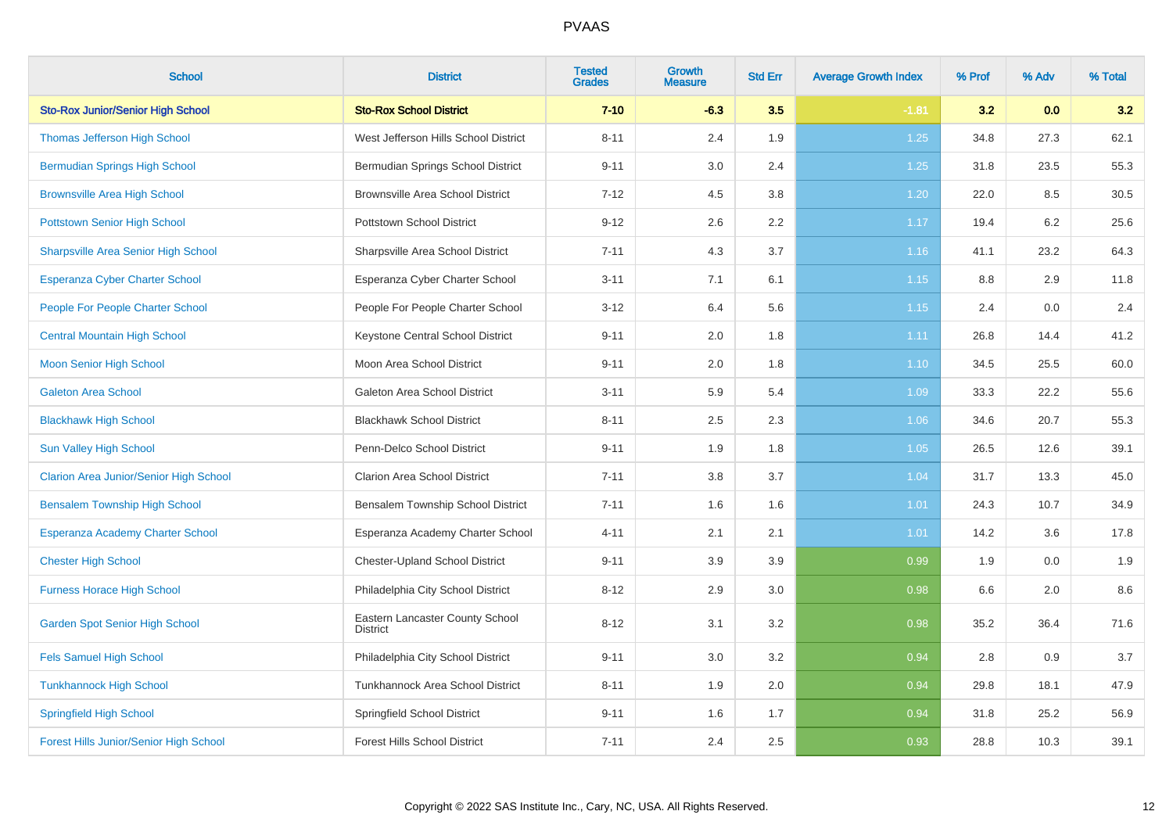| <b>School</b>                                 | <b>District</b>                                    | <b>Tested</b><br><b>Grades</b> | Growth<br><b>Measure</b> | <b>Std Err</b> | <b>Average Growth Index</b> | % Prof | % Adv | % Total |
|-----------------------------------------------|----------------------------------------------------|--------------------------------|--------------------------|----------------|-----------------------------|--------|-------|---------|
| <b>Sto-Rox Junior/Senior High School</b>      | <b>Sto-Rox School District</b>                     | $7 - 10$                       | $-6.3$                   | 3.5            | $-1.81$                     | 3.2    | 0.0   | 3.2     |
| Thomas Jefferson High School                  | West Jefferson Hills School District               | $8 - 11$                       | 2.4                      | 1.9            | 1.25                        | 34.8   | 27.3  | 62.1    |
| <b>Bermudian Springs High School</b>          | Bermudian Springs School District                  | $9 - 11$                       | 3.0                      | 2.4            | 1.25                        | 31.8   | 23.5  | 55.3    |
| <b>Brownsville Area High School</b>           | <b>Brownsville Area School District</b>            | $7 - 12$                       | 4.5                      | 3.8            | 1.20                        | 22.0   | 8.5   | 30.5    |
| <b>Pottstown Senior High School</b>           | Pottstown School District                          | $9 - 12$                       | 2.6                      | 2.2            | 1.17                        | 19.4   | 6.2   | 25.6    |
| <b>Sharpsville Area Senior High School</b>    | Sharpsville Area School District                   | $7 - 11$                       | 4.3                      | 3.7            | 1.16                        | 41.1   | 23.2  | 64.3    |
| Esperanza Cyber Charter School                | Esperanza Cyber Charter School                     | $3 - 11$                       | 7.1                      | 6.1            | 1.15                        | 8.8    | 2.9   | 11.8    |
| <b>People For People Charter School</b>       | People For People Charter School                   | $3 - 12$                       | 6.4                      | 5.6            | 1.15                        | 2.4    | 0.0   | 2.4     |
| <b>Central Mountain High School</b>           | Keystone Central School District                   | $9 - 11$                       | 2.0                      | 1.8            | 1.11                        | 26.8   | 14.4  | 41.2    |
| <b>Moon Senior High School</b>                | Moon Area School District                          | $9 - 11$                       | 2.0                      | 1.8            | 1.10                        | 34.5   | 25.5  | 60.0    |
| <b>Galeton Area School</b>                    | Galeton Area School District                       | $3 - 11$                       | 5.9                      | 5.4            | 1.09                        | 33.3   | 22.2  | 55.6    |
| <b>Blackhawk High School</b>                  | <b>Blackhawk School District</b>                   | $8 - 11$                       | 2.5                      | 2.3            | 1.06                        | 34.6   | 20.7  | 55.3    |
| Sun Valley High School                        | Penn-Delco School District                         | $9 - 11$                       | 1.9                      | 1.8            | 1.05                        | 26.5   | 12.6  | 39.1    |
| <b>Clarion Area Junior/Senior High School</b> | <b>Clarion Area School District</b>                | $7 - 11$                       | 3.8                      | 3.7            | 1.04                        | 31.7   | 13.3  | 45.0    |
| <b>Bensalem Township High School</b>          | Bensalem Township School District                  | $7 - 11$                       | 1.6                      | 1.6            | 1.01                        | 24.3   | 10.7  | 34.9    |
| Esperanza Academy Charter School              | Esperanza Academy Charter School                   | $4 - 11$                       | 2.1                      | 2.1            | 1.01                        | 14.2   | 3.6   | 17.8    |
| <b>Chester High School</b>                    | <b>Chester-Upland School District</b>              | $9 - 11$                       | 3.9                      | 3.9            | 0.99                        | 1.9    | 0.0   | 1.9     |
| <b>Furness Horace High School</b>             | Philadelphia City School District                  | $8 - 12$                       | 2.9                      | 3.0            | 0.98                        | 6.6    | 2.0   | 8.6     |
| <b>Garden Spot Senior High School</b>         | Eastern Lancaster County School<br><b>District</b> | $8 - 12$                       | 3.1                      | 3.2            | 0.98                        | 35.2   | 36.4  | 71.6    |
| <b>Fels Samuel High School</b>                | Philadelphia City School District                  | $9 - 11$                       | 3.0                      | 3.2            | 0.94                        | 2.8    | 0.9   | 3.7     |
| <b>Tunkhannock High School</b>                | Tunkhannock Area School District                   | $8 - 11$                       | 1.9                      | 2.0            | 0.94                        | 29.8   | 18.1  | 47.9    |
| <b>Springfield High School</b>                | Springfield School District                        | $9 - 11$                       | 1.6                      | 1.7            | 0.94                        | 31.8   | 25.2  | 56.9    |
| <b>Forest Hills Junior/Senior High School</b> | <b>Forest Hills School District</b>                | $7 - 11$                       | 2.4                      | 2.5            | 0.93                        | 28.8   | 10.3  | 39.1    |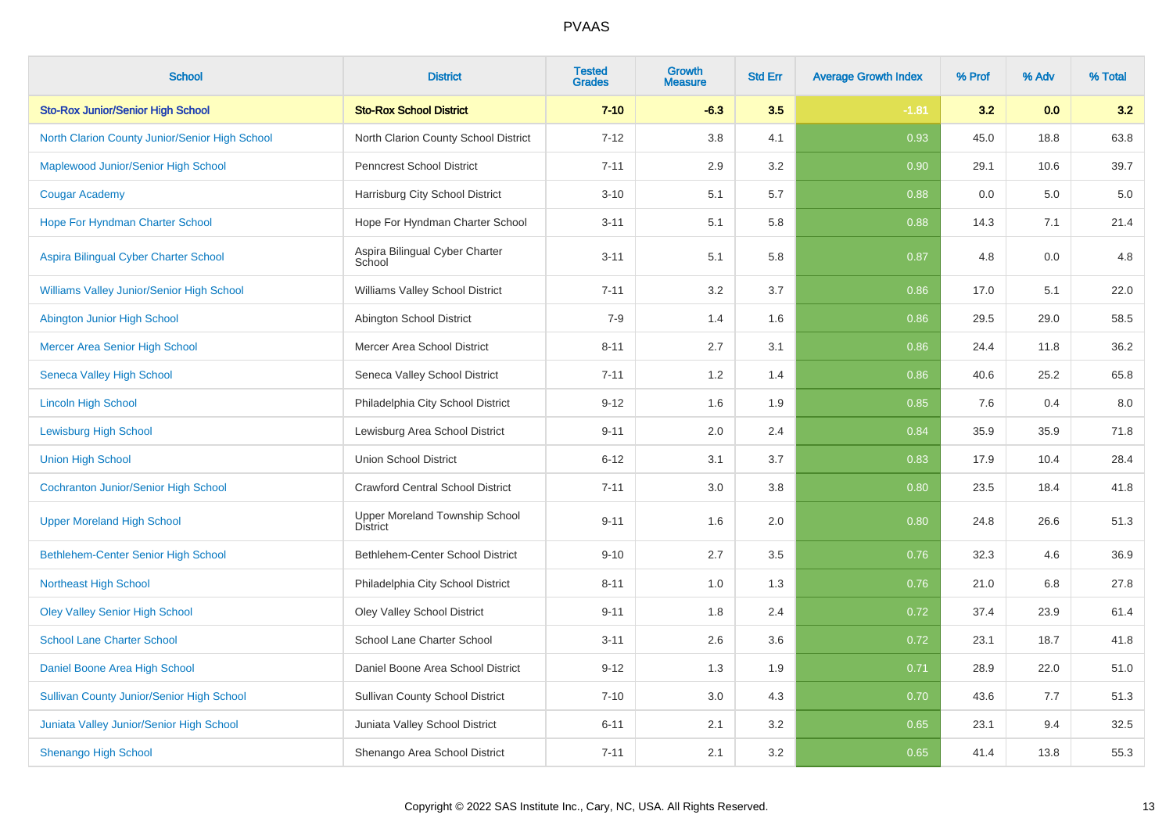| <b>School</b>                                    | <b>District</b>                                   | <b>Tested</b><br><b>Grades</b> | Growth<br><b>Measure</b> | <b>Std Err</b> | <b>Average Growth Index</b> | % Prof | % Adv | % Total |
|--------------------------------------------------|---------------------------------------------------|--------------------------------|--------------------------|----------------|-----------------------------|--------|-------|---------|
| <b>Sto-Rox Junior/Senior High School</b>         | <b>Sto-Rox School District</b>                    | $7 - 10$                       | $-6.3$                   | 3.5            | $-1.81$                     | 3.2    | 0.0   | 3.2     |
| North Clarion County Junior/Senior High School   | North Clarion County School District              | $7 - 12$                       | 3.8                      | 4.1            | 0.93                        | 45.0   | 18.8  | 63.8    |
| Maplewood Junior/Senior High School              | <b>Penncrest School District</b>                  | $7 - 11$                       | 2.9                      | 3.2            | 0.90                        | 29.1   | 10.6  | 39.7    |
| <b>Cougar Academy</b>                            | Harrisburg City School District                   | $3 - 10$                       | 5.1                      | 5.7            | 0.88                        | 0.0    | 5.0   | $5.0\,$ |
| Hope For Hyndman Charter School                  | Hope For Hyndman Charter School                   | $3 - 11$                       | 5.1                      | 5.8            | 0.88                        | 14.3   | 7.1   | 21.4    |
| Aspira Bilingual Cyber Charter School            | Aspira Bilingual Cyber Charter<br>School          | $3 - 11$                       | 5.1                      | 5.8            | 0.87                        | 4.8    | 0.0   | 4.8     |
| Williams Valley Junior/Senior High School        | Williams Valley School District                   | $7 - 11$                       | 3.2                      | 3.7            | 0.86                        | 17.0   | 5.1   | 22.0    |
| Abington Junior High School                      | Abington School District                          | $7 - 9$                        | 1.4                      | 1.6            | 0.86                        | 29.5   | 29.0  | 58.5    |
| Mercer Area Senior High School                   | Mercer Area School District                       | $8 - 11$                       | 2.7                      | 3.1            | 0.86                        | 24.4   | 11.8  | 36.2    |
| <b>Seneca Valley High School</b>                 | Seneca Valley School District                     | $7 - 11$                       | 1.2                      | 1.4            | 0.86                        | 40.6   | 25.2  | 65.8    |
| <b>Lincoln High School</b>                       | Philadelphia City School District                 | $9 - 12$                       | 1.6                      | 1.9            | 0.85                        | 7.6    | 0.4   | 8.0     |
| <b>Lewisburg High School</b>                     | Lewisburg Area School District                    | $9 - 11$                       | 2.0                      | 2.4            | 0.84                        | 35.9   | 35.9  | 71.8    |
| <b>Union High School</b>                         | <b>Union School District</b>                      | $6 - 12$                       | 3.1                      | 3.7            | 0.83                        | 17.9   | 10.4  | 28.4    |
| <b>Cochranton Junior/Senior High School</b>      | <b>Crawford Central School District</b>           | $7 - 11$                       | 3.0                      | 3.8            | 0.80                        | 23.5   | 18.4  | 41.8    |
| <b>Upper Moreland High School</b>                | Upper Moreland Township School<br><b>District</b> | $9 - 11$                       | 1.6                      | 2.0            | 0.80                        | 24.8   | 26.6  | 51.3    |
| <b>Bethlehem-Center Senior High School</b>       | Bethlehem-Center School District                  | $9 - 10$                       | 2.7                      | 3.5            | 0.76                        | 32.3   | 4.6   | 36.9    |
| <b>Northeast High School</b>                     | Philadelphia City School District                 | $8 - 11$                       | 1.0                      | 1.3            | 0.76                        | 21.0   | 6.8   | 27.8    |
| <b>Oley Valley Senior High School</b>            | <b>Oley Valley School District</b>                | $9 - 11$                       | 1.8                      | 2.4            | 0.72                        | 37.4   | 23.9  | 61.4    |
| <b>School Lane Charter School</b>                | School Lane Charter School                        | $3 - 11$                       | 2.6                      | 3.6            | 0.72                        | 23.1   | 18.7  | 41.8    |
| Daniel Boone Area High School                    | Daniel Boone Area School District                 | $9 - 12$                       | 1.3                      | 1.9            | 0.71                        | 28.9   | 22.0  | 51.0    |
| <b>Sullivan County Junior/Senior High School</b> | <b>Sullivan County School District</b>            | $7 - 10$                       | 3.0                      | 4.3            | 0.70                        | 43.6   | 7.7   | 51.3    |
| Juniata Valley Junior/Senior High School         | Juniata Valley School District                    | $6 - 11$                       | 2.1                      | 3.2            | 0.65                        | 23.1   | 9.4   | 32.5    |
| <b>Shenango High School</b>                      | Shenango Area School District                     | $7 - 11$                       | 2.1                      | 3.2            | 0.65                        | 41.4   | 13.8  | 55.3    |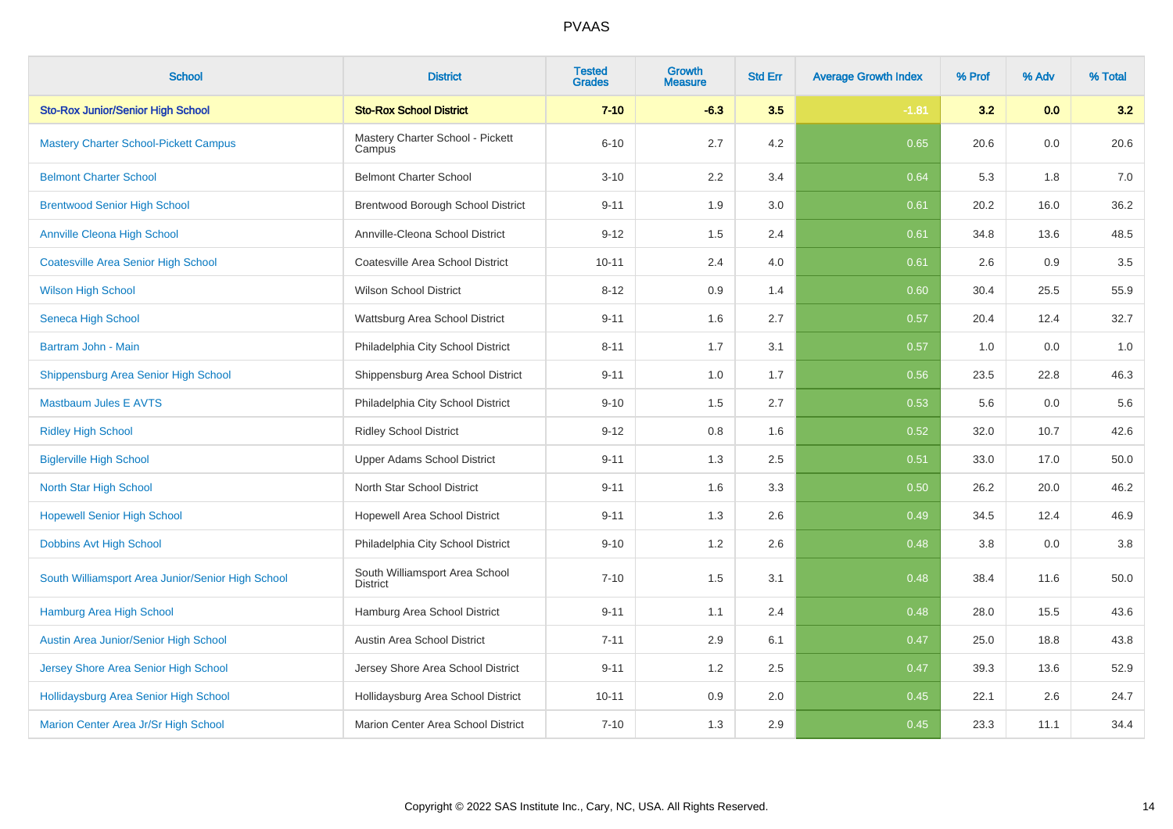| <b>School</b>                                     | <b>District</b>                                   | <b>Tested</b><br><b>Grades</b> | Growth<br><b>Measure</b> | <b>Std Err</b> | <b>Average Growth Index</b> | % Prof | % Adv | % Total |
|---------------------------------------------------|---------------------------------------------------|--------------------------------|--------------------------|----------------|-----------------------------|--------|-------|---------|
| <b>Sto-Rox Junior/Senior High School</b>          | <b>Sto-Rox School District</b>                    | $7 - 10$                       | $-6.3$                   | 3.5            | $-1.81$                     | 3.2    | 0.0   | 3.2     |
| <b>Mastery Charter School-Pickett Campus</b>      | Mastery Charter School - Pickett<br>Campus        | $6 - 10$                       | 2.7                      | 4.2            | 0.65                        | 20.6   | 0.0   | 20.6    |
| <b>Belmont Charter School</b>                     | <b>Belmont Charter School</b>                     | $3 - 10$                       | 2.2                      | 3.4            | 0.64                        | 5.3    | 1.8   | 7.0     |
| <b>Brentwood Senior High School</b>               | Brentwood Borough School District                 | $9 - 11$                       | 1.9                      | 3.0            | 0.61                        | 20.2   | 16.0  | 36.2    |
| <b>Annville Cleona High School</b>                | Annville-Cleona School District                   | $9 - 12$                       | 1.5                      | 2.4            | 0.61                        | 34.8   | 13.6  | 48.5    |
| <b>Coatesville Area Senior High School</b>        | Coatesville Area School District                  | $10 - 11$                      | 2.4                      | 4.0            | 0.61                        | 2.6    | 0.9   | $3.5\,$ |
| <b>Wilson High School</b>                         | <b>Wilson School District</b>                     | $8 - 12$                       | 0.9                      | 1.4            | 0.60                        | 30.4   | 25.5  | 55.9    |
| Seneca High School                                | Wattsburg Area School District                    | $9 - 11$                       | 1.6                      | 2.7            | 0.57                        | 20.4   | 12.4  | 32.7    |
| Bartram John - Main                               | Philadelphia City School District                 | $8 - 11$                       | 1.7                      | 3.1            | 0.57                        | 1.0    | 0.0   | 1.0     |
| Shippensburg Area Senior High School              | Shippensburg Area School District                 | $9 - 11$                       | 1.0                      | 1.7            | 0.56                        | 23.5   | 22.8  | 46.3    |
| <b>Mastbaum Jules E AVTS</b>                      | Philadelphia City School District                 | $9 - 10$                       | 1.5                      | 2.7            | 0.53                        | 5.6    | 0.0   | 5.6     |
| <b>Ridley High School</b>                         | <b>Ridley School District</b>                     | $9 - 12$                       | 0.8                      | 1.6            | 0.52                        | 32.0   | 10.7  | 42.6    |
| <b>Biglerville High School</b>                    | Upper Adams School District                       | $9 - 11$                       | 1.3                      | 2.5            | 0.51                        | 33.0   | 17.0  | 50.0    |
| <b>North Star High School</b>                     | North Star School District                        | $9 - 11$                       | 1.6                      | 3.3            | 0.50                        | 26.2   | 20.0  | 46.2    |
| <b>Hopewell Senior High School</b>                | Hopewell Area School District                     | $9 - 11$                       | 1.3                      | 2.6            | 0.49                        | 34.5   | 12.4  | 46.9    |
| Dobbins Avt High School                           | Philadelphia City School District                 | $9 - 10$                       | 1.2                      | 2.6            | 0.48                        | 3.8    | 0.0   | 3.8     |
| South Williamsport Area Junior/Senior High School | South Williamsport Area School<br><b>District</b> | $7 - 10$                       | 1.5                      | 3.1            | 0.48                        | 38.4   | 11.6  | 50.0    |
| Hamburg Area High School                          | Hamburg Area School District                      | $9 - 11$                       | 1.1                      | 2.4            | 0.48                        | 28.0   | 15.5  | 43.6    |
| Austin Area Junior/Senior High School             | Austin Area School District                       | $7 - 11$                       | 2.9                      | 6.1            | 0.47                        | 25.0   | 18.8  | 43.8    |
| Jersey Shore Area Senior High School              | Jersey Shore Area School District                 | $9 - 11$                       | 1.2                      | 2.5            | 0.47                        | 39.3   | 13.6  | 52.9    |
| Hollidaysburg Area Senior High School             | Hollidaysburg Area School District                | $10 - 11$                      | 0.9                      | 2.0            | 0.45                        | 22.1   | 2.6   | 24.7    |
| Marion Center Area Jr/Sr High School              | Marion Center Area School District                | $7 - 10$                       | 1.3                      | 2.9            | 0.45                        | 23.3   | 11.1  | 34.4    |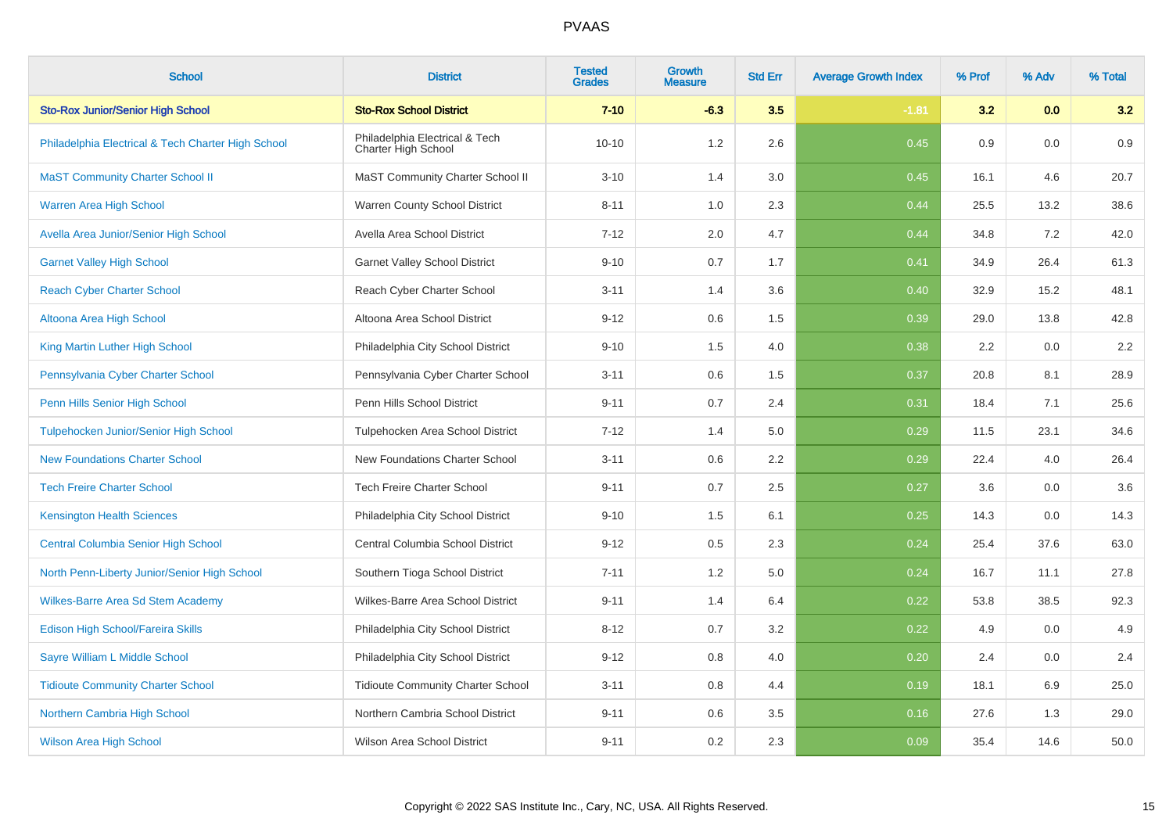| <b>School</b>                                      | <b>District</b>                                       | <b>Tested</b><br><b>Grades</b> | Growth<br>Measure | <b>Std Err</b> | <b>Average Growth Index</b> | % Prof | % Adv | % Total |
|----------------------------------------------------|-------------------------------------------------------|--------------------------------|-------------------|----------------|-----------------------------|--------|-------|---------|
| <b>Sto-Rox Junior/Senior High School</b>           | <b>Sto-Rox School District</b>                        | $7 - 10$                       | $-6.3$            | 3.5            | $-1.81$                     | 3.2    | 0.0   | 3.2     |
| Philadelphia Electrical & Tech Charter High School | Philadelphia Electrical & Tech<br>Charter High School | $10 - 10$                      | 1.2               | 2.6            | 0.45                        | 0.9    | 0.0   | 0.9     |
| <b>MaST Community Charter School II</b>            | MaST Community Charter School II                      | $3 - 10$                       | 1.4               | 3.0            | 0.45                        | 16.1   | 4.6   | 20.7    |
| <b>Warren Area High School</b>                     | Warren County School District                         | $8 - 11$                       | 1.0               | 2.3            | 0.44                        | 25.5   | 13.2  | 38.6    |
| Avella Area Junior/Senior High School              | Avella Area School District                           | $7 - 12$                       | 2.0               | 4.7            | 0.44                        | 34.8   | 7.2   | 42.0    |
| <b>Garnet Valley High School</b>                   | <b>Garnet Valley School District</b>                  | $9 - 10$                       | 0.7               | 1.7            | 0.41                        | 34.9   | 26.4  | 61.3    |
| <b>Reach Cyber Charter School</b>                  | Reach Cyber Charter School                            | $3 - 11$                       | 1.4               | 3.6            | 0.40                        | 32.9   | 15.2  | 48.1    |
| Altoona Area High School                           | Altoona Area School District                          | $9 - 12$                       | 0.6               | 1.5            | 0.39                        | 29.0   | 13.8  | 42.8    |
| King Martin Luther High School                     | Philadelphia City School District                     | $9 - 10$                       | 1.5               | 4.0            | 0.38                        | 2.2    | 0.0   | $2.2\,$ |
| Pennsylvania Cyber Charter School                  | Pennsylvania Cyber Charter School                     | $3 - 11$                       | $0.6\,$           | 1.5            | 0.37                        | 20.8   | 8.1   | 28.9    |
| Penn Hills Senior High School                      | Penn Hills School District                            | $9 - 11$                       | 0.7               | 2.4            | 0.31                        | 18.4   | 7.1   | 25.6    |
| <b>Tulpehocken Junior/Senior High School</b>       | Tulpehocken Area School District                      | $7 - 12$                       | 1.4               | 5.0            | 0.29                        | 11.5   | 23.1  | 34.6    |
| <b>New Foundations Charter School</b>              | New Foundations Charter School                        | $3 - 11$                       | 0.6               | 2.2            | 0.29                        | 22.4   | 4.0   | 26.4    |
| <b>Tech Freire Charter School</b>                  | <b>Tech Freire Charter School</b>                     | $9 - 11$                       | 0.7               | 2.5            | 0.27                        | 3.6    | 0.0   | 3.6     |
| <b>Kensington Health Sciences</b>                  | Philadelphia City School District                     | $9 - 10$                       | 1.5               | 6.1            | 0.25                        | 14.3   | 0.0   | 14.3    |
| Central Columbia Senior High School                | Central Columbia School District                      | $9 - 12$                       | 0.5               | 2.3            | 0.24                        | 25.4   | 37.6  | 63.0    |
| North Penn-Liberty Junior/Senior High School       | Southern Tioga School District                        | $7 - 11$                       | 1.2               | 5.0            | 0.24                        | 16.7   | 11.1  | 27.8    |
| Wilkes-Barre Area Sd Stem Academy                  | Wilkes-Barre Area School District                     | $9 - 11$                       | 1.4               | 6.4            | 0.22                        | 53.8   | 38.5  | 92.3    |
| Edison High School/Fareira Skills                  | Philadelphia City School District                     | $8 - 12$                       | 0.7               | 3.2            | 0.22                        | 4.9    | 0.0   | 4.9     |
| Sayre William L Middle School                      | Philadelphia City School District                     | $9 - 12$                       | 0.8               | 4.0            | 0.20                        | 2.4    | 0.0   | 2.4     |
| <b>Tidioute Community Charter School</b>           | <b>Tidioute Community Charter School</b>              | $3 - 11$                       | 0.8               | 4.4            | 0.19                        | 18.1   | 6.9   | 25.0    |
| Northern Cambria High School                       | Northern Cambria School District                      | $9 - 11$                       | 0.6               | 3.5            | 0.16                        | 27.6   | 1.3   | 29.0    |
| <b>Wilson Area High School</b>                     | Wilson Area School District                           | $9 - 11$                       | 0.2               | 2.3            | 0.09                        | 35.4   | 14.6  | 50.0    |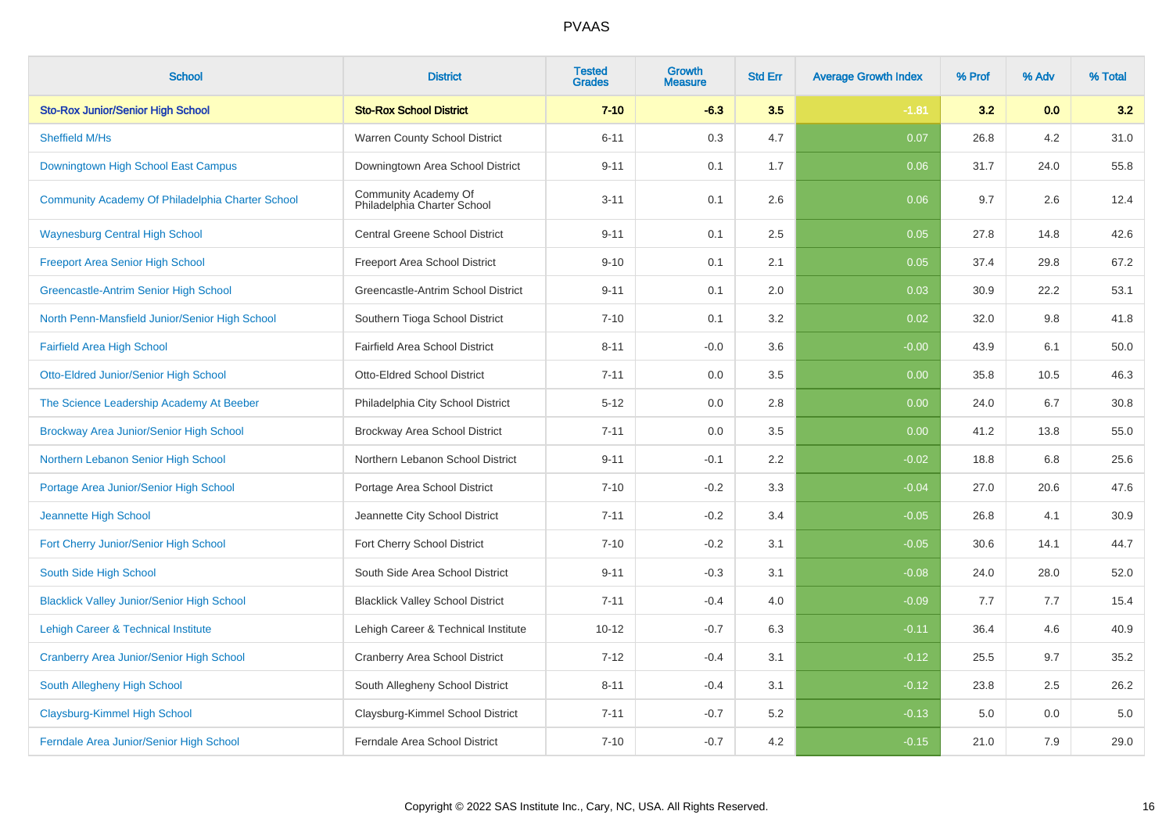| <b>School</b>                                     | <b>District</b>                                     | <b>Tested</b><br><b>Grades</b> | Growth<br><b>Measure</b> | <b>Std Err</b> | <b>Average Growth Index</b> | % Prof | % Adv | % Total |
|---------------------------------------------------|-----------------------------------------------------|--------------------------------|--------------------------|----------------|-----------------------------|--------|-------|---------|
| <b>Sto-Rox Junior/Senior High School</b>          | <b>Sto-Rox School District</b>                      | $7 - 10$                       | $-6.3$                   | 3.5            | $-1.81$                     | 3.2    | 0.0   | 3.2     |
| Sheffield M/Hs                                    | Warren County School District                       | $6 - 11$                       | 0.3                      | 4.7            | 0.07                        | 26.8   | 4.2   | 31.0    |
| Downingtown High School East Campus               | Downingtown Area School District                    | $9 - 11$                       | 0.1                      | 1.7            | 0.06                        | 31.7   | 24.0  | 55.8    |
| Community Academy Of Philadelphia Charter School  | Community Academy Of<br>Philadelphia Charter School | $3 - 11$                       | 0.1                      | 2.6            | 0.06                        | 9.7    | 2.6   | 12.4    |
| <b>Waynesburg Central High School</b>             | <b>Central Greene School District</b>               | $9 - 11$                       | 0.1                      | 2.5            | 0.05                        | 27.8   | 14.8  | 42.6    |
| <b>Freeport Area Senior High School</b>           | Freeport Area School District                       | $9 - 10$                       | 0.1                      | 2.1            | 0.05                        | 37.4   | 29.8  | 67.2    |
| Greencastle-Antrim Senior High School             | Greencastle-Antrim School District                  | $9 - 11$                       | 0.1                      | 2.0            | 0.03                        | 30.9   | 22.2  | 53.1    |
| North Penn-Mansfield Junior/Senior High School    | Southern Tioga School District                      | $7 - 10$                       | 0.1                      | 3.2            | 0.02                        | 32.0   | 9.8   | 41.8    |
| <b>Fairfield Area High School</b>                 | Fairfield Area School District                      | $8 - 11$                       | $-0.0$                   | 3.6            | $-0.00$                     | 43.9   | 6.1   | 50.0    |
| Otto-Eldred Junior/Senior High School             | Otto-Eldred School District                         | $7 - 11$                       | 0.0                      | 3.5            | 0.00                        | 35.8   | 10.5  | 46.3    |
| The Science Leadership Academy At Beeber          | Philadelphia City School District                   | $5 - 12$                       | 0.0                      | 2.8            | 0.00                        | 24.0   | 6.7   | 30.8    |
| Brockway Area Junior/Senior High School           | Brockway Area School District                       | $7 - 11$                       | 0.0                      | 3.5            | 0.00                        | 41.2   | 13.8  | 55.0    |
| Northern Lebanon Senior High School               | Northern Lebanon School District                    | $9 - 11$                       | $-0.1$                   | 2.2            | $-0.02$                     | 18.8   | 6.8   | 25.6    |
| Portage Area Junior/Senior High School            | Portage Area School District                        | $7 - 10$                       | $-0.2$                   | 3.3            | $-0.04$                     | 27.0   | 20.6  | 47.6    |
| Jeannette High School                             | Jeannette City School District                      | $7 - 11$                       | $-0.2$                   | 3.4            | $-0.05$                     | 26.8   | 4.1   | 30.9    |
| Fort Cherry Junior/Senior High School             | Fort Cherry School District                         | $7 - 10$                       | $-0.2$                   | 3.1            | $-0.05$                     | 30.6   | 14.1  | 44.7    |
| South Side High School                            | South Side Area School District                     | $9 - 11$                       | $-0.3$                   | 3.1            | $-0.08$                     | 24.0   | 28.0  | 52.0    |
| <b>Blacklick Valley Junior/Senior High School</b> | <b>Blacklick Valley School District</b>             | $7 - 11$                       | $-0.4$                   | 4.0            | $-0.09$                     | 7.7    | 7.7   | 15.4    |
| Lehigh Career & Technical Institute               | Lehigh Career & Technical Institute                 | $10 - 12$                      | $-0.7$                   | 6.3            | $-0.11$                     | 36.4   | 4.6   | 40.9    |
| <b>Cranberry Area Junior/Senior High School</b>   | <b>Cranberry Area School District</b>               | $7 - 12$                       | $-0.4$                   | 3.1            | $-0.12$                     | 25.5   | 9.7   | 35.2    |
| South Allegheny High School                       | South Allegheny School District                     | $8 - 11$                       | $-0.4$                   | 3.1            | $-0.12$                     | 23.8   | 2.5   | 26.2    |
| Claysburg-Kimmel High School                      | Claysburg-Kimmel School District                    | $7 - 11$                       | $-0.7$                   | 5.2            | $-0.13$                     | 5.0    | 0.0   | 5.0     |
| Ferndale Area Junior/Senior High School           | Ferndale Area School District                       | $7 - 10$                       | $-0.7$                   | 4.2            | $-0.15$                     | 21.0   | 7.9   | 29.0    |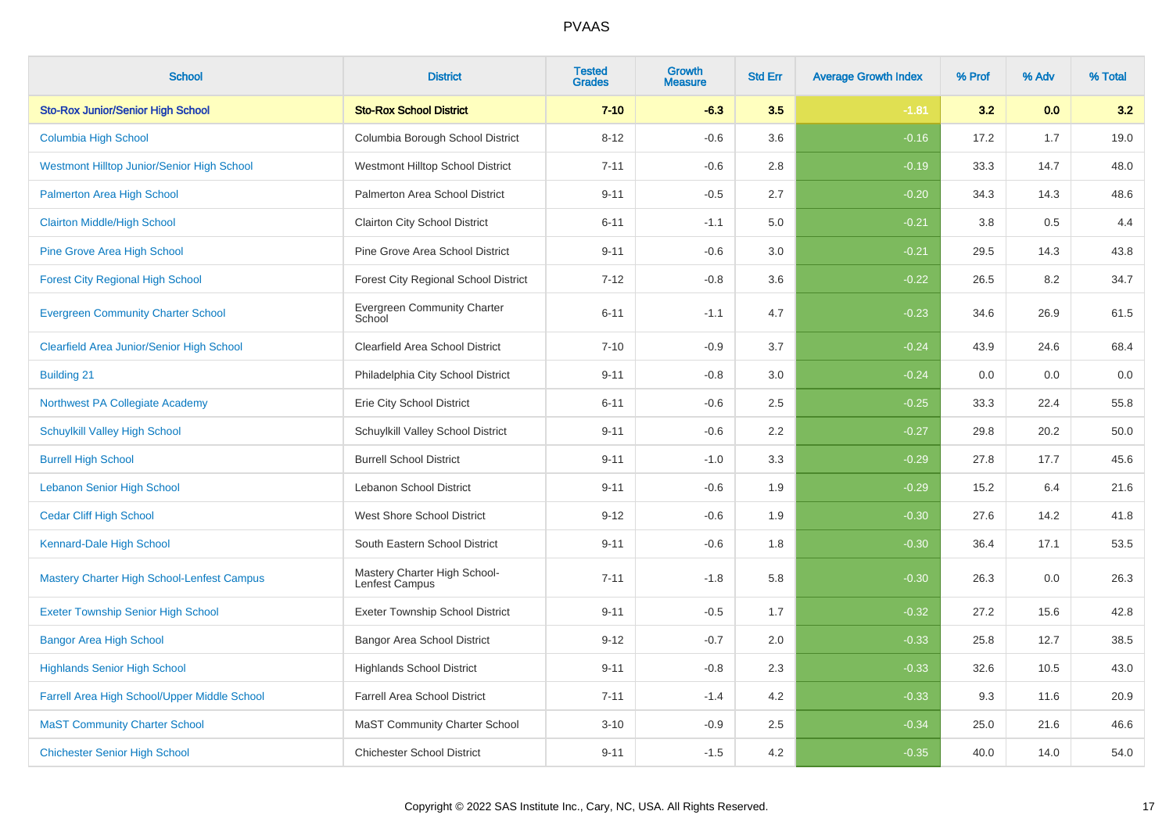| <b>School</b>                                | <b>District</b>                                | <b>Tested</b><br><b>Grades</b> | Growth<br><b>Measure</b> | <b>Std Err</b> | <b>Average Growth Index</b> | % Prof | % Adv | % Total |
|----------------------------------------------|------------------------------------------------|--------------------------------|--------------------------|----------------|-----------------------------|--------|-------|---------|
| <b>Sto-Rox Junior/Senior High School</b>     | <b>Sto-Rox School District</b>                 | $7 - 10$                       | $-6.3$                   | 3.5            | $-1.81$                     | 3.2    | 0.0   | 3.2     |
| <b>Columbia High School</b>                  | Columbia Borough School District               | $8 - 12$                       | $-0.6$                   | 3.6            | $-0.16$                     | 17.2   | 1.7   | 19.0    |
| Westmont Hilltop Junior/Senior High School   | Westmont Hilltop School District               | $7 - 11$                       | $-0.6$                   | 2.8            | $-0.19$                     | 33.3   | 14.7  | 48.0    |
| Palmerton Area High School                   | Palmerton Area School District                 | $9 - 11$                       | $-0.5$                   | 2.7            | $-0.20$                     | 34.3   | 14.3  | 48.6    |
| <b>Clairton Middle/High School</b>           | <b>Clairton City School District</b>           | $6 - 11$                       | $-1.1$                   | 5.0            | $-0.21$                     | 3.8    | 0.5   | 4.4     |
| <b>Pine Grove Area High School</b>           | Pine Grove Area School District                | $9 - 11$                       | $-0.6$                   | 3.0            | $-0.21$                     | 29.5   | 14.3  | 43.8    |
| <b>Forest City Regional High School</b>      | Forest City Regional School District           | $7 - 12$                       | $-0.8$                   | 3.6            | $-0.22$                     | 26.5   | 8.2   | 34.7    |
| <b>Evergreen Community Charter School</b>    | <b>Evergreen Community Charter</b><br>School   | $6 - 11$                       | $-1.1$                   | 4.7            | $-0.23$                     | 34.6   | 26.9  | 61.5    |
| Clearfield Area Junior/Senior High School    | Clearfield Area School District                | $7 - 10$                       | $-0.9$                   | 3.7            | $-0.24$                     | 43.9   | 24.6  | 68.4    |
| <b>Building 21</b>                           | Philadelphia City School District              | $9 - 11$                       | $-0.8$                   | 3.0            | $-0.24$                     | 0.0    | 0.0   | $0.0\,$ |
| Northwest PA Collegiate Academy              | Erie City School District                      | $6 - 11$                       | $-0.6$                   | 2.5            | $-0.25$                     | 33.3   | 22.4  | 55.8    |
| <b>Schuylkill Valley High School</b>         | Schuylkill Valley School District              | $9 - 11$                       | $-0.6$                   | 2.2            | $-0.27$                     | 29.8   | 20.2  | 50.0    |
| <b>Burrell High School</b>                   | <b>Burrell School District</b>                 | $9 - 11$                       | $-1.0$                   | 3.3            | $-0.29$                     | 27.8   | 17.7  | 45.6    |
| <b>Lebanon Senior High School</b>            | Lebanon School District                        | $9 - 11$                       | $-0.6$                   | 1.9            | $-0.29$                     | 15.2   | 6.4   | 21.6    |
| <b>Cedar Cliff High School</b>               | West Shore School District                     | $9 - 12$                       | $-0.6$                   | 1.9            | $-0.30$                     | 27.6   | 14.2  | 41.8    |
| Kennard-Dale High School                     | South Eastern School District                  | $9 - 11$                       | $-0.6$                   | 1.8            | $-0.30$                     | 36.4   | 17.1  | 53.5    |
| Mastery Charter High School-Lenfest Campus   | Mastery Charter High School-<br>Lenfest Campus | $7 - 11$                       | $-1.8$                   | 5.8            | $-0.30$                     | 26.3   | 0.0   | 26.3    |
| <b>Exeter Township Senior High School</b>    | <b>Exeter Township School District</b>         | $9 - 11$                       | $-0.5$                   | 1.7            | $-0.32$                     | 27.2   | 15.6  | 42.8    |
| <b>Bangor Area High School</b>               | <b>Bangor Area School District</b>             | $9 - 12$                       | $-0.7$                   | 2.0            | $-0.33$                     | 25.8   | 12.7  | 38.5    |
| <b>Highlands Senior High School</b>          | <b>Highlands School District</b>               | $9 - 11$                       | $-0.8$                   | 2.3            | $-0.33$                     | 32.6   | 10.5  | 43.0    |
| Farrell Area High School/Upper Middle School | <b>Farrell Area School District</b>            | $7 - 11$                       | $-1.4$                   | 4.2            | $-0.33$                     | 9.3    | 11.6  | 20.9    |
| <b>MaST Community Charter School</b>         | <b>MaST Community Charter School</b>           | $3 - 10$                       | $-0.9$                   | 2.5            | $-0.34$                     | 25.0   | 21.6  | 46.6    |
| <b>Chichester Senior High School</b>         | <b>Chichester School District</b>              | $9 - 11$                       | $-1.5$                   | 4.2            | $-0.35$                     | 40.0   | 14.0  | 54.0    |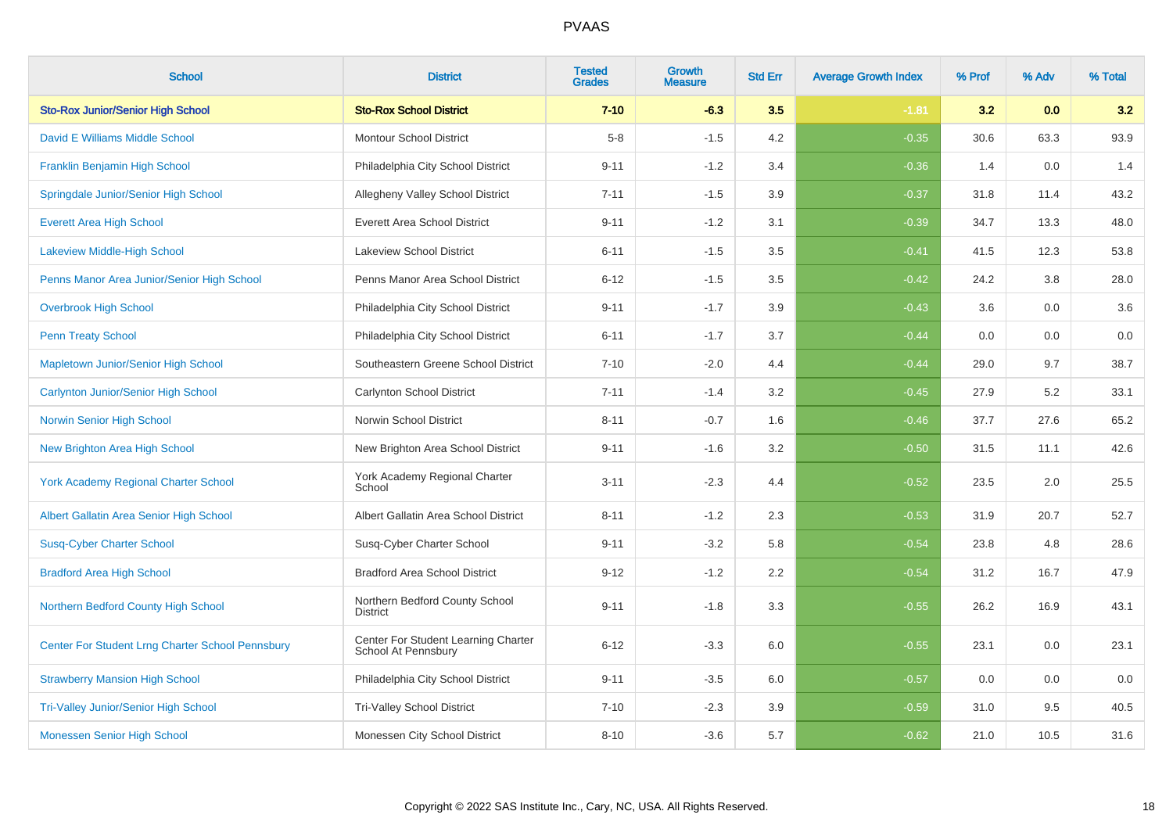| <b>School</b>                                    | <b>District</b>                                            | <b>Tested</b><br><b>Grades</b> | <b>Growth</b><br><b>Measure</b> | <b>Std Err</b> | <b>Average Growth Index</b> | % Prof | % Adv | % Total |
|--------------------------------------------------|------------------------------------------------------------|--------------------------------|---------------------------------|----------------|-----------------------------|--------|-------|---------|
| <b>Sto-Rox Junior/Senior High School</b>         | <b>Sto-Rox School District</b>                             | $7 - 10$                       | $-6.3$                          | 3.5            | $-1.81$                     | 3.2    | 0.0   | 3.2     |
| David E Williams Middle School                   | <b>Montour School District</b>                             | $5-8$                          | $-1.5$                          | 4.2            | $-0.35$                     | 30.6   | 63.3  | 93.9    |
| Franklin Benjamin High School                    | Philadelphia City School District                          | $9 - 11$                       | $-1.2$                          | 3.4            | $-0.36$                     | 1.4    | 0.0   | 1.4     |
| Springdale Junior/Senior High School             | Allegheny Valley School District                           | $7 - 11$                       | $-1.5$                          | 3.9            | $-0.37$                     | 31.8   | 11.4  | 43.2    |
| <b>Everett Area High School</b>                  | <b>Everett Area School District</b>                        | $9 - 11$                       | $-1.2$                          | 3.1            | $-0.39$                     | 34.7   | 13.3  | 48.0    |
| <b>Lakeview Middle-High School</b>               | <b>Lakeview School District</b>                            | $6 - 11$                       | $-1.5$                          | 3.5            | $-0.41$                     | 41.5   | 12.3  | 53.8    |
| Penns Manor Area Junior/Senior High School       | Penns Manor Area School District                           | $6 - 12$                       | $-1.5$                          | 3.5            | $-0.42$                     | 24.2   | 3.8   | 28.0    |
| <b>Overbrook High School</b>                     | Philadelphia City School District                          | $9 - 11$                       | $-1.7$                          | 3.9            | $-0.43$                     | 3.6    | 0.0   | 3.6     |
| <b>Penn Treaty School</b>                        | Philadelphia City School District                          | $6 - 11$                       | $-1.7$                          | 3.7            | $-0.44$                     | 0.0    | 0.0   | 0.0     |
| Mapletown Junior/Senior High School              | Southeastern Greene School District                        | $7 - 10$                       | $-2.0$                          | 4.4            | $-0.44$                     | 29.0   | 9.7   | 38.7    |
| <b>Carlynton Junior/Senior High School</b>       | Carlynton School District                                  | $7 - 11$                       | $-1.4$                          | 3.2            | $-0.45$                     | 27.9   | 5.2   | 33.1    |
| Norwin Senior High School                        | Norwin School District                                     | $8 - 11$                       | $-0.7$                          | 1.6            | $-0.46$                     | 37.7   | 27.6  | 65.2    |
| New Brighton Area High School                    | New Brighton Area School District                          | $9 - 11$                       | $-1.6$                          | 3.2            | $-0.50$                     | 31.5   | 11.1  | 42.6    |
| <b>York Academy Regional Charter School</b>      | York Academy Regional Charter<br>School                    | $3 - 11$                       | $-2.3$                          | 4.4            | $-0.52$                     | 23.5   | 2.0   | 25.5    |
| Albert Gallatin Area Senior High School          | Albert Gallatin Area School District                       | $8 - 11$                       | $-1.2$                          | 2.3            | $-0.53$                     | 31.9   | 20.7  | 52.7    |
| <b>Susq-Cyber Charter School</b>                 | Susq-Cyber Charter School                                  | $9 - 11$                       | $-3.2$                          | 5.8            | $-0.54$                     | 23.8   | 4.8   | 28.6    |
| <b>Bradford Area High School</b>                 | <b>Bradford Area School District</b>                       | $9 - 12$                       | $-1.2$                          | 2.2            | $-0.54$                     | 31.2   | 16.7  | 47.9    |
| Northern Bedford County High School              | Northern Bedford County School<br><b>District</b>          | $9 - 11$                       | $-1.8$                          | 3.3            | $-0.55$                     | 26.2   | 16.9  | 43.1    |
| Center For Student Lrng Charter School Pennsbury | Center For Student Learning Charter<br>School At Pennsbury | $6 - 12$                       | $-3.3$                          | 6.0            | $-0.55$                     | 23.1   | 0.0   | 23.1    |
| <b>Strawberry Mansion High School</b>            | Philadelphia City School District                          | $9 - 11$                       | $-3.5$                          | 6.0            | $-0.57$                     | 0.0    | 0.0   | 0.0     |
| <b>Tri-Valley Junior/Senior High School</b>      | Tri-Valley School District                                 | $7 - 10$                       | $-2.3$                          | 3.9            | $-0.59$                     | 31.0   | 9.5   | 40.5    |
| Monessen Senior High School                      | Monessen City School District                              | $8 - 10$                       | $-3.6$                          | 5.7            | $-0.62$                     | 21.0   | 10.5  | 31.6    |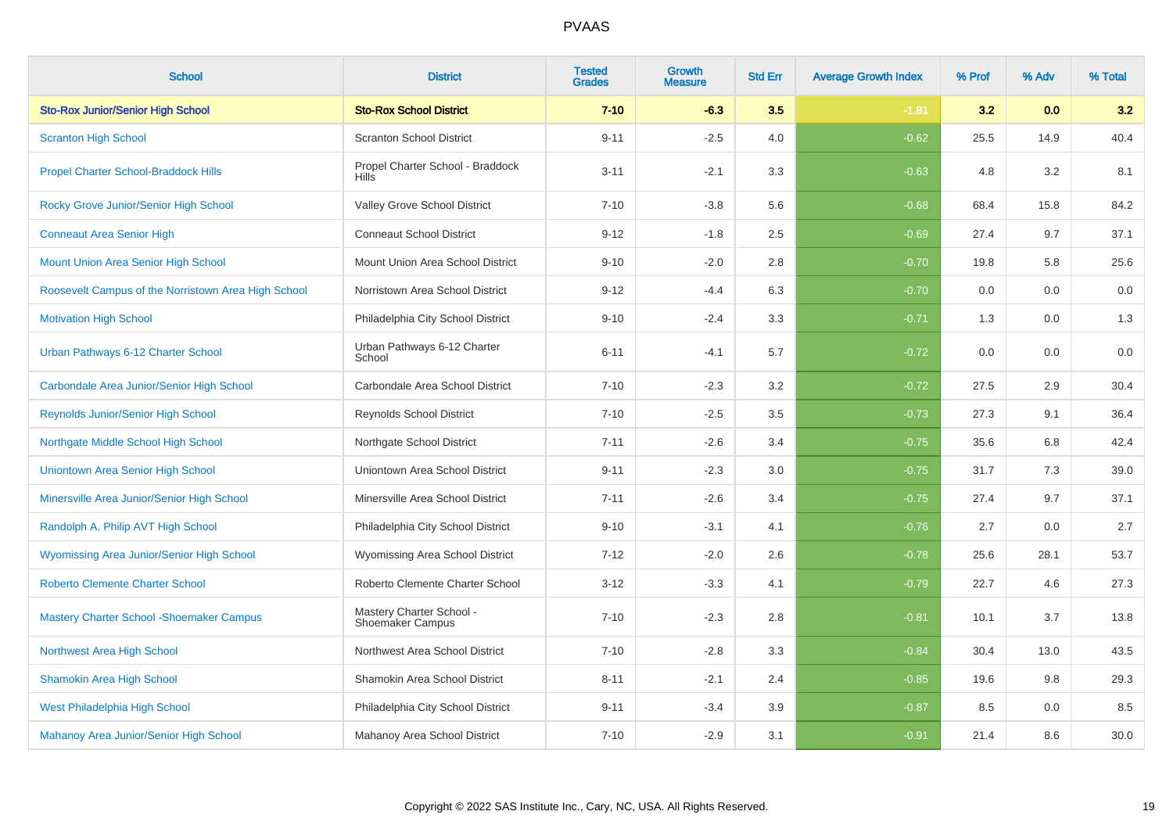| <b>School</b>                                       | <b>District</b>                                     | <b>Tested</b><br><b>Grades</b> | <b>Growth</b><br><b>Measure</b> | <b>Std Err</b> | <b>Average Growth Index</b> | % Prof | % Adv | % Total |
|-----------------------------------------------------|-----------------------------------------------------|--------------------------------|---------------------------------|----------------|-----------------------------|--------|-------|---------|
| <b>Sto-Rox Junior/Senior High School</b>            | <b>Sto-Rox School District</b>                      | $7 - 10$                       | $-6.3$                          | 3.5            | $-1.81$                     | 3.2    | 0.0   | 3.2     |
| <b>Scranton High School</b>                         | <b>Scranton School District</b>                     | $9 - 11$                       | $-2.5$                          | 4.0            | $-0.62$                     | 25.5   | 14.9  | 40.4    |
| <b>Propel Charter School-Braddock Hills</b>         | Propel Charter School - Braddock<br><b>Hills</b>    | $3 - 11$                       | $-2.1$                          | 3.3            | $-0.63$                     | 4.8    | 3.2   | 8.1     |
| Rocky Grove Junior/Senior High School               | Valley Grove School District                        | $7 - 10$                       | $-3.8$                          | 5.6            | $-0.68$                     | 68.4   | 15.8  | 84.2    |
| <b>Conneaut Area Senior High</b>                    | <b>Conneaut School District</b>                     | $9 - 12$                       | $-1.8$                          | 2.5            | $-0.69$                     | 27.4   | 9.7   | 37.1    |
| Mount Union Area Senior High School                 | Mount Union Area School District                    | $9 - 10$                       | $-2.0$                          | 2.8            | $-0.70$                     | 19.8   | 5.8   | 25.6    |
| Roosevelt Campus of the Norristown Area High School | Norristown Area School District                     | $9 - 12$                       | $-4.4$                          | 6.3            | $-0.70$                     | 0.0    | 0.0   | 0.0     |
| <b>Motivation High School</b>                       | Philadelphia City School District                   | $9 - 10$                       | $-2.4$                          | 3.3            | $-0.71$                     | 1.3    | 0.0   | 1.3     |
| Urban Pathways 6-12 Charter School                  | Urban Pathways 6-12 Charter<br>School               | $6 - 11$                       | $-4.1$                          | 5.7            | $-0.72$                     | 0.0    | 0.0   | 0.0     |
| Carbondale Area Junior/Senior High School           | Carbondale Area School District                     | $7 - 10$                       | $-2.3$                          | 3.2            | $-0.72$                     | 27.5   | 2.9   | 30.4    |
| Reynolds Junior/Senior High School                  | Reynolds School District                            | $7 - 10$                       | $-2.5$                          | 3.5            | $-0.73$                     | 27.3   | 9.1   | 36.4    |
| Northgate Middle School High School                 | Northgate School District                           | $7 - 11$                       | $-2.6$                          | 3.4            | $-0.75$                     | 35.6   | 6.8   | 42.4    |
| Uniontown Area Senior High School                   | Uniontown Area School District                      | $9 - 11$                       | $-2.3$                          | 3.0            | $-0.75$                     | 31.7   | 7.3   | 39.0    |
| Minersville Area Junior/Senior High School          | Minersville Area School District                    | $7 - 11$                       | $-2.6$                          | 3.4            | $-0.75$                     | 27.4   | 9.7   | 37.1    |
| Randolph A. Philip AVT High School                  | Philadelphia City School District                   | $9 - 10$                       | $-3.1$                          | 4.1            | $-0.76$                     | 2.7    | 0.0   | 2.7     |
| Wyomissing Area Junior/Senior High School           | Wyomissing Area School District                     | $7 - 12$                       | $-2.0$                          | 2.6            | $-0.78$                     | 25.6   | 28.1  | 53.7    |
| <b>Roberto Clemente Charter School</b>              | Roberto Clemente Charter School                     | $3 - 12$                       | $-3.3$                          | 4.1            | $-0.79$                     | 22.7   | 4.6   | 27.3    |
| <b>Mastery Charter School - Shoemaker Campus</b>    | Mastery Charter School -<br><b>Shoemaker Campus</b> | $7 - 10$                       | $-2.3$                          | 2.8            | $-0.81$                     | 10.1   | 3.7   | 13.8    |
| Northwest Area High School                          | Northwest Area School District                      | $7 - 10$                       | $-2.8$                          | 3.3            | $-0.84$                     | 30.4   | 13.0  | 43.5    |
| <b>Shamokin Area High School</b>                    | Shamokin Area School District                       | $8 - 11$                       | $-2.1$                          | 2.4            | $-0.85$                     | 19.6   | 9.8   | 29.3    |
| West Philadelphia High School                       | Philadelphia City School District                   | $9 - 11$                       | $-3.4$                          | 3.9            | $-0.87$                     | 8.5    | 0.0   | 8.5     |
| Mahanoy Area Junior/Senior High School              | Mahanoy Area School District                        | $7 - 10$                       | $-2.9$                          | 3.1            | $-0.91$                     | 21.4   | 8.6   | 30.0    |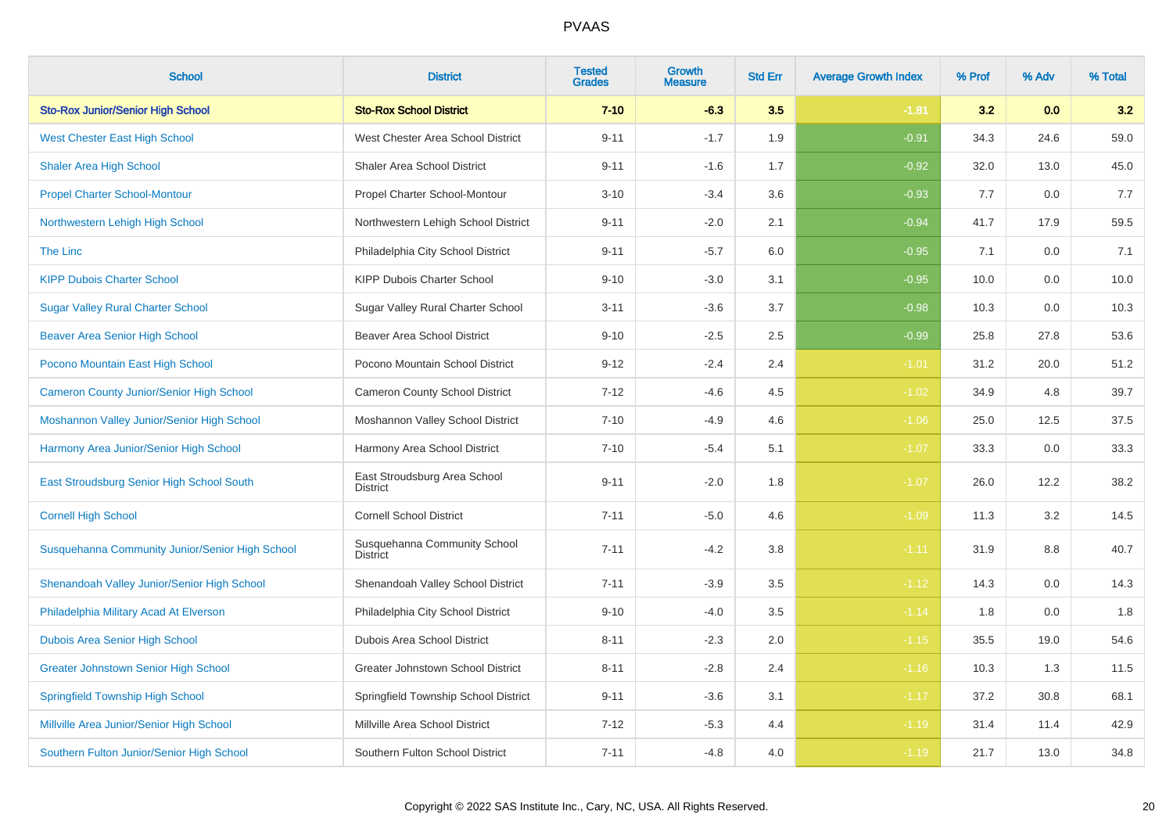| <b>School</b>                                   | <b>District</b>                                 | <b>Tested</b><br><b>Grades</b> | Growth<br><b>Measure</b> | <b>Std Err</b> | <b>Average Growth Index</b> | % Prof | % Adv | % Total |
|-------------------------------------------------|-------------------------------------------------|--------------------------------|--------------------------|----------------|-----------------------------|--------|-------|---------|
| <b>Sto-Rox Junior/Senior High School</b>        | <b>Sto-Rox School District</b>                  | $7 - 10$                       | $-6.3$                   | 3.5            | $-1.81$                     | 3.2    | 0.0   | 3.2     |
| <b>West Chester East High School</b>            | West Chester Area School District               | $9 - 11$                       | $-1.7$                   | 1.9            | $-0.91$                     | 34.3   | 24.6  | 59.0    |
| <b>Shaler Area High School</b>                  | <b>Shaler Area School District</b>              | $9 - 11$                       | $-1.6$                   | 1.7            | $-0.92$                     | 32.0   | 13.0  | 45.0    |
| <b>Propel Charter School-Montour</b>            | Propel Charter School-Montour                   | $3 - 10$                       | $-3.4$                   | 3.6            | $-0.93$                     | 7.7    | 0.0   | 7.7     |
| Northwestern Lehigh High School                 | Northwestern Lehigh School District             | $9 - 11$                       | $-2.0$                   | 2.1            | $-0.94$                     | 41.7   | 17.9  | 59.5    |
| The Linc                                        | Philadelphia City School District               | $9 - 11$                       | $-5.7$                   | 6.0            | $-0.95$                     | 7.1    | 0.0   | 7.1     |
| <b>KIPP Dubois Charter School</b>               | KIPP Dubois Charter School                      | $9 - 10$                       | $-3.0$                   | 3.1            | $-0.95$                     | 10.0   | 0.0   | 10.0    |
| <b>Sugar Valley Rural Charter School</b>        | Sugar Valley Rural Charter School               | $3 - 11$                       | $-3.6$                   | 3.7            | $-0.98$                     | 10.3   | 0.0   | 10.3    |
| <b>Beaver Area Senior High School</b>           | <b>Beaver Area School District</b>              | $9 - 10$                       | $-2.5$                   | 2.5            | $-0.99$                     | 25.8   | 27.8  | 53.6    |
| Pocono Mountain East High School                | Pocono Mountain School District                 | $9 - 12$                       | $-2.4$                   | 2.4            | $-1.01$                     | 31.2   | 20.0  | 51.2    |
| <b>Cameron County Junior/Senior High School</b> | Cameron County School District                  | $7 - 12$                       | $-4.6$                   | 4.5            | $-1.02$                     | 34.9   | 4.8   | 39.7    |
| Moshannon Valley Junior/Senior High School      | Moshannon Valley School District                | $7 - 10$                       | $-4.9$                   | 4.6            | $-1.06$                     | 25.0   | 12.5  | 37.5    |
| Harmony Area Junior/Senior High School          | Harmony Area School District                    | $7 - 10$                       | $-5.4$                   | 5.1            | $-1.07$                     | 33.3   | 0.0   | 33.3    |
| East Stroudsburg Senior High School South       | East Stroudsburg Area School<br><b>District</b> | $9 - 11$                       | $-2.0$                   | 1.8            | $-1.07$                     | 26.0   | 12.2  | 38.2    |
| <b>Cornell High School</b>                      | <b>Cornell School District</b>                  | $7 - 11$                       | $-5.0$                   | 4.6            | $-1.09$                     | 11.3   | 3.2   | 14.5    |
| Susquehanna Community Junior/Senior High School | Susquehanna Community School<br><b>District</b> | $7 - 11$                       | $-4.2$                   | 3.8            | $-1.11$                     | 31.9   | 8.8   | 40.7    |
| Shenandoah Valley Junior/Senior High School     | Shenandoah Valley School District               | $7 - 11$                       | $-3.9$                   | 3.5            | $-1.12$                     | 14.3   | 0.0   | 14.3    |
| Philadelphia Military Acad At Elverson          | Philadelphia City School District               | $9 - 10$                       | $-4.0$                   | 3.5            | $-1.14$                     | 1.8    | 0.0   | 1.8     |
| Dubois Area Senior High School                  | Dubois Area School District                     | $8 - 11$                       | $-2.3$                   | 2.0            | $-1.15$                     | 35.5   | 19.0  | 54.6    |
| <b>Greater Johnstown Senior High School</b>     | Greater Johnstown School District               | $8 - 11$                       | $-2.8$                   | 2.4            | $-1.16$                     | 10.3   | 1.3   | 11.5    |
| <b>Springfield Township High School</b>         | Springfield Township School District            | $9 - 11$                       | $-3.6$                   | 3.1            | $-1.17$                     | 37.2   | 30.8  | 68.1    |
| Millville Area Junior/Senior High School        | Millville Area School District                  | $7 - 12$                       | $-5.3$                   | 4.4            | $-1.19$                     | 31.4   | 11.4  | 42.9    |
| Southern Fulton Junior/Senior High School       | Southern Fulton School District                 | $7 - 11$                       | $-4.8$                   | 4.0            | $-1.19$                     | 21.7   | 13.0  | 34.8    |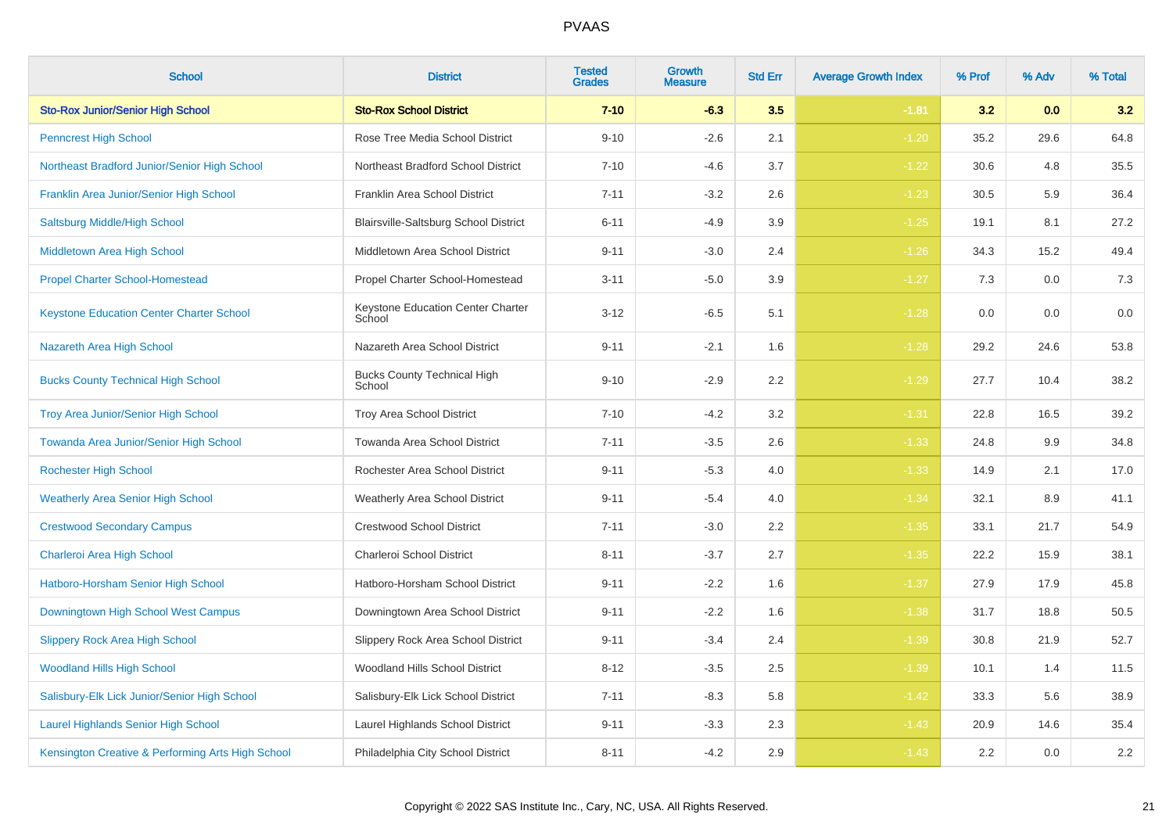| <b>School</b>                                     | <b>District</b>                              | <b>Tested</b><br><b>Grades</b> | Growth<br><b>Measure</b> | <b>Std Err</b> | <b>Average Growth Index</b> | % Prof | % Adv | % Total |
|---------------------------------------------------|----------------------------------------------|--------------------------------|--------------------------|----------------|-----------------------------|--------|-------|---------|
| <b>Sto-Rox Junior/Senior High School</b>          | <b>Sto-Rox School District</b>               | $7 - 10$                       | $-6.3$                   | 3.5            | $-1.81$                     | 3.2    | 0.0   | 3.2     |
| <b>Penncrest High School</b>                      | Rose Tree Media School District              | $9 - 10$                       | $-2.6$                   | 2.1            | $-1.20$                     | 35.2   | 29.6  | 64.8    |
| Northeast Bradford Junior/Senior High School      | Northeast Bradford School District           | $7 - 10$                       | $-4.6$                   | 3.7            | $-1.22$                     | 30.6   | 4.8   | 35.5    |
| Franklin Area Junior/Senior High School           | Franklin Area School District                | $7 - 11$                       | $-3.2$                   | 2.6            | $-1.23$                     | 30.5   | 5.9   | 36.4    |
| Saltsburg Middle/High School                      | Blairsville-Saltsburg School District        | $6 - 11$                       | $-4.9$                   | 3.9            | $-1.25$                     | 19.1   | 8.1   | 27.2    |
| Middletown Area High School                       | Middletown Area School District              | $9 - 11$                       | $-3.0$                   | 2.4            | $-1.26$                     | 34.3   | 15.2  | 49.4    |
| <b>Propel Charter School-Homestead</b>            | Propel Charter School-Homestead              | $3 - 11$                       | $-5.0$                   | 3.9            | $-1.27$                     | 7.3    | 0.0   | $7.3$   |
| <b>Keystone Education Center Charter School</b>   | Keystone Education Center Charter<br>School  | $3 - 12$                       | $-6.5$                   | 5.1            | $-1.28$                     | 0.0    | 0.0   | 0.0     |
| Nazareth Area High School                         | Nazareth Area School District                | $9 - 11$                       | $-2.1$                   | 1.6            | $-1.28$                     | 29.2   | 24.6  | 53.8    |
| <b>Bucks County Technical High School</b>         | <b>Bucks County Technical High</b><br>School | $9 - 10$                       | $-2.9$                   | 2.2            | $-1.29$                     | 27.7   | 10.4  | 38.2    |
| <b>Troy Area Junior/Senior High School</b>        | Troy Area School District                    | $7 - 10$                       | $-4.2$                   | 3.2            | $-1.31$                     | 22.8   | 16.5  | 39.2    |
| Towanda Area Junior/Senior High School            | Towanda Area School District                 | $7 - 11$                       | $-3.5$                   | 2.6            | $-1.33$                     | 24.8   | 9.9   | 34.8    |
| <b>Rochester High School</b>                      | Rochester Area School District               | $9 - 11$                       | $-5.3$                   | 4.0            | $-1.33$                     | 14.9   | 2.1   | 17.0    |
| <b>Weatherly Area Senior High School</b>          | <b>Weatherly Area School District</b>        | $9 - 11$                       | $-5.4$                   | 4.0            | $-1.34$                     | 32.1   | 8.9   | 41.1    |
| <b>Crestwood Secondary Campus</b>                 | <b>Crestwood School District</b>             | $7 - 11$                       | $-3.0$                   | 2.2            | $-1.35$                     | 33.1   | 21.7  | 54.9    |
| Charleroi Area High School                        | Charleroi School District                    | $8 - 11$                       | $-3.7$                   | 2.7            | $-1.35$                     | 22.2   | 15.9  | 38.1    |
| Hatboro-Horsham Senior High School                | Hatboro-Horsham School District              | $9 - 11$                       | $-2.2$                   | 1.6            | $-1.37$                     | 27.9   | 17.9  | 45.8    |
| Downingtown High School West Campus               | Downingtown Area School District             | $9 - 11$                       | $-2.2$                   | 1.6            | $-1.38$                     | 31.7   | 18.8  | 50.5    |
| <b>Slippery Rock Area High School</b>             | Slippery Rock Area School District           | $9 - 11$                       | $-3.4$                   | 2.4            | $-1.39$                     | 30.8   | 21.9  | 52.7    |
| <b>Woodland Hills High School</b>                 | Woodland Hills School District               | $8 - 12$                       | $-3.5$                   | 2.5            | $-1.39$                     | 10.1   | 1.4   | 11.5    |
| Salisbury-Elk Lick Junior/Senior High School      | Salisbury-Elk Lick School District           | $7 - 11$                       | $-8.3$                   | 5.8            | $-1.42$                     | 33.3   | 5.6   | 38.9    |
| <b>Laurel Highlands Senior High School</b>        | Laurel Highlands School District             | $9 - 11$                       | $-3.3$                   | 2.3            | $-1.43$                     | 20.9   | 14.6  | 35.4    |
| Kensington Creative & Performing Arts High School | Philadelphia City School District            | $8 - 11$                       | $-4.2$                   | 2.9            | $-1.43$                     | 2.2    | 0.0   | $2.2\,$ |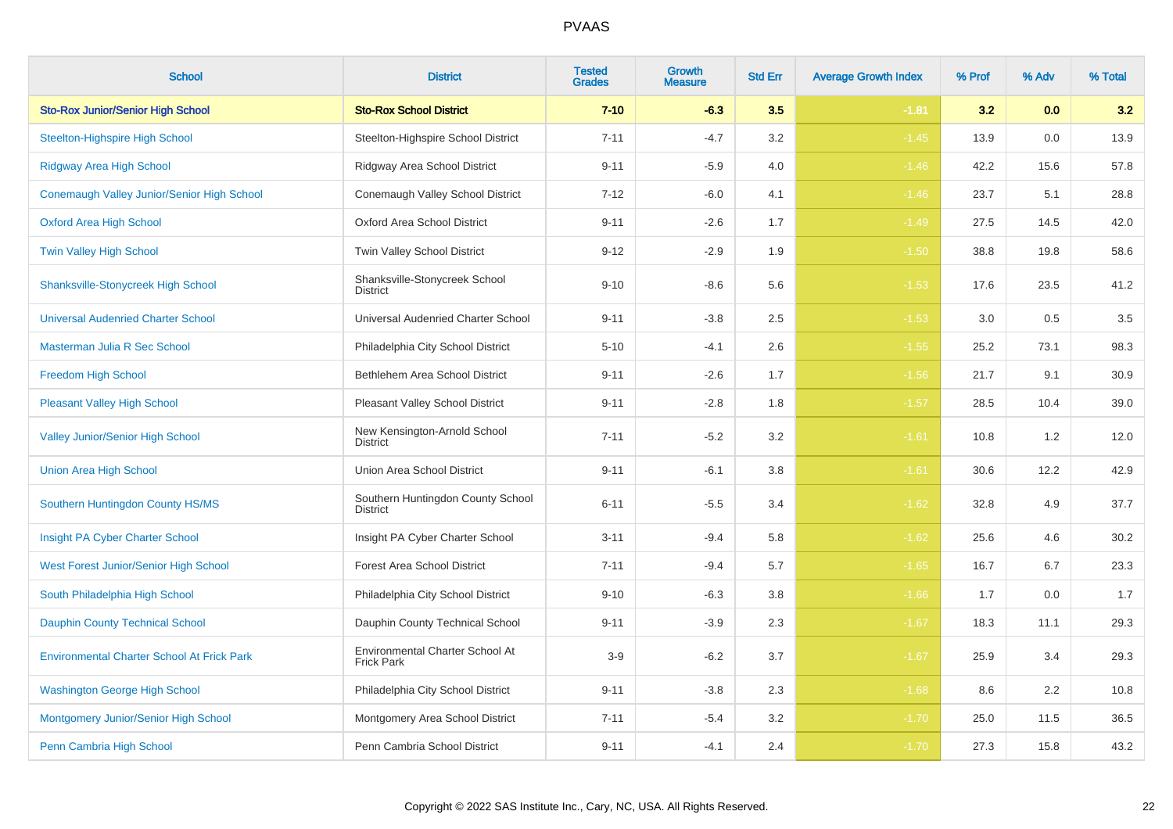| <b>School</b>                                     | <b>District</b>                                      | <b>Tested</b><br><b>Grades</b> | Growth<br><b>Measure</b> | <b>Std Err</b> | <b>Average Growth Index</b> | % Prof | % Adv | % Total |
|---------------------------------------------------|------------------------------------------------------|--------------------------------|--------------------------|----------------|-----------------------------|--------|-------|---------|
| <b>Sto-Rox Junior/Senior High School</b>          | <b>Sto-Rox School District</b>                       | $7 - 10$                       | $-6.3$                   | 3.5            | $-1.81$                     | 3.2    | 0.0   | 3.2     |
| <b>Steelton-Highspire High School</b>             | Steelton-Highspire School District                   | $7 - 11$                       | $-4.7$                   | 3.2            | $-1.45$                     | 13.9   | 0.0   | 13.9    |
| <b>Ridgway Area High School</b>                   | Ridgway Area School District                         | $9 - 11$                       | $-5.9$                   | 4.0            | $-1.46$                     | 42.2   | 15.6  | 57.8    |
| Conemaugh Valley Junior/Senior High School        | Conemaugh Valley School District                     | $7 - 12$                       | $-6.0$                   | 4.1            | $-1.46$                     | 23.7   | 5.1   | 28.8    |
| <b>Oxford Area High School</b>                    | Oxford Area School District                          | $9 - 11$                       | $-2.6$                   | 1.7            | $-1.49$                     | 27.5   | 14.5  | 42.0    |
| Twin Valley High School                           | Twin Valley School District                          | $9 - 12$                       | $-2.9$                   | 1.9            | $-1.50$                     | 38.8   | 19.8  | 58.6    |
| <b>Shanksville-Stonycreek High School</b>         | Shanksville-Stonycreek School<br><b>District</b>     | $9 - 10$                       | $-8.6$                   | 5.6            | $-1.53$                     | 17.6   | 23.5  | 41.2    |
| <b>Universal Audenried Charter School</b>         | Universal Audenried Charter School                   | $9 - 11$                       | $-3.8$                   | 2.5            | $-1.53$                     | 3.0    | 0.5   | $3.5\,$ |
| Masterman Julia R Sec School                      | Philadelphia City School District                    | $5 - 10$                       | $-4.1$                   | 2.6            | $-1.55$                     | 25.2   | 73.1  | 98.3    |
| Freedom High School                               | Bethlehem Area School District                       | $9 - 11$                       | $-2.6$                   | 1.7            | $-1.56$                     | 21.7   | 9.1   | 30.9    |
| <b>Pleasant Valley High School</b>                | Pleasant Valley School District                      | $9 - 11$                       | $-2.8$                   | 1.8            | $-1.57$                     | 28.5   | 10.4  | 39.0    |
| <b>Valley Junior/Senior High School</b>           | New Kensington-Arnold School<br><b>District</b>      | $7 - 11$                       | $-5.2$                   | 3.2            | $-1.61$                     | 10.8   | 1.2   | 12.0    |
| <b>Union Area High School</b>                     | Union Area School District                           | $9 - 11$                       | $-6.1$                   | 3.8            | $-1.61$                     | 30.6   | 12.2  | 42.9    |
| Southern Huntingdon County HS/MS                  | Southern Huntingdon County School<br><b>District</b> | $6 - 11$                       | $-5.5$                   | 3.4            | $-1.62$                     | 32.8   | 4.9   | 37.7    |
| Insight PA Cyber Charter School                   | Insight PA Cyber Charter School                      | $3 - 11$                       | $-9.4$                   | 5.8            | $-1.62$                     | 25.6   | 4.6   | 30.2    |
| West Forest Junior/Senior High School             | <b>Forest Area School District</b>                   | $7 - 11$                       | $-9.4$                   | 5.7            | $-1.65$                     | 16.7   | 6.7   | 23.3    |
| South Philadelphia High School                    | Philadelphia City School District                    | $9 - 10$                       | $-6.3$                   | 3.8            | $-1.66$                     | 1.7    | 0.0   | 1.7     |
| <b>Dauphin County Technical School</b>            | Dauphin County Technical School                      | $9 - 11$                       | $-3.9$                   | 2.3            | $-1.67$                     | 18.3   | 11.1  | 29.3    |
| <b>Environmental Charter School At Frick Park</b> | Environmental Charter School At<br><b>Frick Park</b> | $3-9$                          | $-6.2$                   | 3.7            | $-1.67$                     | 25.9   | 3.4   | 29.3    |
| <b>Washington George High School</b>              | Philadelphia City School District                    | $9 - 11$                       | $-3.8$                   | $2.3\,$        | $-1.68$                     | 8.6    | 2.2   | 10.8    |
| Montgomery Junior/Senior High School              | Montgomery Area School District                      | $7 - 11$                       | $-5.4$                   | $3.2\,$        | $-1.70$                     | 25.0   | 11.5  | 36.5    |
| Penn Cambria High School                          | Penn Cambria School District                         | $9 - 11$                       | $-4.1$                   | 2.4            | $-1.70$                     | 27.3   | 15.8  | 43.2    |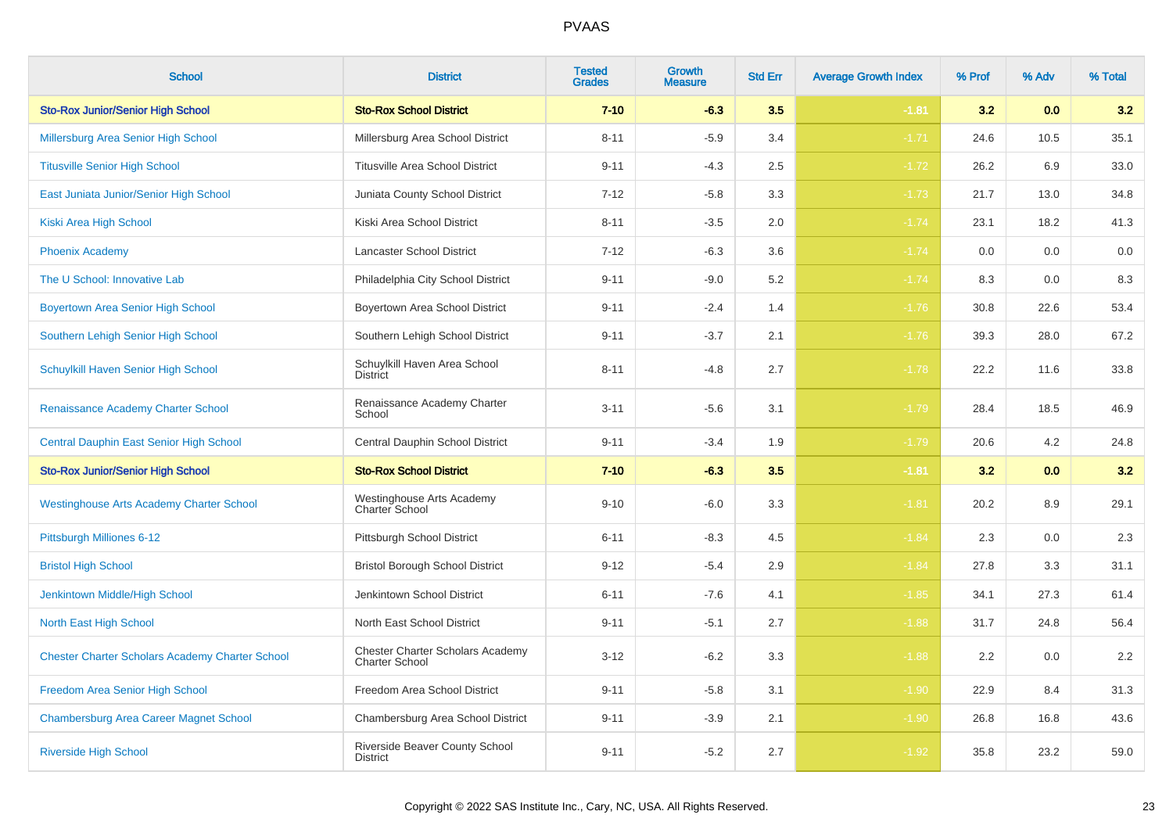| <b>School</b>                                          | <b>District</b>                                                  | <b>Tested</b><br><b>Grades</b> | <b>Growth</b><br><b>Measure</b> | <b>Std Err</b> | <b>Average Growth Index</b> | % Prof | % Adv | % Total |
|--------------------------------------------------------|------------------------------------------------------------------|--------------------------------|---------------------------------|----------------|-----------------------------|--------|-------|---------|
| <b>Sto-Rox Junior/Senior High School</b>               | <b>Sto-Rox School District</b>                                   | $7 - 10$                       | $-6.3$                          | 3.5            | $-1.81$                     | 3.2    | 0.0   | 3.2     |
| Millersburg Area Senior High School                    | Millersburg Area School District                                 | $8 - 11$                       | $-5.9$                          | 3.4            | $-1.71$                     | 24.6   | 10.5  | 35.1    |
| <b>Titusville Senior High School</b>                   | <b>Titusville Area School District</b>                           | $9 - 11$                       | $-4.3$                          | 2.5            | $-1.72$                     | 26.2   | 6.9   | 33.0    |
| East Juniata Junior/Senior High School                 | Juniata County School District                                   | $7 - 12$                       | $-5.8$                          | 3.3            | $-1.73$                     | 21.7   | 13.0  | 34.8    |
| Kiski Area High School                                 | Kiski Area School District                                       | $8 - 11$                       | $-3.5$                          | 2.0            | $-1.74$                     | 23.1   | 18.2  | 41.3    |
| <b>Phoenix Academy</b>                                 | Lancaster School District                                        | $7 - 12$                       | $-6.3$                          | 3.6            | $-1.74$                     | 0.0    | 0.0   | 0.0     |
| The U School: Innovative Lab                           | Philadelphia City School District                                | $9 - 11$                       | $-9.0$                          | 5.2            | $-1.74$                     | 8.3    | 0.0   | 8.3     |
| <b>Boyertown Area Senior High School</b>               | Boyertown Area School District                                   | $9 - 11$                       | $-2.4$                          | 1.4            | $-1.76$                     | 30.8   | 22.6  | 53.4    |
| Southern Lehigh Senior High School                     | Southern Lehigh School District                                  | $9 - 11$                       | $-3.7$                          | 2.1            | $-1.76$                     | 39.3   | 28.0  | 67.2    |
| Schuylkill Haven Senior High School                    | Schuylkill Haven Area School<br><b>District</b>                  | $8 - 11$                       | $-4.8$                          | 2.7            | $-1.78$                     | 22.2   | 11.6  | 33.8    |
| Renaissance Academy Charter School                     | Renaissance Academy Charter<br>School                            | $3 - 11$                       | $-5.6$                          | 3.1            | $-1.79$                     | 28.4   | 18.5  | 46.9    |
| <b>Central Dauphin East Senior High School</b>         | Central Dauphin School District                                  | $9 - 11$                       | $-3.4$                          | 1.9            | $-1.79$                     | 20.6   | 4.2   | 24.8    |
| <b>Sto-Rox Junior/Senior High School</b>               | <b>Sto-Rox School District</b>                                   | $7 - 10$                       | $-6.3$                          | 3.5            | $-1.81$                     | 3.2    | 0.0   | 3.2     |
| <b>Westinghouse Arts Academy Charter School</b>        | Westinghouse Arts Academy<br>Charter School                      | $9 - 10$                       | $-6.0$                          | 3.3            | $-1.81$                     | 20.2   | 8.9   | 29.1    |
| Pittsburgh Milliones 6-12                              | Pittsburgh School District                                       | $6 - 11$                       | $-8.3$                          | 4.5            | $-1.84$                     | 2.3    | 0.0   | 2.3     |
| <b>Bristol High School</b>                             | <b>Bristol Borough School District</b>                           | $9 - 12$                       | $-5.4$                          | 2.9            | $-1.84$                     | 27.8   | 3.3   | 31.1    |
| Jenkintown Middle/High School                          | Jenkintown School District                                       | $6 - 11$                       | $-7.6$                          | 4.1            | $-1.85$                     | 34.1   | 27.3  | 61.4    |
| North East High School                                 | North East School District                                       | $9 - 11$                       | $-5.1$                          | 2.7            | $-1.88$                     | 31.7   | 24.8  | 56.4    |
| <b>Chester Charter Scholars Academy Charter School</b> | <b>Chester Charter Scholars Academy</b><br><b>Charter School</b> | $3 - 12$                       | $-6.2$                          | 3.3            | $-1.88$                     | 2.2    | 0.0   | 2.2     |
| Freedom Area Senior High School                        | Freedom Area School District                                     | $9 - 11$                       | $-5.8$                          | 3.1            | $-1.90$                     | 22.9   | 8.4   | 31.3    |
| <b>Chambersburg Area Career Magnet School</b>          | Chambersburg Area School District                                | $9 - 11$                       | $-3.9$                          | 2.1            | $-1.90$                     | 26.8   | 16.8  | 43.6    |
| <b>Riverside High School</b>                           | Riverside Beaver County School<br><b>District</b>                | $9 - 11$                       | $-5.2$                          | 2.7            | $-1.92$                     | 35.8   | 23.2  | 59.0    |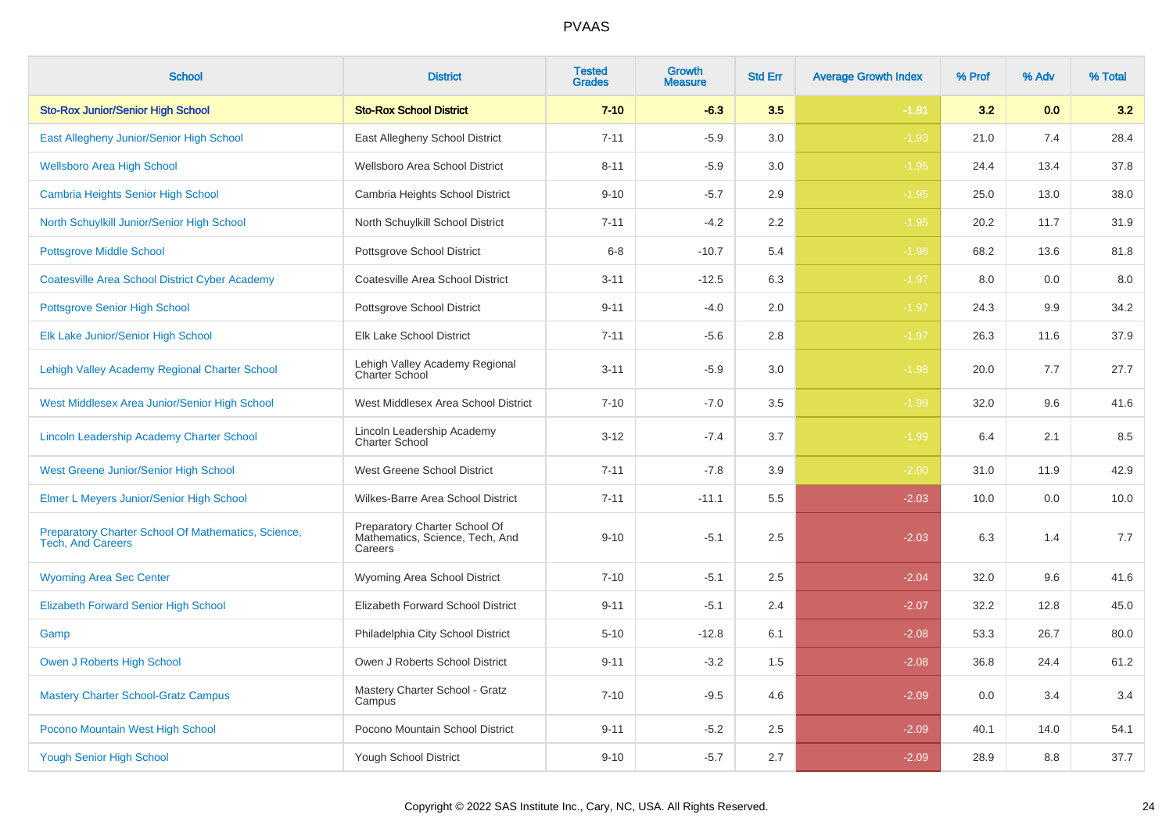| <b>School</b>                                                                   | <b>District</b>                                                             | <b>Tested</b><br><b>Grades</b> | <b>Growth</b><br><b>Measure</b> | <b>Std Err</b> | <b>Average Growth Index</b> | % Prof | % Adv | % Total |
|---------------------------------------------------------------------------------|-----------------------------------------------------------------------------|--------------------------------|---------------------------------|----------------|-----------------------------|--------|-------|---------|
| <b>Sto-Rox Junior/Senior High School</b>                                        | <b>Sto-Rox School District</b>                                              | $7 - 10$                       | $-6.3$                          | 3.5            | $-1.81$                     | 3.2    | 0.0   | 3.2     |
| East Allegheny Junior/Senior High School                                        | East Allegheny School District                                              | $7 - 11$                       | $-5.9$                          | 3.0            | $-1.93$                     | 21.0   | 7.4   | 28.4    |
| <b>Wellsboro Area High School</b>                                               | Wellsboro Area School District                                              | $8 - 11$                       | $-5.9$                          | 3.0            | $-1.95$                     | 24.4   | 13.4  | 37.8    |
| <b>Cambria Heights Senior High School</b>                                       | Cambria Heights School District                                             | $9 - 10$                       | $-5.7$                          | 2.9            | $-1.95$                     | 25.0   | 13.0  | 38.0    |
| North Schuylkill Junior/Senior High School                                      | North Schuylkill School District                                            | $7 - 11$                       | $-4.2$                          | 2.2            | $-1.95$                     | 20.2   | 11.7  | 31.9    |
| <b>Pottsgrove Middle School</b>                                                 | Pottsgrove School District                                                  | $6 - 8$                        | $-10.7$                         | 5.4            | $-1.96$                     | 68.2   | 13.6  | 81.8    |
| <b>Coatesville Area School District Cyber Academy</b>                           | Coatesville Area School District                                            | $3 - 11$                       | $-12.5$                         | 6.3            | $-1.97$                     | 8.0    | 0.0   | 8.0     |
| <b>Pottsgrove Senior High School</b>                                            | Pottsgrove School District                                                  | $9 - 11$                       | $-4.0$                          | 2.0            | $-1.97$                     | 24.3   | 9.9   | 34.2    |
| Elk Lake Junior/Senior High School                                              | Elk Lake School District                                                    | $7 - 11$                       | $-5.6$                          | 2.8            | $-1.97$                     | 26.3   | 11.6  | 37.9    |
| Lehigh Valley Academy Regional Charter School                                   | Lehigh Valley Academy Regional<br>Charter School                            | $3 - 11$                       | $-5.9$                          | 3.0            | $-1.98$                     | 20.0   | 7.7   | 27.7    |
| West Middlesex Area Junior/Senior High School                                   | West Middlesex Area School District                                         | $7 - 10$                       | $-7.0$                          | 3.5            | $-1.99$                     | 32.0   | 9.6   | 41.6    |
| Lincoln Leadership Academy Charter School                                       | Lincoln Leadership Academy<br><b>Charter School</b>                         | $3 - 12$                       | $-7.4$                          | 3.7            | $-1.99$                     | 6.4    | 2.1   | 8.5     |
| <b>West Greene Junior/Senior High School</b>                                    | West Greene School District                                                 | $7 - 11$                       | $-7.8$                          | 3.9            | $-2.00$                     | 31.0   | 11.9  | 42.9    |
| Elmer L Meyers Junior/Senior High School                                        | Wilkes-Barre Area School District                                           | $7 - 11$                       | $-11.1$                         | 5.5            | $-2.03$                     | 10.0   | 0.0   | 10.0    |
| Preparatory Charter School Of Mathematics, Science,<br><b>Tech, And Careers</b> | Preparatory Charter School Of<br>Mathematics, Science, Tech, And<br>Careers | $9 - 10$                       | $-5.1$                          | 2.5            | $-2.03$                     | 6.3    | 1.4   | 7.7     |
| <b>Wyoming Area Sec Center</b>                                                  | Wyoming Area School District                                                | $7 - 10$                       | $-5.1$                          | 2.5            | $-2.04$                     | 32.0   | 9.6   | 41.6    |
| <b>Elizabeth Forward Senior High School</b>                                     | Elizabeth Forward School District                                           | $9 - 11$                       | $-5.1$                          | 2.4            | $-2.07$                     | 32.2   | 12.8  | 45.0    |
| Gamp                                                                            | Philadelphia City School District                                           | $5 - 10$                       | $-12.8$                         | 6.1            | $-2.08$                     | 53.3   | 26.7  | 80.0    |
| Owen J Roberts High School                                                      | Owen J Roberts School District                                              | $9 - 11$                       | $-3.2$                          | 1.5            | $-2.08$                     | 36.8   | 24.4  | 61.2    |
| <b>Mastery Charter School-Gratz Campus</b>                                      | Mastery Charter School - Gratz<br>Campus                                    | $7 - 10$                       | $-9.5$                          | 4.6            | $-2.09$                     | 0.0    | 3.4   | 3.4     |
| Pocono Mountain West High School                                                | Pocono Mountain School District                                             | $9 - 11$                       | $-5.2$                          | 2.5            | $-2.09$                     | 40.1   | 14.0  | 54.1    |
| <b>Yough Senior High School</b>                                                 | Yough School District                                                       | $9 - 10$                       | $-5.7$                          | 2.7            | $-2.09$                     | 28.9   | 8.8   | 37.7    |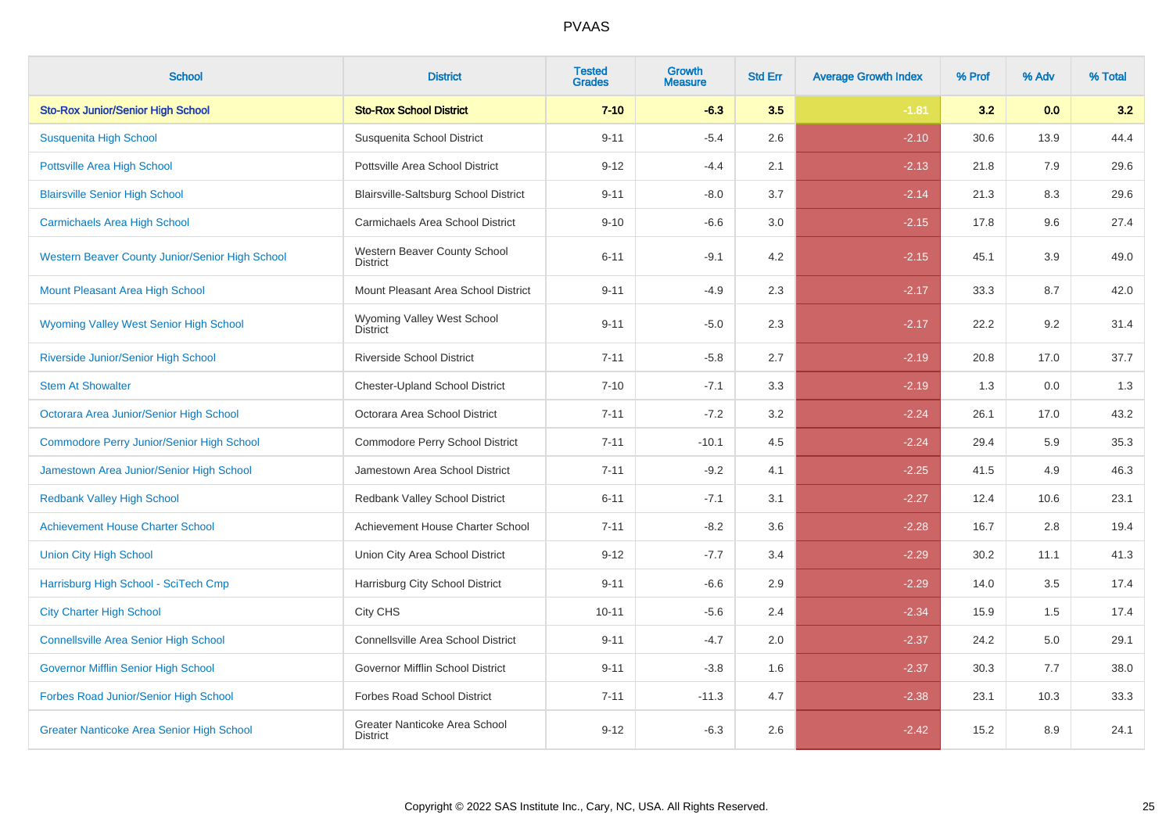| <b>School</b>                                    | <b>District</b>                                  | <b>Tested</b><br><b>Grades</b> | Growth<br><b>Measure</b> | <b>Std Err</b> | <b>Average Growth Index</b> | % Prof | % Adv | % Total |
|--------------------------------------------------|--------------------------------------------------|--------------------------------|--------------------------|----------------|-----------------------------|--------|-------|---------|
| <b>Sto-Rox Junior/Senior High School</b>         | <b>Sto-Rox School District</b>                   | $7 - 10$                       | $-6.3$                   | 3.5            | $-1.81$                     | 3.2    | 0.0   | 3.2     |
| Susquenita High School                           | Susquenita School District                       | $9 - 11$                       | $-5.4$                   | 2.6            | $-2.10$                     | 30.6   | 13.9  | 44.4    |
| <b>Pottsville Area High School</b>               | Pottsville Area School District                  | $9 - 12$                       | $-4.4$                   | 2.1            | $-2.13$                     | 21.8   | 7.9   | 29.6    |
| <b>Blairsville Senior High School</b>            | Blairsville-Saltsburg School District            | $9 - 11$                       | $-8.0$                   | 3.7            | $-2.14$                     | 21.3   | 8.3   | 29.6    |
| <b>Carmichaels Area High School</b>              | Carmichaels Area School District                 | $9 - 10$                       | $-6.6$                   | 3.0            | $-2.15$                     | 17.8   | 9.6   | 27.4    |
| Western Beaver County Junior/Senior High School  | Western Beaver County School<br><b>District</b>  | $6 - 11$                       | $-9.1$                   | 4.2            | $-2.15$                     | 45.1   | 3.9   | 49.0    |
| Mount Pleasant Area High School                  | Mount Pleasant Area School District              | $9 - 11$                       | $-4.9$                   | 2.3            | $-2.17$                     | 33.3   | 8.7   | 42.0    |
| Wyoming Valley West Senior High School           | Wyoming Valley West School<br><b>District</b>    | $9 - 11$                       | $-5.0$                   | 2.3            | $-2.17$                     | 22.2   | 9.2   | 31.4    |
| Riverside Junior/Senior High School              | <b>Riverside School District</b>                 | $7 - 11$                       | $-5.8$                   | 2.7            | $-2.19$                     | 20.8   | 17.0  | 37.7    |
| <b>Stem At Showalter</b>                         | <b>Chester-Upland School District</b>            | $7 - 10$                       | $-7.1$                   | 3.3            | $-2.19$                     | 1.3    | 0.0   | 1.3     |
| Octorara Area Junior/Senior High School          | Octorara Area School District                    | $7 - 11$                       | $-7.2$                   | 3.2            | $-2.24$                     | 26.1   | 17.0  | 43.2    |
| <b>Commodore Perry Junior/Senior High School</b> | Commodore Perry School District                  | $7 - 11$                       | $-10.1$                  | 4.5            | $-2.24$                     | 29.4   | 5.9   | 35.3    |
| Jamestown Area Junior/Senior High School         | Jamestown Area School District                   | $7 - 11$                       | $-9.2$                   | 4.1            | $-2.25$                     | 41.5   | 4.9   | 46.3    |
| <b>Redbank Valley High School</b>                | Redbank Valley School District                   | $6 - 11$                       | $-7.1$                   | 3.1            | $-2.27$                     | 12.4   | 10.6  | 23.1    |
| <b>Achievement House Charter School</b>          | Achievement House Charter School                 | $7 - 11$                       | $-8.2$                   | 3.6            | $-2.28$                     | 16.7   | 2.8   | 19.4    |
| <b>Union City High School</b>                    | Union City Area School District                  | $9 - 12$                       | $-7.7$                   | 3.4            | $-2.29$                     | 30.2   | 11.1  | 41.3    |
| Harrisburg High School - SciTech Cmp             | Harrisburg City School District                  | $9 - 11$                       | $-6.6$                   | 2.9            | $-2.29$                     | 14.0   | 3.5   | 17.4    |
| <b>City Charter High School</b>                  | City CHS                                         | $10 - 11$                      | $-5.6$                   | 2.4            | $-2.34$                     | 15.9   | 1.5   | 17.4    |
| <b>Connellsville Area Senior High School</b>     | <b>Connellsville Area School District</b>        | $9 - 11$                       | $-4.7$                   | 2.0            | $-2.37$                     | 24.2   | 5.0   | 29.1    |
| Governor Mifflin Senior High School              | Governor Mifflin School District                 | $9 - 11$                       | $-3.8$                   | 1.6            | $-2.37$                     | 30.3   | 7.7   | 38.0    |
| Forbes Road Junior/Senior High School            | Forbes Road School District                      | $7 - 11$                       | $-11.3$                  | 4.7            | $-2.38$                     | 23.1   | 10.3  | 33.3    |
| <b>Greater Nanticoke Area Senior High School</b> | Greater Nanticoke Area School<br><b>District</b> | $9 - 12$                       | $-6.3$                   | 2.6            | $-2.42$                     | 15.2   | 8.9   | 24.1    |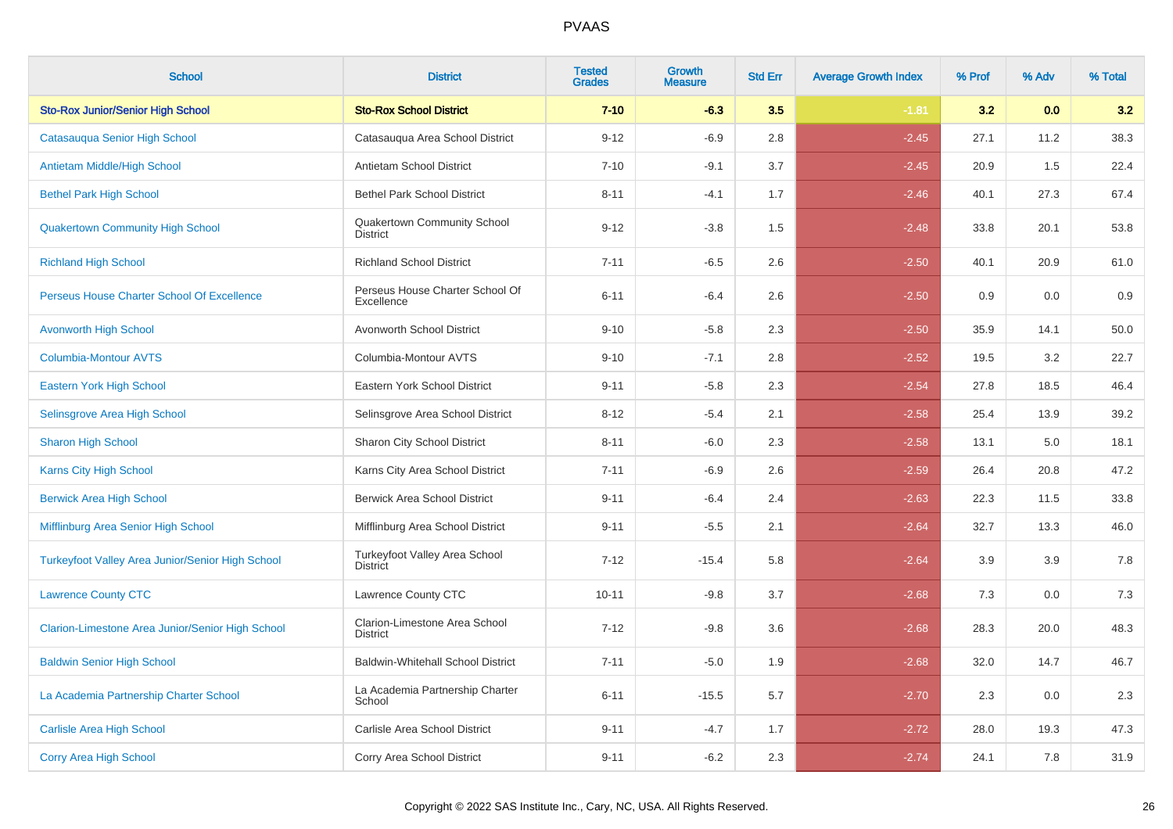| <b>School</b>                                    | <b>District</b>                                  | <b>Tested</b><br><b>Grades</b> | Growth<br><b>Measure</b> | <b>Std Err</b> | <b>Average Growth Index</b> | % Prof | % Adv | % Total |
|--------------------------------------------------|--------------------------------------------------|--------------------------------|--------------------------|----------------|-----------------------------|--------|-------|---------|
| <b>Sto-Rox Junior/Senior High School</b>         | <b>Sto-Rox School District</b>                   | $7 - 10$                       | $-6.3$                   | 3.5            | $-1.81$                     | 3.2    | 0.0   | 3.2     |
| Catasauqua Senior High School                    | Catasauqua Area School District                  | $9 - 12$                       | $-6.9$                   | 2.8            | $-2.45$                     | 27.1   | 11.2  | 38.3    |
| <b>Antietam Middle/High School</b>               | Antietam School District                         | $7 - 10$                       | $-9.1$                   | 3.7            | $-2.45$                     | 20.9   | 1.5   | 22.4    |
| <b>Bethel Park High School</b>                   | <b>Bethel Park School District</b>               | $8 - 11$                       | $-4.1$                   | 1.7            | $-2.46$                     | 40.1   | 27.3  | 67.4    |
| <b>Quakertown Community High School</b>          | Quakertown Community School<br><b>District</b>   | $9 - 12$                       | $-3.8$                   | 1.5            | $-2.48$                     | 33.8   | 20.1  | 53.8    |
| <b>Richland High School</b>                      | <b>Richland School District</b>                  | $7 - 11$                       | $-6.5$                   | 2.6            | $-2.50$                     | 40.1   | 20.9  | 61.0    |
| Perseus House Charter School Of Excellence       | Perseus House Charter School Of<br>Excellence    | $6 - 11$                       | $-6.4$                   | 2.6            | $-2.50$                     | 0.9    | 0.0   | 0.9     |
| <b>Avonworth High School</b>                     | Avonworth School District                        | $9 - 10$                       | $-5.8$                   | 2.3            | $-2.50$                     | 35.9   | 14.1  | 50.0    |
| <b>Columbia-Montour AVTS</b>                     | Columbia-Montour AVTS                            | $9 - 10$                       | $-7.1$                   | 2.8            | $-2.52$                     | 19.5   | 3.2   | 22.7    |
| Eastern York High School                         | Eastern York School District                     | $9 - 11$                       | $-5.8$                   | 2.3            | $-2.54$                     | 27.8   | 18.5  | 46.4    |
| Selinsgrove Area High School                     | Selinsgrove Area School District                 | $8 - 12$                       | $-5.4$                   | 2.1            | $-2.58$                     | 25.4   | 13.9  | 39.2    |
| <b>Sharon High School</b>                        | <b>Sharon City School District</b>               | $8 - 11$                       | $-6.0$                   | 2.3            | $-2.58$                     | 13.1   | 5.0   | 18.1    |
| Karns City High School                           | Karns City Area School District                  | $7 - 11$                       | $-6.9$                   | 2.6            | $-2.59$                     | 26.4   | 20.8  | 47.2    |
| <b>Berwick Area High School</b>                  | <b>Berwick Area School District</b>              | $9 - 11$                       | $-6.4$                   | 2.4            | $-2.63$                     | 22.3   | 11.5  | 33.8    |
| Mifflinburg Area Senior High School              | Mifflinburg Area School District                 | $9 - 11$                       | $-5.5$                   | 2.1            | $-2.64$                     | 32.7   | 13.3  | 46.0    |
| Turkeyfoot Valley Area Junior/Senior High School | Turkeyfoot Valley Area School<br><b>District</b> | $7 - 12$                       | $-15.4$                  | 5.8            | $-2.64$                     | 3.9    | 3.9   | 7.8     |
| <b>Lawrence County CTC</b>                       | Lawrence County CTC                              | $10 - 11$                      | $-9.8$                   | 3.7            | $-2.68$                     | 7.3    | 0.0   | 7.3     |
| Clarion-Limestone Area Junior/Senior High School | Clarion-Limestone Area School<br><b>District</b> | $7 - 12$                       | $-9.8$                   | 3.6            | $-2.68$                     | 28.3   | 20.0  | 48.3    |
| <b>Baldwin Senior High School</b>                | <b>Baldwin-Whitehall School District</b>         | $7 - 11$                       | $-5.0$                   | 1.9            | $-2.68$                     | 32.0   | 14.7  | 46.7    |
| La Academia Partnership Charter School           | La Academia Partnership Charter<br>School        | $6 - 11$                       | $-15.5$                  | 5.7            | $-2.70$                     | 2.3    | 0.0   | 2.3     |
| <b>Carlisle Area High School</b>                 | Carlisle Area School District                    | $9 - 11$                       | $-4.7$                   | 1.7            | $-2.72$                     | 28.0   | 19.3  | 47.3    |
| <b>Corry Area High School</b>                    | Corry Area School District                       | $9 - 11$                       | $-6.2$                   | 2.3            | $-2.74$                     | 24.1   | 7.8   | 31.9    |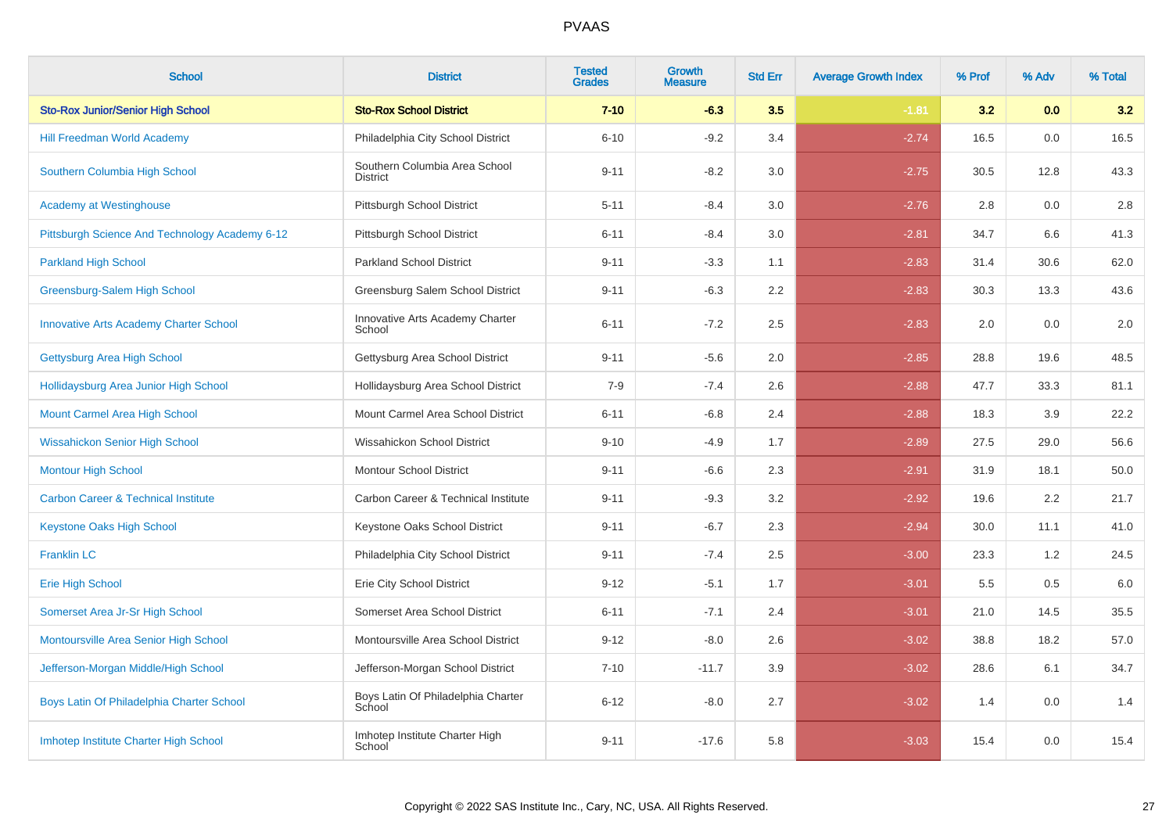| <b>School</b>                                  | <b>District</b>                                  | <b>Tested</b><br><b>Grades</b> | Growth<br><b>Measure</b> | <b>Std Err</b> | <b>Average Growth Index</b> | % Prof | % Adv   | % Total |
|------------------------------------------------|--------------------------------------------------|--------------------------------|--------------------------|----------------|-----------------------------|--------|---------|---------|
| <b>Sto-Rox Junior/Senior High School</b>       | <b>Sto-Rox School District</b>                   | $7 - 10$                       | $-6.3$                   | 3.5            | $-1.81$                     | 3.2    | 0.0     | 3.2     |
| Hill Freedman World Academy                    | Philadelphia City School District                | $6 - 10$                       | $-9.2$                   | 3.4            | $-2.74$                     | 16.5   | $0.0\,$ | 16.5    |
| Southern Columbia High School                  | Southern Columbia Area School<br><b>District</b> | $9 - 11$                       | $-8.2$                   | 3.0            | $-2.75$                     | 30.5   | 12.8    | 43.3    |
| <b>Academy at Westinghouse</b>                 | Pittsburgh School District                       | $5 - 11$                       | $-8.4$                   | 3.0            | $-2.76$                     | 2.8    | 0.0     | 2.8     |
| Pittsburgh Science And Technology Academy 6-12 | Pittsburgh School District                       | $6 - 11$                       | $-8.4$                   | 3.0            | $-2.81$                     | 34.7   | 6.6     | 41.3    |
| <b>Parkland High School</b>                    | <b>Parkland School District</b>                  | $9 - 11$                       | $-3.3$                   | 1.1            | $-2.83$                     | 31.4   | 30.6    | 62.0    |
| Greensburg-Salem High School                   | Greensburg Salem School District                 | $9 - 11$                       | $-6.3$                   | 2.2            | $-2.83$                     | 30.3   | 13.3    | 43.6    |
| <b>Innovative Arts Academy Charter School</b>  | Innovative Arts Academy Charter<br>School        | $6 - 11$                       | $-7.2$                   | 2.5            | $-2.83$                     | 2.0    | 0.0     | 2.0     |
| Gettysburg Area High School                    | Gettysburg Area School District                  | $9 - 11$                       | $-5.6$                   | 2.0            | $-2.85$                     | 28.8   | 19.6    | 48.5    |
| Hollidaysburg Area Junior High School          | Hollidaysburg Area School District               | $7 - 9$                        | $-7.4$                   | 2.6            | $-2.88$                     | 47.7   | 33.3    | 81.1    |
| Mount Carmel Area High School                  | Mount Carmel Area School District                | $6 - 11$                       | $-6.8$                   | 2.4            | $-2.88$                     | 18.3   | 3.9     | 22.2    |
| <b>Wissahickon Senior High School</b>          | Wissahickon School District                      | $9 - 10$                       | $-4.9$                   | 1.7            | $-2.89$                     | 27.5   | 29.0    | 56.6    |
| <b>Montour High School</b>                     | Montour School District                          | $9 - 11$                       | $-6.6$                   | 2.3            | $-2.91$                     | 31.9   | 18.1    | 50.0    |
| <b>Carbon Career &amp; Technical Institute</b> | Carbon Career & Technical Institute              | $9 - 11$                       | $-9.3$                   | 3.2            | $-2.92$                     | 19.6   | 2.2     | 21.7    |
| Keystone Oaks High School                      | Keystone Oaks School District                    | $9 - 11$                       | $-6.7$                   | 2.3            | $-2.94$                     | 30.0   | 11.1    | 41.0    |
| <b>Franklin LC</b>                             | Philadelphia City School District                | $9 - 11$                       | $-7.4$                   | 2.5            | $-3.00$                     | 23.3   | 1.2     | 24.5    |
| <b>Erie High School</b>                        | Erie City School District                        | $9 - 12$                       | $-5.1$                   | 1.7            | $-3.01$                     | 5.5    | 0.5     | 6.0     |
| Somerset Area Jr-Sr High School                | Somerset Area School District                    | $6 - 11$                       | $-7.1$                   | 2.4            | $-3.01$                     | 21.0   | 14.5    | 35.5    |
| Montoursville Area Senior High School          | Montoursville Area School District               | $9 - 12$                       | $-8.0$                   | 2.6            | $-3.02$                     | 38.8   | 18.2    | 57.0    |
| Jefferson-Morgan Middle/High School            | Jefferson-Morgan School District                 | $7 - 10$                       | $-11.7$                  | 3.9            | $-3.02$                     | 28.6   | 6.1     | 34.7    |
| Boys Latin Of Philadelphia Charter School      | Boys Latin Of Philadelphia Charter<br>School     | $6 - 12$                       | $-8.0$                   | 2.7            | $-3.02$                     | 1.4    | 0.0     | 1.4     |
| Imhotep Institute Charter High School          | Imhotep Institute Charter High<br>School         | $9 - 11$                       | $-17.6$                  | 5.8            | $-3.03$                     | 15.4   | 0.0     | 15.4    |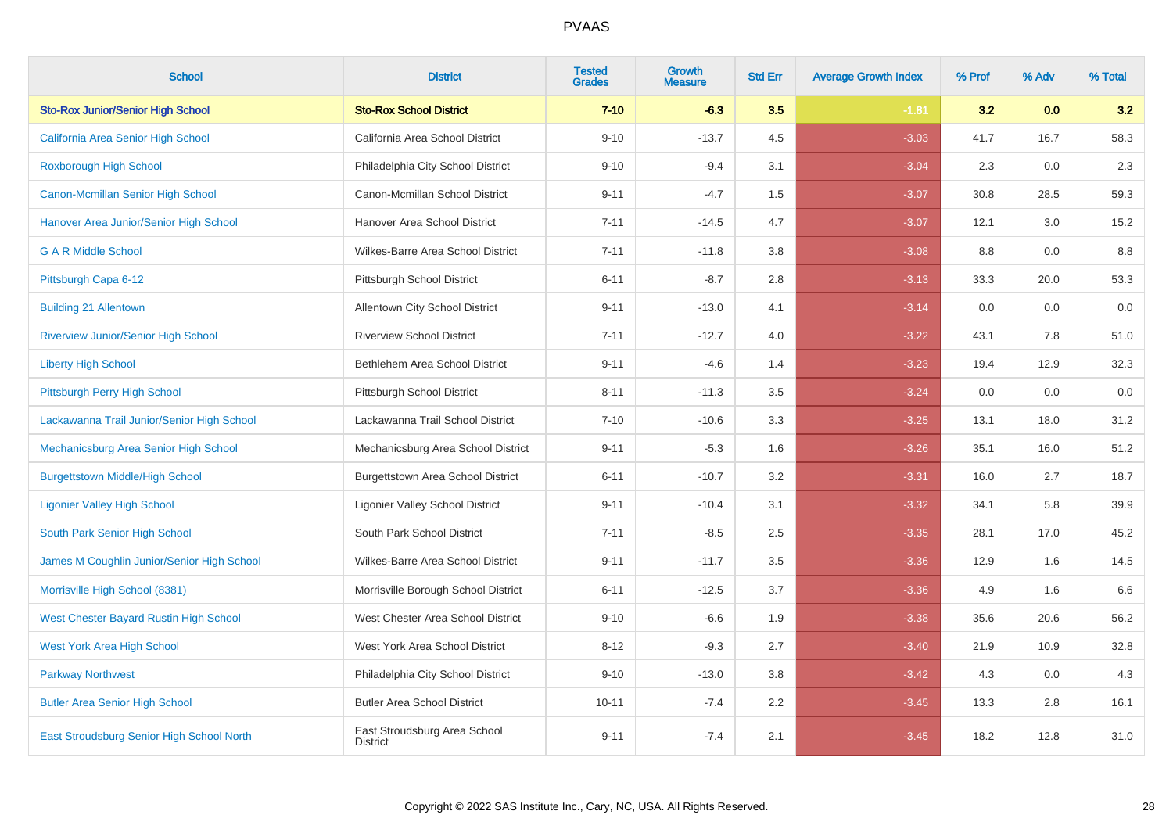| <b>School</b>                              | <b>District</b>                                 | <b>Tested</b><br><b>Grades</b> | <b>Growth</b><br><b>Measure</b> | <b>Std Err</b> | <b>Average Growth Index</b> | % Prof | % Adv | % Total |
|--------------------------------------------|-------------------------------------------------|--------------------------------|---------------------------------|----------------|-----------------------------|--------|-------|---------|
| <b>Sto-Rox Junior/Senior High School</b>   | <b>Sto-Rox School District</b>                  | $7 - 10$                       | $-6.3$                          | 3.5            | $-1.81$                     | 3.2    | 0.0   | 3.2     |
| California Area Senior High School         | California Area School District                 | $9 - 10$                       | $-13.7$                         | 4.5            | $-3.03$                     | 41.7   | 16.7  | 58.3    |
| <b>Roxborough High School</b>              | Philadelphia City School District               | $9 - 10$                       | $-9.4$                          | 3.1            | $-3.04$                     | 2.3    | 0.0   | 2.3     |
| <b>Canon-Mcmillan Senior High School</b>   | Canon-Mcmillan School District                  | $9 - 11$                       | $-4.7$                          | 1.5            | $-3.07$                     | 30.8   | 28.5  | 59.3    |
| Hanover Area Junior/Senior High School     | Hanover Area School District                    | $7 - 11$                       | $-14.5$                         | 4.7            | $-3.07$                     | 12.1   | 3.0   | 15.2    |
| <b>GAR Middle School</b>                   | Wilkes-Barre Area School District               | $7 - 11$                       | $-11.8$                         | 3.8            | $-3.08$                     | 8.8    | 0.0   | 8.8     |
| Pittsburgh Capa 6-12                       | Pittsburgh School District                      | $6 - 11$                       | $-8.7$                          | 2.8            | $-3.13$                     | 33.3   | 20.0  | 53.3    |
| <b>Building 21 Allentown</b>               | Allentown City School District                  | $9 - 11$                       | $-13.0$                         | 4.1            | $-3.14$                     | 0.0    | 0.0   | 0.0     |
| <b>Riverview Junior/Senior High School</b> | <b>Riverview School District</b>                | $7 - 11$                       | $-12.7$                         | 4.0            | $-3.22$                     | 43.1   | 7.8   | 51.0    |
| <b>Liberty High School</b>                 | Bethlehem Area School District                  | $9 - 11$                       | $-4.6$                          | 1.4            | $-3.23$                     | 19.4   | 12.9  | 32.3    |
| Pittsburgh Perry High School               | Pittsburgh School District                      | $8 - 11$                       | $-11.3$                         | 3.5            | $-3.24$                     | 0.0    | 0.0   | 0.0     |
| Lackawanna Trail Junior/Senior High School | Lackawanna Trail School District                | $7 - 10$                       | $-10.6$                         | 3.3            | $-3.25$                     | 13.1   | 18.0  | 31.2    |
| Mechanicsburg Area Senior High School      | Mechanicsburg Area School District              | $9 - 11$                       | $-5.3$                          | 1.6            | $-3.26$                     | 35.1   | 16.0  | 51.2    |
| <b>Burgettstown Middle/High School</b>     | <b>Burgettstown Area School District</b>        | $6 - 11$                       | $-10.7$                         | 3.2            | $-3.31$                     | 16.0   | 2.7   | 18.7    |
| <b>Ligonier Valley High School</b>         | <b>Ligonier Valley School District</b>          | $9 - 11$                       | $-10.4$                         | 3.1            | $-3.32$                     | 34.1   | 5.8   | 39.9    |
| South Park Senior High School              | South Park School District                      | $7 - 11$                       | $-8.5$                          | $2.5\,$        | $-3.35$                     | 28.1   | 17.0  | 45.2    |
| James M Coughlin Junior/Senior High School | Wilkes-Barre Area School District               | $9 - 11$                       | $-11.7$                         | 3.5            | $-3.36$                     | 12.9   | 1.6   | 14.5    |
| Morrisville High School (8381)             | Morrisville Borough School District             | $6 - 11$                       | $-12.5$                         | 3.7            | $-3.36$                     | 4.9    | 1.6   | 6.6     |
| West Chester Bayard Rustin High School     | West Chester Area School District               | $9 - 10$                       | $-6.6$                          | 1.9            | $-3.38$                     | 35.6   | 20.6  | 56.2    |
| <b>West York Area High School</b>          | West York Area School District                  | $8 - 12$                       | $-9.3$                          | 2.7            | $-3.40$                     | 21.9   | 10.9  | 32.8    |
| <b>Parkway Northwest</b>                   | Philadelphia City School District               | $9 - 10$                       | $-13.0$                         | 3.8            | $-3.42$                     | 4.3    | 0.0   | 4.3     |
| <b>Butler Area Senior High School</b>      | <b>Butler Area School District</b>              | $10 - 11$                      | $-7.4$                          | $2.2\,$        | $-3.45$                     | 13.3   | 2.8   | 16.1    |
| East Stroudsburg Senior High School North  | East Stroudsburg Area School<br><b>District</b> | $9 - 11$                       | $-7.4$                          | 2.1            | $-3.45$                     | 18.2   | 12.8  | 31.0    |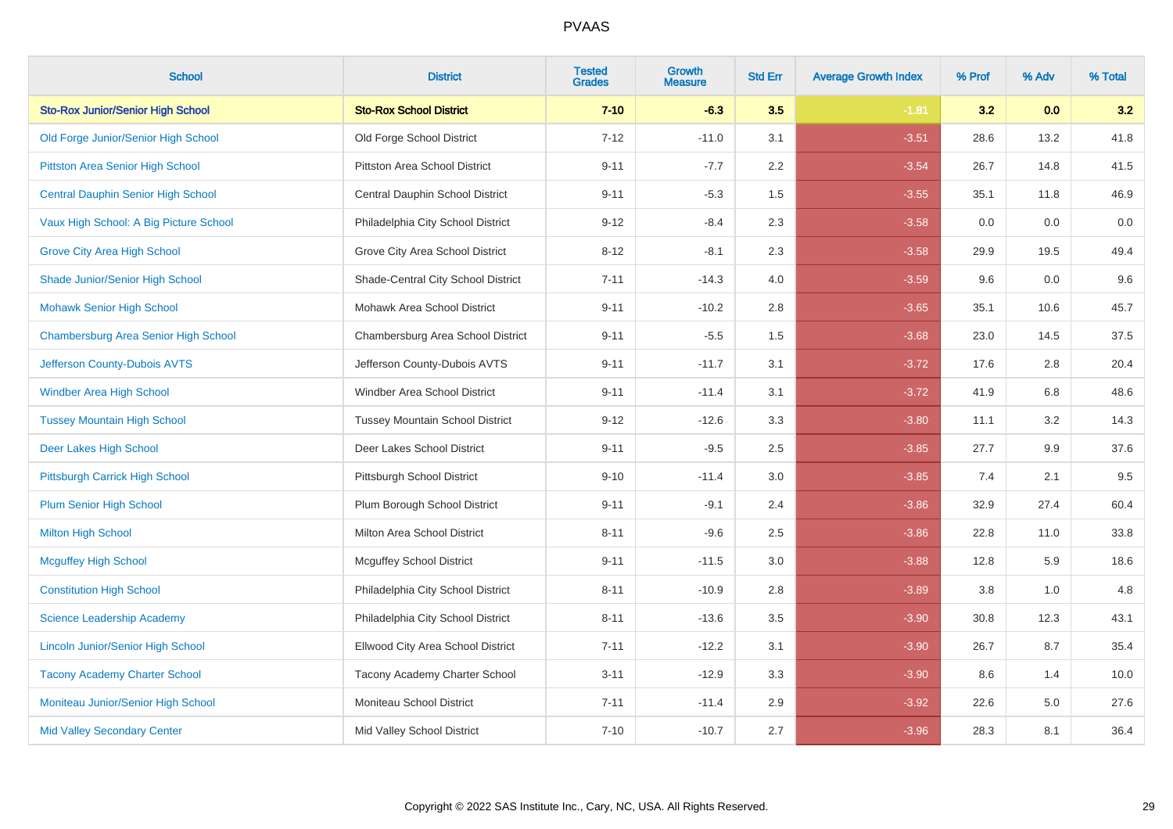| <b>School</b>                             | <b>District</b>                        | <b>Tested</b><br><b>Grades</b> | <b>Growth</b><br><b>Measure</b> | <b>Std Err</b> | <b>Average Growth Index</b> | % Prof | % Adv | % Total |
|-------------------------------------------|----------------------------------------|--------------------------------|---------------------------------|----------------|-----------------------------|--------|-------|---------|
| <b>Sto-Rox Junior/Senior High School</b>  | <b>Sto-Rox School District</b>         | $7 - 10$                       | $-6.3$                          | 3.5            | $-1.81$                     | 3.2    | 0.0   | 3.2     |
| Old Forge Junior/Senior High School       | Old Forge School District              | $7 - 12$                       | $-11.0$                         | 3.1            | $-3.51$                     | 28.6   | 13.2  | 41.8    |
| Pittston Area Senior High School          | <b>Pittston Area School District</b>   | $9 - 11$                       | $-7.7$                          | 2.2            | $-3.54$                     | 26.7   | 14.8  | 41.5    |
| <b>Central Dauphin Senior High School</b> | Central Dauphin School District        | $9 - 11$                       | $-5.3$                          | 1.5            | $-3.55$                     | 35.1   | 11.8  | 46.9    |
| Vaux High School: A Big Picture School    | Philadelphia City School District      | $9 - 12$                       | $-8.4$                          | 2.3            | $-3.58$                     | 0.0    | 0.0   | $0.0\,$ |
| <b>Grove City Area High School</b>        | Grove City Area School District        | $8 - 12$                       | $-8.1$                          | 2.3            | $-3.58$                     | 29.9   | 19.5  | 49.4    |
| Shade Junior/Senior High School           | Shade-Central City School District     | $7 - 11$                       | $-14.3$                         | 4.0            | $-3.59$                     | 9.6    | 0.0   | 9.6     |
| <b>Mohawk Senior High School</b>          | Mohawk Area School District            | $9 - 11$                       | $-10.2$                         | 2.8            | $-3.65$                     | 35.1   | 10.6  | 45.7    |
| Chambersburg Area Senior High School      | Chambersburg Area School District      | $9 - 11$                       | $-5.5$                          | 1.5            | $-3.68$                     | 23.0   | 14.5  | 37.5    |
| Jefferson County-Dubois AVTS              | Jefferson County-Dubois AVTS           | $9 - 11$                       | $-11.7$                         | 3.1            | $-3.72$                     | 17.6   | 2.8   | 20.4    |
| Windber Area High School                  | Windber Area School District           | $9 - 11$                       | $-11.4$                         | 3.1            | $-3.72$                     | 41.9   | 6.8   | 48.6    |
| <b>Tussey Mountain High School</b>        | <b>Tussey Mountain School District</b> | $9 - 12$                       | $-12.6$                         | 3.3            | $-3.80$                     | 11.1   | 3.2   | 14.3    |
| Deer Lakes High School                    | Deer Lakes School District             | $9 - 11$                       | $-9.5$                          | 2.5            | $-3.85$                     | 27.7   | 9.9   | 37.6    |
| Pittsburgh Carrick High School            | Pittsburgh School District             | $9 - 10$                       | $-11.4$                         | 3.0            | $-3.85$                     | 7.4    | 2.1   | 9.5     |
| <b>Plum Senior High School</b>            | Plum Borough School District           | $9 - 11$                       | $-9.1$                          | 2.4            | $-3.86$                     | 32.9   | 27.4  | 60.4    |
| <b>Milton High School</b>                 | Milton Area School District            | $8 - 11$                       | $-9.6$                          | 2.5            | $-3.86$                     | 22.8   | 11.0  | 33.8    |
| <b>Mcguffey High School</b>               | <b>Mcguffey School District</b>        | $9 - 11$                       | $-11.5$                         | 3.0            | $-3.88$                     | 12.8   | 5.9   | 18.6    |
| <b>Constitution High School</b>           | Philadelphia City School District      | $8 - 11$                       | $-10.9$                         | 2.8            | $-3.89$                     | 3.8    | 1.0   | 4.8     |
| Science Leadership Academy                | Philadelphia City School District      | $8 - 11$                       | $-13.6$                         | 3.5            | $-3.90$                     | 30.8   | 12.3  | 43.1    |
| <b>Lincoln Junior/Senior High School</b>  | Ellwood City Area School District      | $7 - 11$                       | $-12.2$                         | 3.1            | $-3.90$                     | 26.7   | 8.7   | 35.4    |
| <b>Tacony Academy Charter School</b>      | Tacony Academy Charter School          | $3 - 11$                       | $-12.9$                         | 3.3            | $-3.90$                     | 8.6    | 1.4   | 10.0    |
| Moniteau Junior/Senior High School        | Moniteau School District               | $7 - 11$                       | $-11.4$                         | 2.9            | $-3.92$                     | 22.6   | 5.0   | 27.6    |
| <b>Mid Valley Secondary Center</b>        | Mid Valley School District             | $7 - 10$                       | $-10.7$                         | 2.7            | $-3.96$                     | 28.3   | 8.1   | 36.4    |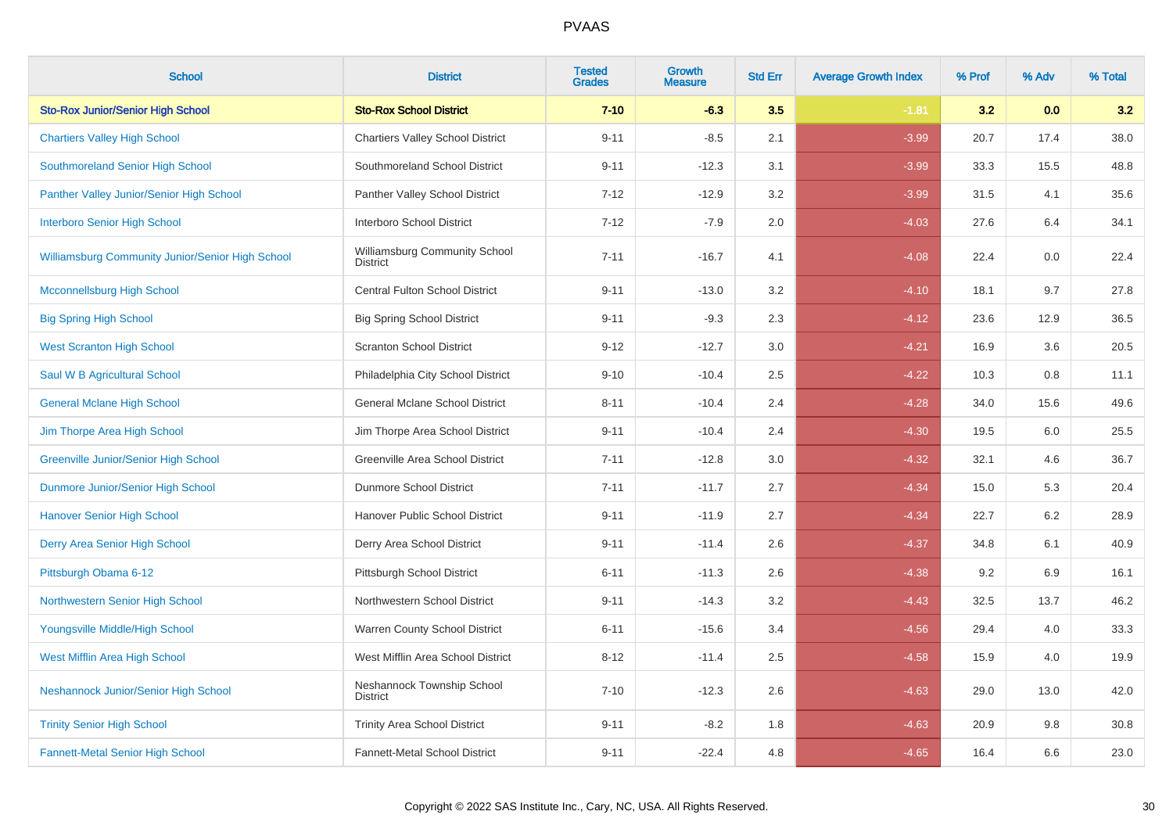| <b>School</b>                                    | <b>District</b>                                  | <b>Tested</b><br><b>Grades</b> | Growth<br><b>Measure</b> | <b>Std Err</b> | <b>Average Growth Index</b> | % Prof | % Adv | % Total |
|--------------------------------------------------|--------------------------------------------------|--------------------------------|--------------------------|----------------|-----------------------------|--------|-------|---------|
| <b>Sto-Rox Junior/Senior High School</b>         | <b>Sto-Rox School District</b>                   | $7 - 10$                       | $-6.3$                   | 3.5            | $-1.81$                     | 3.2    | 0.0   | 3.2     |
| <b>Chartiers Valley High School</b>              | <b>Chartiers Valley School District</b>          | $9 - 11$                       | $-8.5$                   | 2.1            | $-3.99$                     | 20.7   | 17.4  | 38.0    |
| Southmoreland Senior High School                 | Southmoreland School District                    | $9 - 11$                       | $-12.3$                  | 3.1            | $-3.99$                     | 33.3   | 15.5  | 48.8    |
| Panther Valley Junior/Senior High School         | Panther Valley School District                   | $7 - 12$                       | $-12.9$                  | 3.2            | $-3.99$                     | 31.5   | 4.1   | 35.6    |
| <b>Interboro Senior High School</b>              | Interboro School District                        | $7 - 12$                       | $-7.9$                   | 2.0            | $-4.03$                     | 27.6   | 6.4   | 34.1    |
| Williamsburg Community Junior/Senior High School | Williamsburg Community School<br><b>District</b> | $7 - 11$                       | $-16.7$                  | 4.1            | $-4.08$                     | 22.4   | 0.0   | 22.4    |
| <b>Mcconnellsburg High School</b>                | Central Fulton School District                   | $9 - 11$                       | $-13.0$                  | 3.2            | $-4.10$                     | 18.1   | 9.7   | 27.8    |
| <b>Big Spring High School</b>                    | <b>Big Spring School District</b>                | $9 - 11$                       | $-9.3$                   | 2.3            | $-4.12$                     | 23.6   | 12.9  | 36.5    |
| <b>West Scranton High School</b>                 | <b>Scranton School District</b>                  | $9 - 12$                       | $-12.7$                  | 3.0            | $-4.21$                     | 16.9   | 3.6   | 20.5    |
| Saul W B Agricultural School                     | Philadelphia City School District                | $9 - 10$                       | $-10.4$                  | 2.5            | $-4.22$                     | 10.3   | 0.8   | 11.1    |
| <b>General Mclane High School</b>                | General Mclane School District                   | $8 - 11$                       | $-10.4$                  | 2.4            | $-4.28$                     | 34.0   | 15.6  | 49.6    |
| Jim Thorpe Area High School                      | Jim Thorpe Area School District                  | $9 - 11$                       | $-10.4$                  | 2.4            | $-4.30$                     | 19.5   | 6.0   | 25.5    |
| <b>Greenville Junior/Senior High School</b>      | Greenville Area School District                  | $7 - 11$                       | $-12.8$                  | 3.0            | $-4.32$                     | 32.1   | 4.6   | 36.7    |
| Dunmore Junior/Senior High School                | Dunmore School District                          | $7 - 11$                       | $-11.7$                  | 2.7            | $-4.34$                     | 15.0   | 5.3   | 20.4    |
| <b>Hanover Senior High School</b>                | Hanover Public School District                   | $9 - 11$                       | $-11.9$                  | 2.7            | $-4.34$                     | 22.7   | 6.2   | 28.9    |
| Derry Area Senior High School                    | Derry Area School District                       | $9 - 11$                       | $-11.4$                  | 2.6            | $-4.37$                     | 34.8   | 6.1   | 40.9    |
| Pittsburgh Obama 6-12                            | Pittsburgh School District                       | $6 - 11$                       | $-11.3$                  | 2.6            | $-4.38$                     | 9.2    | 6.9   | 16.1    |
| Northwestern Senior High School                  | Northwestern School District                     | $9 - 11$                       | $-14.3$                  | 3.2            | $-4.43$                     | 32.5   | 13.7  | 46.2    |
| Youngsville Middle/High School                   | Warren County School District                    | $6 - 11$                       | $-15.6$                  | 3.4            | $-4.56$                     | 29.4   | 4.0   | 33.3    |
| West Mifflin Area High School                    | West Mifflin Area School District                | $8 - 12$                       | $-11.4$                  | 2.5            | $-4.58$                     | 15.9   | 4.0   | 19.9    |
| Neshannock Junior/Senior High School             | Neshannock Township School<br><b>District</b>    | $7 - 10$                       | $-12.3$                  | 2.6            | $-4.63$                     | 29.0   | 13.0  | 42.0    |
| <b>Trinity Senior High School</b>                | <b>Trinity Area School District</b>              | $9 - 11$                       | $-8.2$                   | 1.8            | $-4.63$                     | 20.9   | 9.8   | 30.8    |
| Fannett-Metal Senior High School                 | Fannett-Metal School District                    | $9 - 11$                       | $-22.4$                  | 4.8            | $-4.65$                     | 16.4   | 6.6   | 23.0    |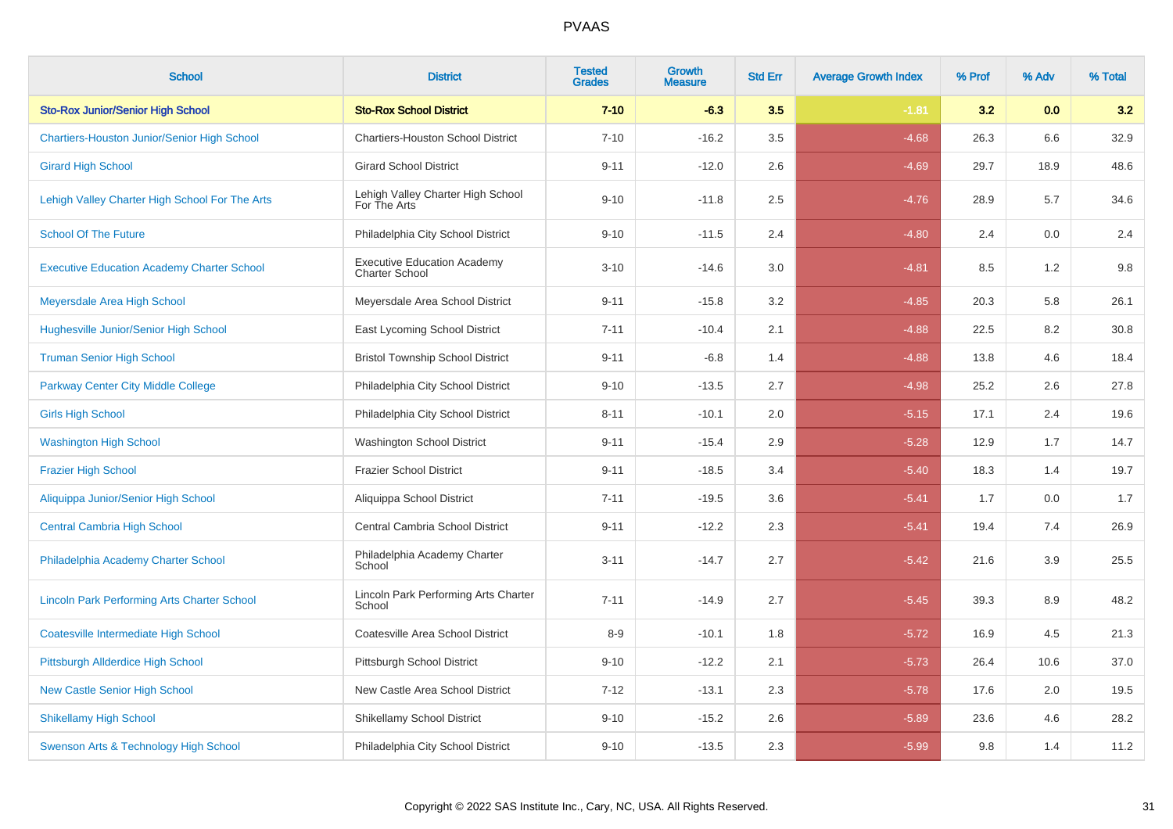| <b>School</b>                                      | <b>District</b>                                             | <b>Tested</b><br><b>Grades</b> | Growth<br><b>Measure</b> | <b>Std Err</b> | <b>Average Growth Index</b> | % Prof | % Adv | % Total |
|----------------------------------------------------|-------------------------------------------------------------|--------------------------------|--------------------------|----------------|-----------------------------|--------|-------|---------|
| <b>Sto-Rox Junior/Senior High School</b>           | <b>Sto-Rox School District</b>                              | $7 - 10$                       | $-6.3$                   | 3.5            | $-1.81$                     | 3.2    | 0.0   | 3.2     |
| <b>Chartiers-Houston Junior/Senior High School</b> | <b>Chartiers-Houston School District</b>                    | $7 - 10$                       | $-16.2$                  | 3.5            | $-4.68$                     | 26.3   | 6.6   | 32.9    |
| <b>Girard High School</b>                          | <b>Girard School District</b>                               | $9 - 11$                       | $-12.0$                  | 2.6            | $-4.69$                     | 29.7   | 18.9  | 48.6    |
| Lehigh Valley Charter High School For The Arts     | Lehigh Valley Charter High School<br>For The Arts           | $9 - 10$                       | $-11.8$                  | 2.5            | $-4.76$                     | 28.9   | 5.7   | 34.6    |
| <b>School Of The Future</b>                        | Philadelphia City School District                           | $9 - 10$                       | $-11.5$                  | 2.4            | $-4.80$                     | 2.4    | 0.0   | 2.4     |
| <b>Executive Education Academy Charter School</b>  | <b>Executive Education Academy</b><br><b>Charter School</b> | $3 - 10$                       | $-14.6$                  | $3.0\,$        | $-4.81$                     | 8.5    | 1.2   | $9.8\,$ |
| Meyersdale Area High School                        | Meyersdale Area School District                             | $9 - 11$                       | $-15.8$                  | 3.2            | $-4.85$                     | 20.3   | 5.8   | 26.1    |
| Hughesville Junior/Senior High School              | East Lycoming School District                               | $7 - 11$                       | $-10.4$                  | 2.1            | $-4.88$                     | 22.5   | 8.2   | 30.8    |
| <b>Truman Senior High School</b>                   | <b>Bristol Township School District</b>                     | $9 - 11$                       | $-6.8$                   | 1.4            | $-4.88$                     | 13.8   | 4.6   | 18.4    |
| <b>Parkway Center City Middle College</b>          | Philadelphia City School District                           | $9 - 10$                       | $-13.5$                  | 2.7            | $-4.98$                     | 25.2   | 2.6   | 27.8    |
| <b>Girls High School</b>                           | Philadelphia City School District                           | $8 - 11$                       | $-10.1$                  | 2.0            | $-5.15$                     | 17.1   | 2.4   | 19.6    |
| <b>Washington High School</b>                      | <b>Washington School District</b>                           | $9 - 11$                       | $-15.4$                  | 2.9            | $-5.28$                     | 12.9   | 1.7   | 14.7    |
| <b>Frazier High School</b>                         | <b>Frazier School District</b>                              | $9 - 11$                       | $-18.5$                  | 3.4            | $-5.40$                     | 18.3   | 1.4   | 19.7    |
| Aliquippa Junior/Senior High School                | Aliquippa School District                                   | $7 - 11$                       | $-19.5$                  | 3.6            | $-5.41$                     | 1.7    | 0.0   | 1.7     |
| <b>Central Cambria High School</b>                 | Central Cambria School District                             | $9 - 11$                       | $-12.2$                  | 2.3            | $-5.41$                     | 19.4   | 7.4   | 26.9    |
| Philadelphia Academy Charter School                | Philadelphia Academy Charter<br>School                      | $3 - 11$                       | $-14.7$                  | 2.7            | $-5.42$                     | 21.6   | 3.9   | 25.5    |
| <b>Lincoln Park Performing Arts Charter School</b> | Lincoln Park Performing Arts Charter<br>School              | $7 - 11$                       | $-14.9$                  | 2.7            | $-5.45$                     | 39.3   | 8.9   | 48.2    |
| <b>Coatesville Intermediate High School</b>        | Coatesville Area School District                            | $8-9$                          | $-10.1$                  | 1.8            | $-5.72$                     | 16.9   | 4.5   | 21.3    |
| Pittsburgh Allderdice High School                  | Pittsburgh School District                                  | $9 - 10$                       | $-12.2$                  | 2.1            | $-5.73$                     | 26.4   | 10.6  | 37.0    |
| <b>New Castle Senior High School</b>               | New Castle Area School District                             | $7 - 12$                       | $-13.1$                  | 2.3            | $-5.78$                     | 17.6   | 2.0   | 19.5    |
| <b>Shikellamy High School</b>                      | <b>Shikellamy School District</b>                           | $9 - 10$                       | $-15.2$                  | 2.6            | $-5.89$                     | 23.6   | 4.6   | 28.2    |
| Swenson Arts & Technology High School              | Philadelphia City School District                           | $9 - 10$                       | $-13.5$                  | 2.3            | $-5.99$                     | 9.8    | 1.4   | 11.2    |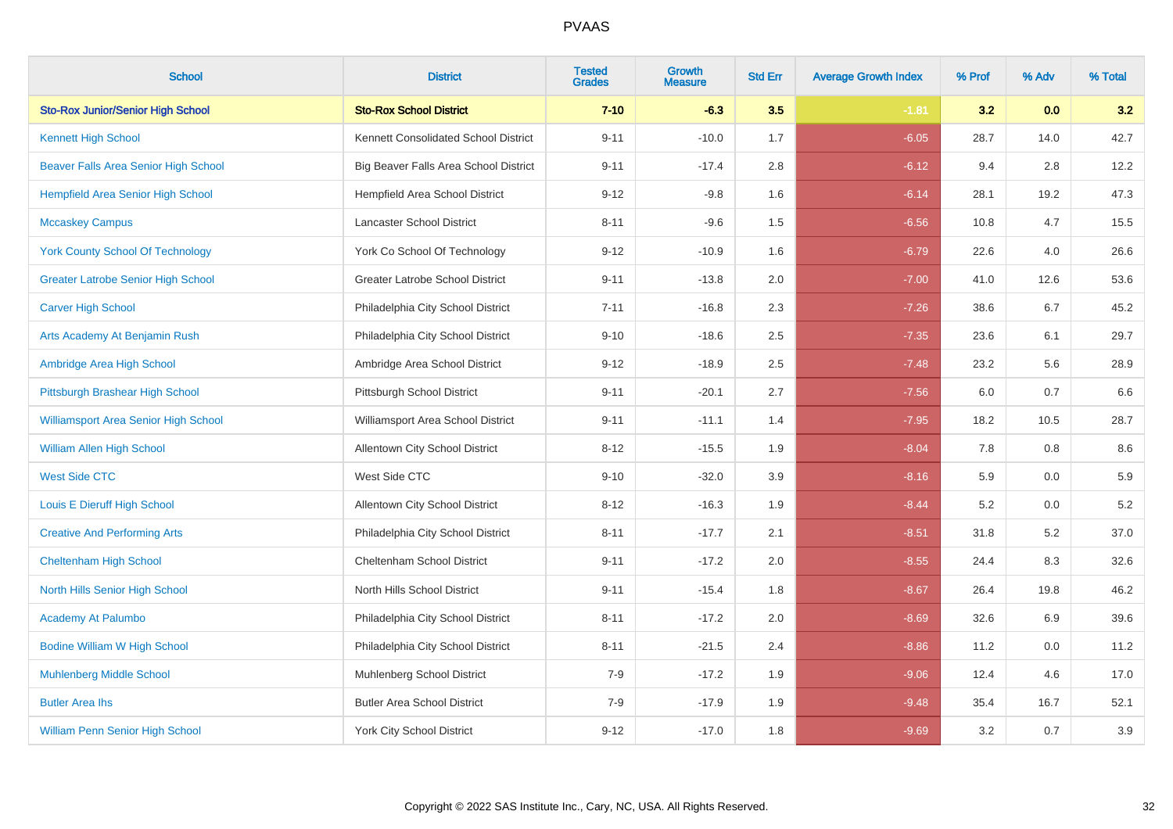| <b>School</b>                               | <b>District</b>                       | <b>Tested</b><br><b>Grades</b> | Growth<br><b>Measure</b> | <b>Std Err</b> | <b>Average Growth Index</b> | % Prof | % Adv | % Total |
|---------------------------------------------|---------------------------------------|--------------------------------|--------------------------|----------------|-----------------------------|--------|-------|---------|
| <b>Sto-Rox Junior/Senior High School</b>    | <b>Sto-Rox School District</b>        | $7 - 10$                       | $-6.3$                   | 3.5            | $-1.81$                     | 3.2    | 0.0   | 3.2     |
| <b>Kennett High School</b>                  | Kennett Consolidated School District  | $9 - 11$                       | $-10.0$                  | 1.7            | $-6.05$                     | 28.7   | 14.0  | 42.7    |
| Beaver Falls Area Senior High School        | Big Beaver Falls Area School District | $9 - 11$                       | $-17.4$                  | 2.8            | $-6.12$                     | 9.4    | 2.8   | 12.2    |
| <b>Hempfield Area Senior High School</b>    | Hempfield Area School District        | $9 - 12$                       | $-9.8$                   | 1.6            | $-6.14$                     | 28.1   | 19.2  | 47.3    |
| <b>Mccaskey Campus</b>                      | Lancaster School District             | $8 - 11$                       | $-9.6$                   | 1.5            | $-6.56$                     | 10.8   | 4.7   | 15.5    |
| <b>York County School Of Technology</b>     | York Co School Of Technology          | $9 - 12$                       | $-10.9$                  | 1.6            | $-6.79$                     | 22.6   | 4.0   | 26.6    |
| <b>Greater Latrobe Senior High School</b>   | Greater Latrobe School District       | $9 - 11$                       | $-13.8$                  | 2.0            | $-7.00$                     | 41.0   | 12.6  | 53.6    |
| <b>Carver High School</b>                   | Philadelphia City School District     | $7 - 11$                       | $-16.8$                  | 2.3            | $-7.26$                     | 38.6   | 6.7   | 45.2    |
| Arts Academy At Benjamin Rush               | Philadelphia City School District     | $9 - 10$                       | $-18.6$                  | 2.5            | $-7.35$                     | 23.6   | 6.1   | 29.7    |
| Ambridge Area High School                   | Ambridge Area School District         | $9 - 12$                       | $-18.9$                  | 2.5            | $-7.48$                     | 23.2   | 5.6   | 28.9    |
| Pittsburgh Brashear High School             | Pittsburgh School District            | $9 - 11$                       | $-20.1$                  | 2.7            | $-7.56$                     | 6.0    | 0.7   | 6.6     |
| <b>Williamsport Area Senior High School</b> | Williamsport Area School District     | $9 - 11$                       | $-11.1$                  | 1.4            | $-7.95$                     | 18.2   | 10.5  | 28.7    |
| <b>William Allen High School</b>            | Allentown City School District        | $8 - 12$                       | $-15.5$                  | 1.9            | $-8.04$                     | 7.8    | 0.8   | 8.6     |
| <b>West Side CTC</b>                        | West Side CTC                         | $9 - 10$                       | $-32.0$                  | 3.9            | $-8.16$                     | 5.9    | 0.0   | 5.9     |
| Louis E Dieruff High School                 | <b>Allentown City School District</b> | $8 - 12$                       | $-16.3$                  | 1.9            | $-8.44$                     | 5.2    | 0.0   | $5.2\,$ |
| <b>Creative And Performing Arts</b>         | Philadelphia City School District     | $8 - 11$                       | $-17.7$                  | 2.1            | $-8.51$                     | 31.8   | 5.2   | 37.0    |
| <b>Cheltenham High School</b>               | Cheltenham School District            | $9 - 11$                       | $-17.2$                  | $2.0\,$        | $-8.55$                     | 24.4   | 8.3   | 32.6    |
| North Hills Senior High School              | North Hills School District           | $9 - 11$                       | $-15.4$                  | 1.8            | $-8.67$                     | 26.4   | 19.8  | 46.2    |
| <b>Academy At Palumbo</b>                   | Philadelphia City School District     | $8 - 11$                       | $-17.2$                  | 2.0            | $-8.69$                     | 32.6   | 6.9   | 39.6    |
| <b>Bodine William W High School</b>         | Philadelphia City School District     | $8 - 11$                       | $-21.5$                  | 2.4            | $-8.86$                     | 11.2   | 0.0   | 11.2    |
| <b>Muhlenberg Middle School</b>             | Muhlenberg School District            | $7-9$                          | $-17.2$                  | 1.9            | $-9.06$                     | 12.4   | 4.6   | 17.0    |
| <b>Butler Area lhs</b>                      | <b>Butler Area School District</b>    | $7-9$                          | $-17.9$                  | 1.9            | $-9.48$                     | 35.4   | 16.7  | 52.1    |
| <b>William Penn Senior High School</b>      | <b>York City School District</b>      | $9 - 12$                       | $-17.0$                  | 1.8            | $-9.69$                     | 3.2    | 0.7   | $3.9\,$ |